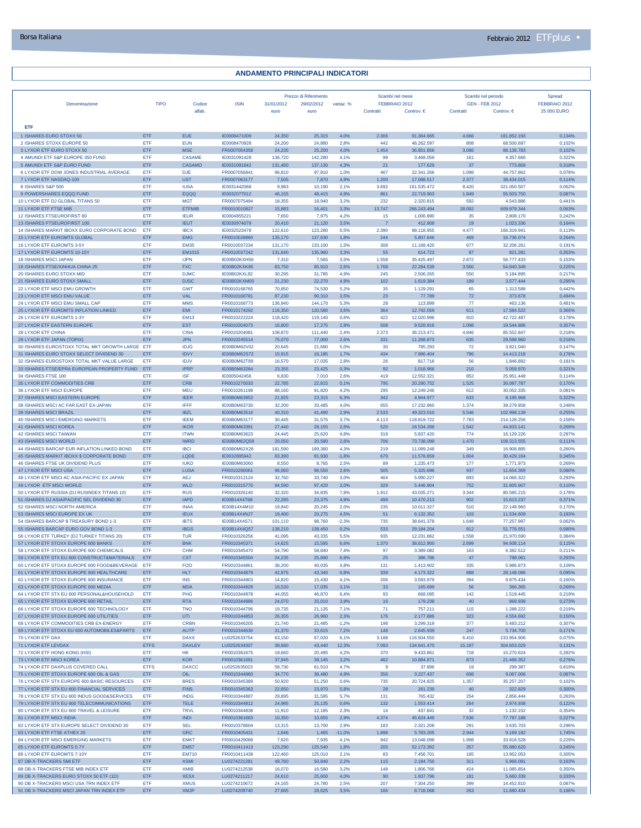| Denominazione                                                                          | <b>TIPO</b>        | Codice                       | <b>ISIN</b>                  | 31/01/2012         | Prezzo di Riferimento<br>29/02/2012 | variaz. %       | Scambi nel mese<br>FEBBRAIO 2012 |                           |                | Scambi nel periodo<br><b>GEN - FEB 2012</b> | Spread<br>FEBBRAIO 2012 |
|----------------------------------------------------------------------------------------|--------------------|------------------------------|------------------------------|--------------------|-------------------------------------|-----------------|----------------------------------|---------------------------|----------------|---------------------------------------------|-------------------------|
|                                                                                        |                    | alfab                        |                              | euro               | euro                                |                 | Contratti                        | Controv. $\in$            | Contratti      | Controv. $\in$                              | 25 000 EURO             |
|                                                                                        |                    |                              |                              |                    |                                     |                 |                                  |                           |                |                                             |                         |
| <b>ETF</b>                                                                             |                    |                              |                              |                    |                                     |                 |                                  |                           |                |                                             |                         |
| 1 ISHARES EURO STOXX 50                                                                | ETF                | <b>EUE</b>                   | IE0008471009<br>IE0008470928 | 24,350             | 25,315                              | 4,0%            | 2.306                            | 91.364.665                | 4.666          | 181.852.193<br>68.500.697                   | 0,134%                  |
| 2 ISHARES STOXX EUROPE 50<br>3 LYXOR ETF EURO STOXX 50                                 | ETF<br>ETF         | <b>EUN</b><br><b>MSE</b>     | FR0007054358                 | 24,200<br>24,235   | 24,880<br>25,200                    | 2,8%<br>4.0%    | 442<br>1.454                     | 46.262.597<br>36.851.856  | 808<br>3.086   | 88.136.783                                  | 0,102%<br>0,102%        |
| 4 AMUNDI ETF S&P EUROPE 350 FUND                                                       | <b>ETF</b>         | <b>CASAME</b>                | IE0031091428                 | 136,720            | 142,280                             | 4.1%            | 99                               | 3.468.059                 | 161            | 4.357.666                                   | 0.322%                  |
| 5 AMUNDI ETF S&P EURO FUND                                                             | ETF                | CASAMO                       | IE0031091642                 | 131,460            | 137,130                             | 4,3%            | 21                               | 177.629                   | 37             | 773.869                                     | 0,318%                  |
| 6 LYXOR ETF DOW JONES INDUSTRIAL AVERAGE<br>7 LYXOR ETF NASDAQ-100                     | ETF<br>ETF         | <b>DJE</b><br><b>UST</b>     | FR0007056841<br>FR0007063177 | 96,810<br>7,505    | 97,810<br>7,870                     | 1.0%<br>4,9%    | 467<br>1.200                     | 22.341.266<br>17.088.517  | 1.098<br>2.377 | 44.757.862<br>38.434.015                    | 0,078%<br>0,114%        |
| 8 ISHARES S&P 500                                                                      | ETF                | <b>IUSA</b>                  | IE0031442068                 | 9.983              | 10,190                              | 2,1%            | 3.692                            | 161.535.472               | 8.420          | 321.050.507                                 | 0,062%                  |
| 9 POWERSHARES EQQQ FUND                                                                | ETF                | EQQQ                         | IE0032077012                 | 46,155             | 48,415                              | 4,9%            | 861                              | 22.719.903                | 1.849          | 55.503.750                                  | 0,087%                  |
| 10 LYXOR ETF DJ GLOBAL TITANS 50                                                       | ETF                | <b>MGT</b>                   | FR0007075494                 | 18,355             | 18,940                              | 3,2%            | 232                              | 2.320.815                 | 592            | 4.543.886                                   | 0,441%                  |
| 11 LYXOR ETF FTSE MIB<br>12 ISHARES FTSEUROFIRST 80                                    | ETF<br>ETF         | <b>ETFMIB</b><br><b>IEUR</b> | FR0010010827<br>IE0004855221 | 15,883<br>7,650    | 16,401<br>7,975                     | 3,3%<br>4.2%    | 13.747<br>15                     | 266.243.494<br>1.006.890  | 28.092<br>35   | 609.979.344<br>2.808.170                    | 0,063%<br>0.242%        |
| 13 ISHARES FTSEUROFIRST 100                                                            | ETF                | <b>IEUT</b>                  | IE0030974079                 | 20,410             | 21,120                              | 3,5%            | $\overline{7}$                   | 412.908                   | 19             | 1.023.336                                   | 0,164%                  |
| 14 ISHARES MARKIT IBOXX EURO CORPORATE BOND                                            | ETF                | <b>IBCX</b>                  | IE0032523478                 | 122,610            | 123,280                             | 0.5%            | 2.390                            | 98.118.955                | 4.477          | 166,319,941                                 | 0.113%                  |
| 15 LYXOR ETF EUROMTS GLOBAL                                                            | ETF                | <b>EMG</b>                   | FR0010028860                 | 135,170            | 137,630                             | 1,8%            | 244                              | 5.807.646                 | 469            | 16.736.074                                  | 0,264%                  |
| 16 LYXOR ETF EUROMTS 3-5Y<br>17 LYXOR ETF EUROMTS 10-15Y                               | ETF<br>ETF         | <b>EM35</b><br>EM1015        | FR0010037234<br>FR0010037242 | 131,170<br>131,640 | 133,100<br>135,960                  | 1,5%<br>3,3%    | 308<br>55                        | 11.168.420<br>614.723     | 677<br>87      | 32.206.261<br>821.281                       | 0,191%<br>0,353%        |
| <b>18 ISHARES MSCI JAPAN</b>                                                           | ETF                | <b>IJPN</b>                  | IE00B02KXH56                 | 7,310              | 7,565                               | 3.5%            | 1.558                            | 35.425.497                | 2.872          | 56,777,433                                  | 0.153%                  |
| 19 ISHARES FTSE/XINHUA CHINA 25                                                        | ETF                | <b>FXC</b>                   | IE00B02KXK85                 | 83,750             | 85,910                              | 2,6%            | 1.768                            | 22.284.539                | 3.560          | 54.840.349                                  | 0,225%                  |
| 20 ISHARES EURO STOXX MID                                                              | ETF                | <b>DJMC</b>                  | IE00B02KXL92                 | 30,295             | 31,785                              | 4,9%            | 245                              | 2.506.265                 | 550            | 5.184.895                                   | 0.217%                  |
| 21 ISHARES EURO STOXX SMALL<br>22 LYXOR ETF MSCI EMU GROWTH                            | ETF                | <b>DJSC</b>                  | IE00B02KXM00                 | 21,230             | 22,270                              | 4,9%            | 102                              | 1.619.384                 | 199            | 3.577.444                                   | 0,295%                  |
| 23 LYXOR ETF MSCI EMU VALUE                                                            | ETF<br>ETF         | <b>GWT</b><br>VAL            | FR0010168765<br>FR0010168781 | 70,850<br>87,230   | 74,530<br>90,310                    | 5,2%<br>3,5%    | 35<br>23                         | 1.129.291<br>77.789       | 65<br>72       | 1.313.588<br>373.678                        | 0,442%<br>0,494%        |
| 24 LYXOR ETF MSCI EMU SMALL CAP                                                        | <b>ETF</b>         | <b>MMS</b>                   | FR0010168773                 | 136,940            | 144,170                             | 5,3%            | 28                               | 113.899                   | 77             | 463.136                                     | 0,481%                  |
| 25 LYXOR ETF EUROMTS INFLATION LINKED                                                  | ETF                | EMI                          | FR0010174292                 | 116,350            | 120,580                             | 3,6%            | 364                              | 12.742.059                | 611            | 17.584.522                                  | 0,365%                  |
| 26 LYXOR ETF EUROMTS 1-3Y                                                              | ETF                | <b>EM13</b>                  | FR0010222224                 | 118,420            | 119,140                             | 0.6%            | 422                              | 12.020.996                | 910            | 42.722.487                                  | 0.178%                  |
| 27 LYXOR ETF EASTERN EUROPE<br>28 LYXOR ETF CHINA                                      | ETF<br>ETF         | <b>EST</b><br><b>CINA</b>    | FR0010204073<br>FR0010204081 | 16,800<br>108,870  | 17,275<br>111,440                   | 2,8%<br>2.4%    | 508<br>2.373                     | 9.528.916<br>36.213.471   | 1.098<br>4.846 | 19.544.886<br>85.552.847                    | 0,357%<br>0.218%        |
| 29 LYXOR ETF JAPAN (TOPIX)                                                             | ETF                | <b>JPN</b>                   | FR0010245514                 | 75,070             | 77,000                              | 2,6%            | 331                              | 11.288.873                | 635            | 29.598.960                                  | 0,216%                  |
| 30 ISHARES EUROSTOXX TOTAL MKT GROWTH LARGE ETF                                        |                    | <b>IDJG</b>                  | IE00B0M62V02                 | 20,645             | 21,680                              | 5,0%            | -30                              | 785.293                   | -72            | 3.821.040                                   | 0,147%                  |
| 31 ISHARES EURO STOXX SELECT DIVIDEND 30                                               | ETF                | <b>IDVY</b>                  | IE00B0M62S72                 | 15,915             | 16,185                              | 1,7%            | 434                              | 7.986.404                 | 796            | 14.413.218                                  | 0,176%                  |
| 32 ISHARES EUROSTOXX TOTAL MKT VALUE LARGE                                             | ETF                | <b>IDJV</b>                  | IE00B0M62T89                 | 16,570             | 17,035                              | 2,8%            | 26                               | 817.716                   | 56             | 1.846.892                                   | 0,181%                  |
| 33 ISHARES FTSE/EPRA EUROPEAN PROPERTY FUND ETF<br>34 ISHARES FTSE 100                 | ETF                | <b>IPRP</b><br><b>ISF</b>    | IE00B0M63284<br>IE0005042456 | 23,355<br>6,830    | 23,425<br>7,010                     | 0,3%<br>2,6%    | 92<br>419                        | 1.018.966<br>12.552.321   | 210<br>852     | 5.059.970<br>25,951,448                     | 0,321%<br>0.114%        |
| 35 LYXOR ETF COMMODITIES CRB                                                           | ETF                | <b>CRB</b>                   | FR0010270033                 | 22,785             | 22,815                              | 0,1%            | 795                              | 20.290.752                | 1.525          | 30.087.787                                  | 0,170%                  |
| 36 LYXOR ETF MSCI EUROPE                                                               | <b>FTF</b>         | MFU                          | FR0010261198                 | 88,160             | 91,820                              | 4,2%            | 295                              | 12.249.246                | 612            | 30.052.335                                  | 0.081%                  |
| 37 ISHARES MSCI EASTERN EUROPE                                                         | ETF                | <b>IEER</b>                  | IE00B0M63953                 | 21,925             | 23,315                              | 6,3%            | 342                              | 4.944.977                 | 633            | 8.195.968                                   | 0,322%                  |
| 38 ISHARES MSCI AC FAR EAST EX-JAPAN                                                   | ETF                | <b>IFFF</b>                  | IE00B0M63730                 | 32,200             | 33,485                              | 4,0%            | 655                              | 17.232.960                | 1.374          | 39.279.858                                  | 0,248%                  |
| 39 ISHARES MSCI BRAZIL<br>40 ISHARES MSCI EMERGING MARKETS                             | ETF<br>ETF         | <b>IBZL</b><br><b>IEEM</b>   | IE00B0M63516<br>IE00B0M63177 | 40,310<br>30,445   | 41,490<br>31,575                    | 2,9%<br>3,7%    | 2.533<br>4.113                   | 49.323.010<br>118.819.722 | 5.546<br>7.783 | 102.998.139<br>214.128.256                  | 0,255%<br>0,158%        |
| <b>41 ISHARES MSCI KOREA</b>                                                           | ETF                | <b>IKOR</b>                  | IE00B0M63391                 | 27,440             | 28,155                              | 2,6%            | 520                              | 16.534.288                | 1.542          | 44.833.141                                  | 0,269%                  |
| <b>42 ISHARES MSCI TAIWAN</b>                                                          | ETF                | <b>ITWN</b>                  | IE00B0M63623                 | 24,445             | 25,620                              | 4,8%            | 319                              | 5.837.420                 | 774            | 16.129.226                                  | 0.297%                  |
| 43 ISHARES MSCI WORLD                                                                  | ETF                | <b>IWRD</b>                  | IE00B0M62Q58                 | 20,050             | 20,580                              | 2,6%            | 706                              | 73.738.099                | 1.470          | 108.313.555                                 | 0,111%                  |
| 44 ISHARES BARCAP EUR INFLATION LINKED BOND                                            | ETF                | <b>IBCI</b>                  | <b>IE00B0M62X26</b>          | 181,590            | 189,380                             | 4,3%            | 219                              | 11.099.248                | 349            | 16.908.885                                  | 0,260%                  |
| 45 ISHARES MARKIT IBOXX \$ CORPORATE BOND<br>46 ISHARES FTSE UK DIVIDEND PLUS          | ETF<br>ETF         | LQDE<br><b>IUKD</b>          | IE0032895942<br>IE00B0M63060 | 83,390<br>8,550    | 81,930<br>8,765                     | $-1,8%$<br>2,5% | 679<br>89                        | 11.578.859<br>1.235.473   | 1.604<br>177   | 30.429.164<br>1.771.973                     | 0,345%<br>0,269%        |
| 47 LYXOR ETF MSCI USA                                                                  | ETF                | <b>TUSA</b>                  | FR0010296061                 | 96,060             | 98,550                              | 2.6%            | 505                              | 5.325.696                 | 937            | 11.654.369                                  | 0,080%                  |
| 48 LYXOR ETF MSCI AC ASIA-PACIFIC EX JAPAN                                             | <b>ETF</b>         | <b>AEJ</b>                   | FR0010312124                 | 32,760             | 33,740                              | 3,0%            | 464                              | 5.990.227                 | 893            | 14.066.322                                  | 0,293%                  |
| 49 LYXOR ETF MSCI WORLD                                                                | ETF                | <b>WLD</b>                   | FR0010315770                 | 94,590             | 97,420                              | 3,0%            | 329                              | 5.446.904                 | 752            | 31.605.907                                  | 0,110%                  |
| 50 LYXOR ETF RUSSIA (DJ RUSINDEX TITANS 10)                                            | ETF                | <b>RUS</b>                   | FR0010326140                 | 32,320             | 34,835                              | 7,8%            | 1.912                            | 43.035.271                | 3.344          | 80,585,215                                  | 0.178%                  |
| 51 ISHARES DJ ASIA/PACIFIC SEL DIVIDEND 30<br>52 ISHARES MSCI NORTH AMERICA            | ETF<br>ETF         | <b>IAPD</b><br><b>INAA</b>   | IE00B14X4T88<br>IE00B14X4M10 | 22.285<br>19,840   | 23,375<br>20,245                    | 4,9%<br>2,0%    | 499<br>235                       | 10.470.213<br>10.011.327  | 902<br>510     | 15.613.237<br>22.148.960                    | 0,371%<br>0,170%        |
| 53 ISHARES MSCI EUROPE EX UK                                                           | ETF                | <b>IEUX</b>                  | IE00B14X4N27                 | 19,400             | 20,275                              | 4.5%            | 51                               | 6.132.352                 | 103            | 11.534.609                                  | 0,193%                  |
| 54 ISHARES BARCAP \$ TREASURY BOND 1-3                                                 | <b>ETF</b>         | <b>IBTS</b>                  | IE00B14X4S71                 | 101,110            | 98,760                              | $-2.3%$         | 735                              | 38.641.378                | 1.648          | 77.257.997                                  | 0,062%                  |
| 55 ISHARES BARCAP EURO GOV BOND 1-3                                                    | ETF                | <b>IBGS</b>                  | IE00B14X4Q57                 | 138,210            | 138,450                             | 0,2%            | 533                              | 29.184.204                | 912            | 51.776.551                                  | 0,080%                  |
| 56 LYXOR ETF TURKEY (DJ TURKEY TITANS 20)<br>57 LYXOR ETF STOXX EUROPE 600 BANKS       | ETF<br>ETF         | <b>TUR</b><br><b>BNK</b>     | FR0010326256<br>FR0010345371 | 41,095<br>14,625   | 43,335<br>15,595                    | 5,5%<br>6,6%    | 935<br>1.370                     | 12.231.862<br>38.612.900  | 1.558<br>2.699 | 21.970.590<br>94.938.114                    | 0,384%<br>0,115%        |
| 58 LYXOR ETF STOXX EUROPE 600 CHEMICALS                                                | ETF                | <b>CHM</b>                   | FR0010345470                 | 54.790             | 58,840                              | 7.4%            | 97                               | 3.389.082                 | 163            | 6.382.512                                   | 0.211%                  |
| 59 LYXOR ETF STX EU 600 CONSTRUCT&MATERIALS                                            | ETF                | <b>CST</b>                   | FR0010345504                 | 24,235             | 25,890                              | 6,8%            | 25                               | 386.786                   | 47             | 788.061                                     | 0,293%                  |
| 60 LYXOR ETF STOXX EUROPE 600 FOOD&BEVERAGE                                            | ETF                | <b>FOO</b>                   | FR0010344861                 | 38,200             | 40,035                              | 4,8%            | 131                              | 1.413.902                 | 335            | 5.986.873                                   | 0,109%                  |
| 61 LYXOR ETF STOXX EUROPE 600 HEALTHCARE                                               | ETF                | <b>HLT</b>                   | FR0010344879                 | 42,975             | 43,340                              | 0,8%            | 339                              | 4.173.322                 | 888            | 28.148.086                                  | 0,095%                  |
| 62 LYXOR ETF STOXX EUROPE 600 INSURANCE<br>63 LYXOR ETF STOXX EUROPE 600 MEDIA         | <b>ETF</b><br>ETF  | <b>INS</b><br><b>MDA</b>     | FR0010344903<br>FR0010344929 | 14,820<br>16,530   | 15,430<br>17,035                    | 4,1%<br>3,1%    | 206<br>33                        | 3.593.979<br>165.699      | 394<br>56      | 9.875.434<br>366.365                        | 0.160%<br>0,269%        |
| 64 LYXOR ETF STX EU 600 PERSONAL&HOUSEHOLD                                             | ETF                | PHG                          | FR0010344978                 | 44,055             | 46,870                              | 6,4%            | 93                               | 668.095                   | 142            | 1.519.445                                   | 0,219%                  |
| 65 LYXOR ETF STOXX EUROPE 600 RETAIL                                                   | ETF                | <b>RTA</b>                   | FR0010344986                 | 24,070             | 25,010                              | 3,9%            | 16                               | 179.238                   | 40             | 868.939                                     | 0,273%                  |
| 66 LYXOR ETF STOXX EUROPE 600 TECHNOLOGY                                               | ETF                | <b>TNO</b>                   | FR0010344796                 | 19,735             | 21,135                              | 7,1%            | 71                               | 757.211                   | 115            | 1.288.222                                   | 0,219%                  |
| 67 LYXOR ETF STOXX EUROPE 600 UTILITIES                                                | ETF                | UTI                          | FR0010344853<br>FR0010346205 | 26,355             | 26,960                              | 2,3%            | 176                              | 2.177.886                 | 323            | 4.554.692                                   | 0,150%                  |
| 68 LYXOR ETF COMMODITIES CRB EX-ENERGY<br>69 LYXOR ETF STOXX EU 600 AUTOMOBILES&PARTS  | ETF<br>ETF         | <b>CRBN</b><br><b>AUTP</b>   | FR0010344630                 | 21.740<br>31,370   | 21.485<br>33,615                    | $-1.2%$<br>7,2% | 198<br>148                       | 3.299.319<br>2.645.939    | 377<br>247     | 5.483.212<br>5.734.700                      | 0.307%<br>0,171%        |
| 70 LYXOR ETF DAX                                                                       | ETF                | <b>DAXX</b>                  | LU0252633754                 | 63,150             | 67,020                              | 6,1%            | 3.188                            | 116.504.550               | 6.410          | 233.954.906                                 | 0,075%                  |
| 71 LYXOR ETF LEVDAX                                                                    | <b>ETFS</b>        | <b>DAXLEV</b>                | LU0252634307                 | 38,680             | 43,440                              | 12,3%           | 7.093                            | 134.641.470               | 15.197         | 304.653.029                                 | 0,131%                  |
| 72 LYXOR ETF HONG KONG (HSI)                                                           | ETF                | HK                           | FR0010361675                 | 19,660             | 20,495                              | 4,2%            | 370                              | 9.433.861                 | 718            | 15.270.624                                  | 0,282%                  |
| 73 LYXOR ETF MSCI KOREA                                                                | ETF                | <b>KOR</b>                   | FR0010361691                 | 37,945             | 39,145                              | 3,2%            | 462                              | 10.884.871                | 873            | 21.468.352                                  | 0,276%                  |
| 74 LYXOR ETF DAXPLUS COVERED CALL<br>75 LYXOR ETF STOXX EUROPE 600 OIL & GAS           | <b>ETFS</b><br>ETF | <b>DAXCC</b><br>OIL          | LU0252635023<br>FR0010344960 | 58,730<br>34,770   | 61,510<br>36,480                    | 4,7%<br>4,9%    | 9<br>356                         | 37.896<br>3.227.437       | 19<br>698      | 299.387<br>9.067.006                        | 0,819%<br>0,087%        |
| 76 LYXOR ETF STX EUROPE 600 BASIC RESOURCES                                            | <b>ETF</b>         | <b>BRES</b>                  | FR0010345389                 | 50,920             | 51,250                              | 0.6%            | 735                              | 20.724.825                | 1.357          | 35.257.207                                  | 0,102%                  |
| 77 LYXOR ETF STX EU 600 FINANCIAL SERVICES                                             | <b>ETF</b>         | <b>FINS</b>                  | FR0010345363                 | 22.650             | 23,970                              | 5,8%            | 28                               | 261.239                   | 40             | 322.829                                     | 0,300%                  |
| 78 LYXOR ETF STX EU 600 INDUS GOOD&SERVICES                                            | ETF                | <b>INDG</b>                  | FR0010344887                 | 29,895             | 31,595                              | 5.7%            | 131                              | 765.432                   | 254            | 2.856.444                                   | 0.263%                  |
| 79 LYXOR ETF STX EU 600 TELECOMMUNICATIONS<br>80 LYXOR ETF STX EU 600 TRAVEL & LEISURE | <b>ETF</b><br>ETF  | <b>TELE</b><br><b>TRVL</b>   | FR0010344812<br>FR0010344838 | 24,985<br>11,910   | 25,135<br>12,185                    | 0,6%<br>2,3%    | 132<br>14                        | 1.553.414<br>437.841      | 264<br>32      | 2.974.938<br>1.132.152                      | 0,122%<br>0.354%        |
| 81 LYXOR ETF MSCI INDIA                                                                | ETF                | <b>INDI</b>                  | FR0010361683                 | 10,350             | 10,655                              | 2,9%            | 4.374                            | 45.624.449                | 7.536          | 77.797.188                                  | 0,227%                  |
| 82 LYXOR ETF STX EUROPE SELECT DIVIDEND 30                                             | ETF                | <b>SEL</b>                   | FR0010378604                 | 13,315             | 13,700                              | 2,9%            | 183                              | 2.321.208                 | 291            | 3.635.703                                   | 0,296%                  |
| 83 LYXOR ETF FTSE ATHEX 20                                                             | ETF                | <b>GRC</b>                   | FR0010405431                 | 1,646              | 1,465                               | $-11,0%$        | 1.898                            | 5.783.205                 | 2.944          | 9.169.182                                   | 1,745%                  |
| 84 LYXOR ETF MSCI EMERGING MARKETS                                                     | ETF                | <b>EMKT</b>                  | FR0010429068                 | 7,620              | 7,935                               | 4,1%            | 942                              | 13.048.098                | 1.998          | 33.918.528                                  | 0,229%                  |
| 85 LYXOR ETF EUROMTS 5-7Y<br>86 LYXOR ETF EUROMTS 7-10Y                                | <b>ETF</b><br>ETF  | <b>EM57</b><br><b>EM710</b>  | FR0010411413<br>FR0010411439 | 123,290<br>122,460 | 125,540                             | 1,8%            | 205<br>83                        | 52.173.392<br>7.456.701   | 357<br>165     | 55.880.620                                  | 0,245%<br>0.305%        |
| 87 DB-X-TRACKERS SMI ETF                                                               | ETF                | <b>XSMI</b>                  | LU0274221281                 | 49,760             | 125,010<br>50,840                   | 2,1%<br>2,2%    | 115                              | 2.184.750                 | 311            | 13.952.053<br>5.966.091                     | 0,163%                  |
| 88 DB-X-TRACKERS FTSE MIB INDEX ETF                                                    | ETF                | <b>XMIB</b>                  | LU0274212538                 | 16,070             | 16,580                              | 3,2%            | 148                              | 1.806.766                 | 424            | 11.085.854                                  | 0,350%                  |
| 89 DB X-TRACKERS EURO STOXX 50 ETF (1D)                                                | ETF                | <b>XESX</b>                  | LU0274211217                 | 24,610             | 25,600                              | 4,0%            | 90                               | 1.937.796                 | 181            | 5.660.339                                   | 0,333%                  |
| 90 DB X-TRACKERS MSCI USA TRN INDEX ETF                                                | ETF                | <b>XMUS</b>                  | LU0274210672                 | 24,165             | 24,780                              | 2,5%            | 207                              | 7.304.250                 | 399            | 14.452.810                                  | 0,087%                  |
| 91 DB X-TRACKERS MSCI JAPAN TRN INDEX ETF                                              | ETF                | <b>XMJP</b>                  | LU0274209740                 | 27,665             | 28,625                              | 3,5%            | 166                              | 8.718.068                 | 263            | 11.680.434                                  | 0,166%                  |

**ANDAMENTO PRINCIPALI INDICATORI**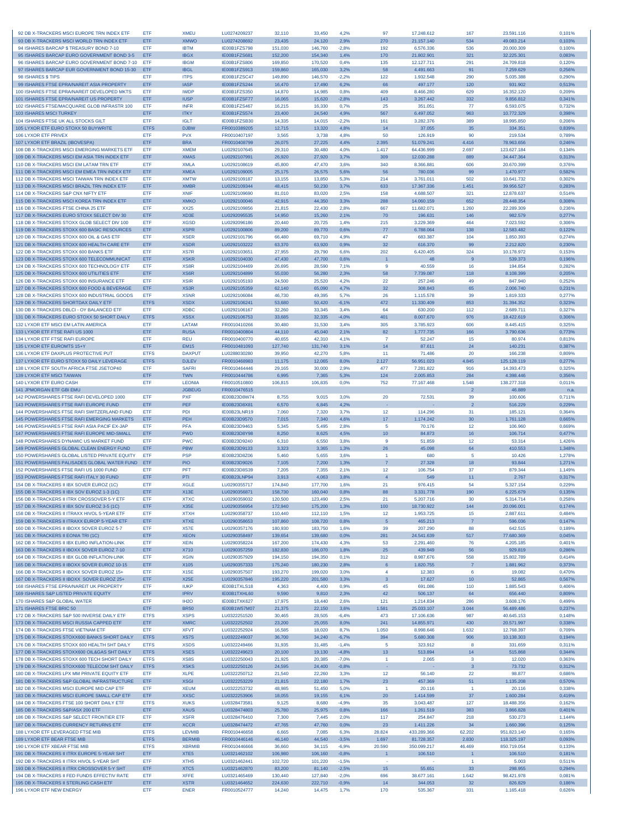| 92 DB X-TRACKERS MSCI EUROPE TRN INDEX ETF                                                 | ETF                      | <b>XMEU</b>                | LU0274209237                 | 32,110             | 33,450             | 4.2%               | 97                      | 17.248.612               | 167                     | 23.591.116                | 0,101%           |
|--------------------------------------------------------------------------------------------|--------------------------|----------------------------|------------------------------|--------------------|--------------------|--------------------|-------------------------|--------------------------|-------------------------|---------------------------|------------------|
| 93 DB X-TRACKERS MSCI WORLD TRN INDEX ETF                                                  | ETF                      | <b>XMWO</b>                | LU0274208692                 | 23,435             | 24,120             | 2,9%               | 270                     | 21.157.140               | 534                     | 49.083.214                | 0,103%           |
| 94 ISHARES BARCAP \$ TREASURY BOND 7-10                                                    | ETF                      | <b>IBTM</b>                | IE00B1FZS798                 | 151.030            | 146,760            | $-2.8%$            | 192                     | 6,576,336                | 536                     | 20,000,309                | 0.100%           |
| 95 ISHARES BARCAP EURO GOVERNMENT BOND 3-5                                                 | ETF                      | <b>IBGX</b>                | IE00B1FZS681                 | 152,200            | 154,340            | 1,4%               | 170                     | 21.802.901               | 321                     | 32.225.301                | 0,083%           |
| 96 ISHARES BARCAP EURO GOVERNMENT BOND 7-10                                                | ETF                      | <b>IBGM</b>                | IE00B1FZS806                 | 169,850            | 170,520            | 0,4%               | 135                     | 12.127.711               | 291                     | 24.709.818                | 0,120%           |
| 97 ISHARES BARCAP EUR GOVERNMENT BOND 15-30<br>98 ISHARES \$ TIPS                          | ETF<br>ETF               | <b>IBGL</b><br><b>ITPS</b> | IE00B1FZS913<br>IE00B1FZSC47 | 159,860<br>149,890 | 165,030<br>146,570 | 3,2%<br>$-2,2%$    | 58<br>122               | 4.491.663<br>1.932.548   | 91<br>290               | 7.259.629<br>5.035.388    | 0,256%<br>0,290% |
| 99 ISHARES FTSE EPRA/NAREIT ASIA PROPERTY                                                  | ETF                      | <b>IASP</b>                | IE00B1FZS244                 | 16,470             | 17,490             | 6,2%               | 66                      | 497.177                  | 120                     | 931.902                   | 0,513%           |
| 100 ISHARES FTSE EPRA/NAREIT DEVELOPED MKTS                                                | ETF                      | <b>IWDP</b>                | IE00B1FZS350                 | 14,870             | 14,985             | 0,8%               | 409                     | 8.466.280                | 629                     | 16.352.120                | 0,209%           |
| 101 ISHARES FTSE EPRA/NAREIT US PROPERTY                                                   | <b>ETF</b>               | <b>IUSP</b>                | IE00B1FZSF77                 | 16,065             | 15,620             | $-2,8%$            | 143                     | 3.267.442                | 332                     | 9.856.812                 | 0,341%           |
| 102 ISHARES FTSE/MACQUARIE GLOB INFRASTR 100                                               | ETF                      | <b>INFR</b>                | IE00B1FZS467                 | 16,215             | 16,330             | 0.7%               | 25                      | 351,051                  | 77                      | 6.593.075                 | 0,732%           |
| 103 ISHARES MSCI TURKEY                                                                    | ETF                      | <b>ITKY</b>                | IE00B1FZS574                 | 23,400             | 24,540             | 4,9%               | 567                     | 6.497.052                | 963                     | 10.772.329                | 0,398%           |
| 104 ISHARES FTSE UK ALL STOCKS GILT                                                        | ETF                      | <b>IGLT</b>                | IE00B1FZSB30                 | 14,335             | 14,015             | $-2,2%$            | 161                     | 3.282.376                | 389                     | 18.995.850                | 0,206%           |
| 105 LYXOR ETF EURO STOXX 50 BUYWRITE                                                       | <b>ETFS</b>              | <b>DJBW</b>                | FR0010389205                 | 12,715             | 13,320             | 4.8%               | 14                      | 37.055                   | 35                      | 334.351                   | 0,839%           |
| <b>106 LYXOR ETF PRIVEX</b><br>107 LYXOR ETF BRAZIL (IBOVESPA)                             | ETF                      | <b>PVX</b><br><b>BRA</b>   | FR0010407197                 | 3.565              | 3,738              | 4.8%               | 50                      | 126.919                  | 90                      | 219,534                   | 0.789%           |
| 108 DB X-TRACKERS MSCI EMERGING MARKETS ETF                                                | ETF<br>ETF               | <b>XMEM</b>                | FR0010408799<br>LU0292107645 | 26,075<br>29,310   | 27,225<br>30,480   | 4,4%<br>4,0%       | 2.395<br>1.417          | 51.079.241<br>64.436.999 | 4.416<br>2.697          | 78.963.656<br>123.627.184 | 0,246%<br>0,134% |
| 109 DB X-TRACKERS MSCI EM ASIA TRN INDEX ETF                                               | ETF                      | <b>XMAS</b>                | LU0292107991                 | 26,920             | 27,920             | 3,7%               | 309                     | 12.030.288               | 889                     | 34.447.364                | 0,313%           |
| 110 DB X-TRACKERS MSCI EM LATAM TRN ETF                                                    | <b>FTF</b>               | <b>XMLA</b>                | LU0292108619                 | 45,800             | 47,470             | 3.6%               | 340                     | 8.366.881                | 606                     | 20.670.399                | 0.376%           |
| 111 DB X-TRACKERS MSCI EM EMEA TRN INDEX ETF                                               | ETF                      | <b>XMEA</b>                | LU0292109005                 | 25,175             | 26,575             | 5.6%               | 56                      | 780,036                  | 99                      | 1,470,977                 | 0,582%           |
| 112 DB X-TRACKERS MSCI TAIWAN TRN INDEX ETF                                                | ETF                      | <b>XMTW</b>                | LU0292109187                 | 13,155             | 13,850             | 5,3%               | 214                     | 3.761.011                | 502                     | 10.641.732                | 0,302%           |
| 113 DB X-TRACKERS MSCI BRAZIL TRN INDEX ETF                                                | ETF                      | <b>XMBR</b>                | LU0292109344                 | 48.415             | 50,230             | 3,7%               | 633                     | 17.367.336               | 1.451                   | 39.956.527                | 0,283%           |
| 114 DB X-TRACKERS S&P CNX NIFTY ETF                                                        | ETF                      | <b>XNIF</b>                | LU0292109690                 | 81.010             | 83,020             | 2.5%               | 158                     | 4.688.507                | 321                     | 12.878.637                | 0,514%           |
| 115 DB X-TRACKERS MSCI KOREA TRN INDEX ETF                                                 | ETF                      | <b>XMKO</b>                | LU0292100046                 | 42,915             | 44,350             | 3,3%               | 288                     | 14.060.159               | 652                     | 28.448.354                | 0,308%           |
| 116 DB X-TRACKERS FTSE CHINA 25 ETF                                                        | ETF                      | <b>XX25</b>                | LU0292109856                 | 21,815             | 22,430             | 2,8%               | 667                     | 11.682.071               | 1.260                   | 22.289.309                | 0,236%           |
| 117 DB X-TRACKERS EURO STOXX SELECT DIV 30                                                 | ETF                      | XD3E                       | LU0292095535                 | 14.950             | 15,260             | 2,1%               | 70                      | 196.631                  | 146                     | 982.579                   | 0,277%           |
| 118 DB X-TRACKERS STOXX GLOB SELECT DIV 100<br>119 DB X-TRACKERS STOXX 600 BASIC RESOURCES | ETF<br>ETF               | <b>XGSD</b><br><b>XSPR</b> | LU0292096186<br>LU0292100806 | 20,440<br>89,200   | 20,725<br>89,770   | 1,4%<br>0.6%       | 215<br>77               | 3.229.369<br>6.788.064   | 464<br>138              | 7.023.592<br>12.583.482   | 0,306%<br>0,122% |
| 120 DB X-TRACKERS STOXX 600 OIL & GAS ETF                                                  | ETF                      | <b>XSER</b>                | LU0292101796                 | 66,480             | 69.710             | 4.9%               | 47                      | 683.387                  | 104                     | 1.850.393                 | 0,274%           |
| 121 DB X-TRACKERS STOXX 600 HEALTH CARE ETF                                                | ETF                      | <b>XSDR</b>                | LU0292103222                 | 63,370             | 63,920             | 0.9%               | -32                     | 616.370                  | 99                      | 2.212.820                 | 0,230%           |
| 122 DB X-TRACKERS STOXX 600 BANKS ETF                                                      | ETF                      | <b>XS7R</b>                | LU0292103651                 | 27,955             | 29.790             | 6.6%               | 202                     | 6.420.405                | 324                     | 10.178.972                | 0.153%           |
| 123 DB X-TRACKERS STOXX 600 TELECOMMUNICAT                                                 | ETF                      | <b>XSKR</b>                | LU0292104030                 | 47,430             | 47,700             | 0,6%               | $\mathbf{1}$            | 48                       | 9                       | 539.373                   | 0,196%           |
| 124 DB X-TRACKERS STOXX 600 TECHNOLOGY ETP                                                 | ETF                      | XS8R                       | LU0292104469                 | 26,695             | 28,590             | 7,1%               | 9                       | 40,559                   | 16                      | 194,854                   | 0,282%           |
| 125 DB X-TRACKERS STOXX 600 UTILITIES ETF                                                  | ETF                      | XS <sub>6</sub> R          | LU0292104899                 | 55,030             | 56,280             | 2.3%               | 58                      | 7.739.087                | 118                     | 8.108.399                 | 0,205%           |
| 126 DB X-TRACKERS STOXX 600 INSURANCE ETF                                                  | ETF                      | <b>XSIR</b>                | LU0292105193                 | 24,500             | 25,520             | 4,2%               | 22                      | 257.246                  | 49                      | 847.940                   | 0,252%           |
| 127 DB X-TRACKERS STOXX 600 FOOD & BEVERAGE                                                | <b>ETF</b>               | XS <sub>3R</sub>           | LU0292105359                 | 62,140             | 65,090             | 4,7%               | 32                      | 308.843                  | 65                      | 2.006.740                 | 0,231%           |
| 128 DB X-TRACKERS STOXX 600 INDUSTRIAL GOODS                                               | ETF                      | <b>XSNR</b>                | LU0292106084                 | 46,730             | 49.395             | 5.7%               | 26                      | 1.115.578                | 39                      | 1.819.333                 | 0,277%           |
| 129 DB X-TRACKERS SHORTDAX DAILY ETF                                                       | <b>ETFS</b>              | <b>XSDX</b>                | LU0292106241                 | 53,680             | 50,420             | $-6,1%$            | 472                     | 11.330.409               | 853                     | 31.394.352                | 0,323%           |
| 130 DB X-TRACKERS DBLCI - OY BALANCED ETF                                                  | ETF                      | <b>XDBC</b>                | LU0292106167                 | 32,260             | 33,345             | 3.4%               | 64                      | 630.200                  | 112                     | 2.689.711                 | 0,327%           |
| 131 DB X-TRACKERS EURO STOXX 50 SHORT DAILY                                                | <b>ETFS</b>              | <b>XSSX</b>                | LU0292106753                 | 33,685             | 32.335             | $-4,0%$            | 401                     | 8.007.670                | 976                     | 18.422.619                | 0,306%           |
| 132 LYXOR ETF MSCI EM LATIN AMERICA                                                        | ETF<br>ETF               | LATAM<br><b>RUSA</b>       | FR0010410266                 | 30,480<br>44,110   | 31,530<br>45,040   | 3,4%<br>2.1%       | 305<br>82               | 3.785.923                | 606<br>166              | 8.445.415<br>3.790.636    | 0,325%           |
| 133 LYXOR ETF FTSE RAFI US 1000<br>134 LYXOR ETF FTSE RAFI EUROPE                          | ETF                      | <b>REU</b>                 | FR0010400804<br>FR0010400770 | 40,655             | 42,310             | 4,1%               | $\overline{7}$          | 1.777.735<br>52.247      | 15                      | 80.974                    | 0,773%<br>0,813% |
| 135 LYXOR ETF EUROMTS 15+Y                                                                 | ETF                      | <b>EM15</b>                | FR0010481093                 | 127,740            | 131,740            | 3,1%               | 14                      | 87.611                   | 24                      | 140.231                   | 0,387%           |
| 136 LYXOR ETF DAXPLUS PROTECTIVE PUT                                                       | <b>ETFS</b>              | <b>DAXPUT</b>              | LU0288030280                 | 39,950             | 42,270             | 5,8%               | 11                      | 71.486                   | 20                      | 166.238                   | 0,809%           |
| 137 LYXOR ETF EURO STOXX 50 DAILY LEVERAGE                                                 | <b>ETFS</b>              | <b>DJLEV</b>               | FR0010468983                 | 11,175             | 12,065             | 8,0%               | 2.127                   | 56.951.023               | 4.845                   | 125.128.119               | 0,277%           |
| 138 LYXOR ETF SOUTH AFRICA FTSE JSETOP40                                                   | ETF                      | <b>SAFRI</b>               | FR0010464446                 | 29.165             | 30,000             | 2.9%               | 477                     | 7.281.822                | 916                     | 14.393.473                | 0.325%           |
| 139 LYXOR ETF MSCI TAIWAN                                                                  | ETF                      | <b>TWN</b>                 | FR0010444786                 | 6.995              | 7,365              | 5.3%               | 124                     | 2.005.853                | 284                     | 4.398.446                 | 0,356%           |
| 140 LYXOR ETF EURO CASH                                                                    | ETF                      | <b>LEONIA</b>              | FR0010510800                 | 106,815            | 106,835            | 0,0%               | 752                     | 77.167.468               | 1.548                   | 138.277.318               | 0,011%           |
| 141 JPMORGAN ETF GBI EMU                                                                   |                          | <b>JGBEUG</b>              | FR0010476515                 |                    |                    |                    |                         |                          | $\overline{2}$          | 46.889                    | n.a.             |
| 142 POWERSHARES FTSE RAFI DEVELOPED 1000                                                   | ETF                      | <b>PXF</b>                 | IE00B23D8W74                 | 8.755              | 9.015              | 3.0%               | 20                      | 72.531                   | 39                      | 100.606                   | 0,711%           |
| 143 POWERSHARES FTSE RAFI EUROPE FUND                                                      | ETF                      | PEF                        | IE00B23D8X81                 | 6,570              | 6,845              | 4,2%               |                         |                          | $\overline{2}$          | 516.229                   | 0,229%           |
| 144 POWERSHARES FTSE RAFI SWITZERLAND FUND                                                 | ETF                      | PDI                        |                              |                    | 7.320              |                    |                         |                          |                         |                           |                  |
|                                                                                            |                          |                            | IE00B23LNR19                 | 7.060              |                    | 3.7%               | 12                      | 114.296                  | 31                      | 185.121                   | 0.364%           |
| 145 POWERSHARES FTSE RAFI EMERGING MARKETS                                                 | ETF                      | PEH                        | IE00B23D9570                 | 7,015              | 7,340              | 4,6%               | 17                      | 1.174.242                | 30                      | 1.761.128                 | 0,665%           |
| 146 POWERSHARES FTSE RAFI ASIA PACIF EX-JAP                                                | ETF                      | PFA                        | IE00B23D9463                 | 5.345              | 5,495              | 2,8%               | -5                      | 70.176                   | 12                      | 106.960                   | 0,669%           |
| 147 POWERSHARES FTSE RAFI EUROPE MID-SMALL                                                 | ETF                      | <b>PWD</b>                 | IE00B23D8Y98                 | 8,250              | 8,625              | 4,5%               | 10                      | 84.873                   | 16                      | 106.714                   | 0,477%           |
| 148 POWERSHARES DYNAMIC US MARKET FUND                                                     | ETF                      | <b>PWC</b>                 | IE00B23D9240                 | 6,310              | 6,550              | 3,8%               | 9                       | 51.859                   | 12<br>64                | 53.314                    | 1,426%           |
| 149 POWERSHARES GLOBAL CLEAN ENERGY FUND<br>150 POWERSHARES GLOBAL LISTED PRIVATE EQUITY   | ETF<br>ETF               | <b>PBW</b><br><b>PSP</b>   | IE00B23D9133<br>IE00B23D8Z06 | 3.323              | 3,365              | 1,3%               | 26<br>$\overline{1}$    | 45.098<br>680            | 5                       | 410.553                   | 1,348%           |
| 151 POWERSHARES PALISADES GLOBAL WATER FUND                                                | ETF                      | <b>PIO</b>                 | IE00B23D9026                 | 5,460<br>7,105     | 5,655<br>7,200     | 3,6%<br>1,3%       | $\overline{7}$          | 27.328                   | 18                      | 10.426<br>93.844          | 1,278%<br>1,271% |
| 152 POWERSHARES FTSE RAFI US 1000 FUND                                                     | <b>FTF</b>               | PFT                        | IE00B23D8S39                 | 7.205              | 7.355              | 2.1%               | 12                      | 106,754                  | 37                      | 879.344                   | 1.149%           |
| 153 POWERSHARES FTSE RAFI ITALY 30 FUND                                                    | ETF                      | PTI                        | IE00B23LNP94                 | 3,913              | 4,063              | 3,8%               | $\overline{4}$          | 549                      | 11                      | 2.767                     | 0,317%           |
| 154 DB X-TRACKERS II IBX SOVER EUROZ (1C)                                                  | ETF                      | <b>XGLE</b>                | LU0290355717                 | 174,840            | 177,700            | 1,6%               | 21                      | 976.415                  | 54                      | 5.327.154                 | 0,229%           |
| 155 DB X-TRACKERS II IBX SOV EUROZ 1-3 (1C)                                                | ETF                      | X13E                       | LU0290356871                 | 158,730            | 160,040            | 0,8%               | 88                      | 3.331.778                | 190                     | 6.225.679                 | 0,135%           |
| 156 DB X-TRACKERS II ITRX CROSSOVER 5-Y ETF                                                | ETF                      | <b>XTXC</b>                | LU0290359032                 | 120,500            | 123,490            | 2.5%               | 21                      | 5.207.716                | 30                      | 5.314.714                 | 0.258%           |
| 157 DB X-TRACKERS II IBX SOV EUROZ 3-5 (1C)                                                | ETF                      | X35F                       | LU0290356954                 | 172,940            | 175,200            | 1,3%               | 100                     | 18.730.922               | 144                     | 20.096.001                | 0,174%           |
| 158 DB X-TRACKERS II ITRAXX HIVOL 5-YEAR ETF                                               | ETF                      | <b>XTXH</b>                | LU0290358737                 | 110,440            | 112,110            | 1,5%               | 12                      | 1.953.725                | 15                      | 2.887.611                 | 0,484%           |
| 159 DB X-TRACKERS II ITRAXX EUROP 5-YEAR ETF                                               | ETF<br>ETF               | <b>XTXE</b>                | LU0290358653                 | 107,860            | 108,720            | 0,8%               | $\sqrt{5}$<br>39        | 465.213                  | $\overline{7}$<br>88    | 596.036<br>642.515        | 0,147%           |
| 160 DB X-TRACKERS II IBOXX SOVER EUROZ 5-7                                                 |                          | <b>X57E</b>                | LU0290357176                 | 180,930            | 183,750            | 1,6%               |                         | 207.290                  |                         |                           | 0,189%           |
| 161 DB X-TRACKERS II EONIA TRI (1C)<br>162 DB X-TRACKERS II IBX EURO INFLATION-LINK        | ETF<br>ETF               | <b>XEON</b><br><b>XEIN</b> | LU0290358497<br>LU0290358224 | 139,654<br>167,200 | 139,680<br>174,430 | 0.0%<br>4,3%       | 281<br>53               | 24.541.639<br>2.291.460  | 517<br>76               | 77.680.369<br>4.205.185   | 0,045%<br>0,401% |
| 163 DB X-TRACKERS II IBOXX SOVER EUROZ 7-10                                                | ETF                      | X710                       | LU0290357259                 | 182,830            | 186,070            | 1,8%               | 25                      | 439.949                  | 56                      | 929.819                   | 0,286%           |
| 164 DB X-TRACKERS II IBX GLOB INFLATION-LINK                                               | ETF                      | <b>XGIN</b>                | LU0290357929                 | 194,150            | 194,350            | 0.1%               | 312                     | 8.987.676                | 558                     | 15.802.789                | 0,414%           |
| 165 DB X-TRACKERS II IBOXX SOVER EUROZ 10-15                                               | ETF                      | X105                       | LU0290357333                 | 175,240            | 180,230            | 2,8%               | $6\phantom{1}6$         | 1.820.755                | $\overline{7}$          | 1.881.962                 | 0,373%           |
| 166 DB X-TRACKERS II IBOXX SOVER EUROZ 15+                                                 | ETF                      | <b>X15E</b>                | LU0290357507                 | 193,270            | 199,020            | 3,0%               | $\overline{4}$          | 12.383                   | 6                       | 19.082                    | 0,470%           |
| 167 DB X-TRACKERS II IBOXX SOVER EUROZ 25+                                                 | <b>ETF</b>               | X25E                       | LU0290357846                 | 195.220            | 201,580            | 3,3%               | $\overline{\mathbf{3}}$ | 17.627                   | 10                      | 52.865                    | 0,567%           |
| 168 ISHARES FTSE EPRA/NAREIT UK PROPERTY                                                   | ETF                      | <b>IUKP</b>                | IE00B1TXLS18                 | 4.363              | 4.400              | 0,9%               | 45                      | 691.086                  | 110                     | 1.885.543                 | 0,406%           |
| 169 ISHARES S&P LISTED PRIVATE EQUITY                                                      | ETF                      | <b>IPRV</b>                | IE00B1TXHL60                 | 9,590              | 9,810              | 2,3%               | 42                      | 506.137                  | 64                      | 656.440                   | 0,809%           |
| 170 ISHARES S&P GLOBAL WATER                                                               | ETF                      | IH <sub>2</sub> O          | IE00B1TXK627                 | 17,975             | 18,440             | 2,6%               | 121                     | 1.214.834                | 286                     | 3.608.176                 | 0,499%           |
| 171 ISHARES FTSE BRIC 50                                                                   | <b>ETF</b>               | <b>BR50</b>                | IE00B1W57M07                 | 21,375             | 22,150             | 3,6%               | 1.581                   | 25.033.107               | 3.044                   | 56.489.486                | 0,237%           |
| 172 DB X-TRACKERS S&P 500 INVERSE DAILY ETF                                                | <b>ETFS</b>              | <b>XSPS</b>                | LU0322251520                 | 30,465             | 28,505             | $-6,4%$            | 473                     | 17.106.636               | 987                     | 40.645.153                | 0,148%           |
| 173 DB X-TRACKERS MSCI RUSSIA CAPPED ETF<br>174 DB X-TRACKERS FTSF VIFTNAM FTF             | <b>ETF</b><br><b>FTF</b> | <b>XMRC</b><br><b>XFVT</b> | LU0322252502<br>LU0322252924 | 23,200<br>16,585   | 25,055<br>18,020   | 8,0%<br>8,7%       | 241<br>1.050            | 14.855.971<br>8.998.646  | 430<br>1.632            | 20.571.997<br>12.768.397  | 0,338%<br>0.709% |
| 175 DB X-TRACKERS STOXX600 BANKS SHORT DAILY                                               | <b>ETFS</b>              | XS7S                       | LU0322249037                 | 36,700             | 34,240             | $-6,7%$            | 394                     | 5.680.308                | 906                     | 10.138.303                | 0,194%           |
| 176 DB X-TRACKERS STOXX 600 HEALTH SHT DAILY                                               | <b>ETFS</b>              | <b>XSDS</b>                | LU0322249466                 | 31,935             | 31,485             | $-1,4%$            | 5                       | 323.912                  | 8                       | 331.659                   | 0,311%           |
| 177 DB X-TRACKERS STOXX600 OIL&GAS SHT DAILY                                               | <b>ETFS</b>              | <b>XSES</b>                | LU0322249623                 | 20,100             | 19,130             | $-4,8%$            | 13                      | 513.894                  | 14                      | 515.868                   | 0,344%           |
| 178 DB X-TRACKERS STOXX 600 TECH SHORT DAILY                                               | <b>ETFS</b>              | XS8S                       | LU0322250043                 | 21.925             | 20.385             | $-7,0%$            | $\overline{1}$          | 2.065                    | 3                       | 12,020                    | 0,363%           |
| 179 DB X-TRACKERS STOXX600 TELECOM SHT DAILY                                               | <b>ETFS</b>              | <b>XSKS</b>                | LU0322250126                 | 24,595             | 24,400             | $-0,8%$            |                         |                          | $\overline{\mathbf{3}}$ | 73.732                    | 0,312%           |
| 180 DB X-TRACKERS LPX MM PRIVATE EQUITY ETF                                                | ETF.                     | <b>XLPE</b>                | LU0322250712                 | 21,540             | 22,260             | 3,3%               | 12                      | 56.140                   | 22                      | 98.877                    | 0,686%           |
| 181 DB X-TRACKERS S&P GLOBAL INFRASTRUCTURE                                                | ETF                      | <b>XSGI</b>                | LU0322253229                 | 21,815             | 22,180             | 1,7%               | 23                      | 457.369                  | 51                      | 1.135.208                 | 0,570%           |
| 182 DB X-TRACKERS MSCI EUROPE MID CAP ETF                                                  | ETF                      | <b>XEUM</b>                | LU0322253732                 | 48.985             | 51,450             | 5,0%               | $\overline{1}$          | 20.116                   | $\overline{1}$          | 20.116                    | 0,338%           |
| 183 DB X-TRACKERS MSCI EUROPE SMALL CAP ETF                                                | ETF                      | <b>XXSC</b>                | LU0322253906                 | 18,055             | 19,155             | 6,1%               | 20                      | 1.414.599                | 37                      | 1.600.284                 | 0,419%           |
| 184 DB X-TRACKERS FTSE 100 SHORT DAILY ETF<br>185 DB X-TRACKERS S&P/ASX 200 ETF            | <b>ETFS</b><br>ETF       | <b>XUKS</b><br><b>XAUS</b> | LU0328473581<br>LU0328474803 | 9,125<br>25,780    | 8,680              | $-4,9%$<br>0.8%    | 35                      | 3.043.487                | 127<br>383              | 18.488.356<br>3.866.828   | 0,162%           |
| 186 DB X-TRACKERS S&P SELECT FRONTIER ETF                                                  | ETF.                     | <b>XSFR</b>                | LU0328476410                 | 7,300              | 25,975<br>7,445    | 2,0%               | 166<br>117              | 1.261.519<br>254.847     | 218                     | 530.273                   | 0,401%<br>1,144% |
| 187 DB X-TRACKERS CURRENCY RETURNS ETF                                                     | <b>ETF</b>               | <b>XCCR</b>                | LU0328474472                 | 47,765             | 47,760             | 0,0%               | 23                      | 1.411.226                | 34                      | 1.660.396                 | 0,125%           |
| 188 LYXOR ETF LEVERAGED FTSE MIB                                                           | <b>ETFS</b>              | LEVMIB                     | FR0010446658                 | 6.665              | 7,085              | 6,3%               | 28.824                  | 433.289.366              | 62.202                  | 951.823.140               | 0,165%           |
| 189 LYXOR ETF BEAR FTSE MIB                                                                | <b>ETFS</b>              | <b>BERMIB</b>              | FR0010446146                 | 46,140             | 44,540             | $-3.5%$            | 1.697                   | 81.728.357               | 2.830                   | 118.325.197               | 0,093%           |
| 190 LYXOR ETF XBEAR FTSE MIB                                                               | <b>ETFS</b>              | <b>XBRMIB</b>              | FR0010446666                 | 36,660             | 34,115             | $-6,9%$            | 20.590                  | 350.099.217              | 46.469                  | 850.719.054               | 0,133%           |
| 191 DB X-TRACKERS II ITRX EUROPE 5-YEAR SHT                                                | ETF                      | XTE <sub>5</sub>           | LU0321462102                 | 106,980            | 106,160            | $-0.8%$            | $\overline{1}$          | 106.510                  | $\overline{1}$          | 106.510                   | 0,181%           |
| 192 DB X-TRACKERS II ITRX HIVOL 5-YEAR SHT                                                 | ETF                      | XTH <sub>5</sub>           | LU0321462441                 | 102,720            | 101,220            | $-1.5%$            |                         |                          | $\overline{1}$          | 5.003                     | 0,511%           |
| 193 DB X-TRACKERS II ITRX CROSSOVER 5-Y SHT                                                | <b>ETF</b>               | XTC5                       | LU0321462870                 | 83,200             | 81,140             | $-2,5%$            | 15                      | 55.651                   | 33                      | 298.955                   | 0,294%           |
| 194 DB X-TRACKERS II FED FUNDS EFFECTIV RATE<br>195 DB X-TRACKERS II STERLING CASH ETF     | ETF<br><b>ETF</b>        | <b>XFFE</b><br><b>XSTR</b> | LU0321465469<br>LU0321464652 | 130,440<br>224,630 | 127,840<br>222,710 | $-2.0%$<br>$-0,9%$ | 696<br>14               | 38.677.161<br>344.053    | 1.642<br>32             | 98.421.978<br>826.829     | 0,081%<br>0,186% |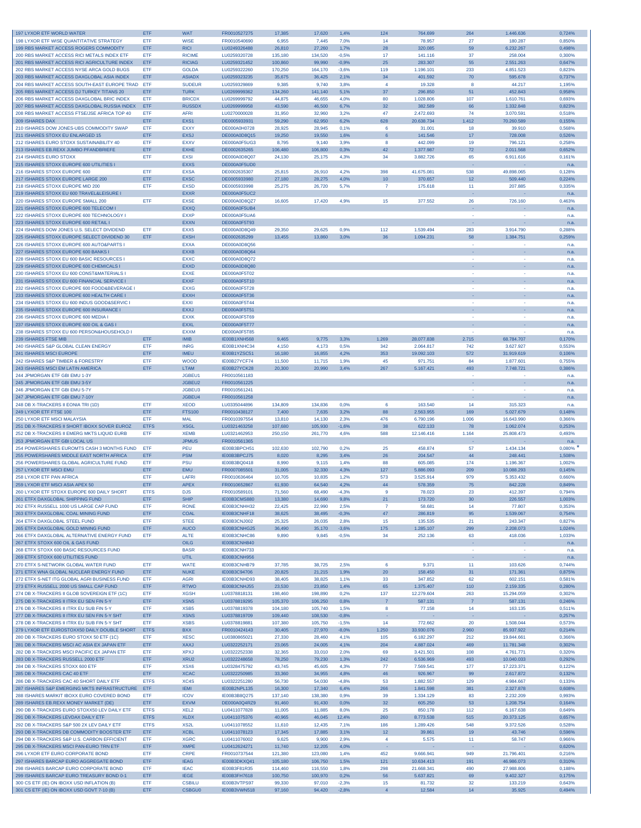| 197 LYXOR ETF WORLD WATER                    | ETF         | <b>WAT</b>        | FR0010527275 | 17,385  | 17,620  | 1,4%    | 124              | 764.699    | 264            | 1.446.636  | 0,724% |
|----------------------------------------------|-------------|-------------------|--------------|---------|---------|---------|------------------|------------|----------------|------------|--------|
| 198 LYXOR ETF WISE QUANTITATIVE STRATEGY     | ETF         | <b>WISE</b>       | FR0010540690 | 6,955   | 7,445   | 7,0%    | 14               | 78.957     | 27             | 180.287    | 0,850% |
| 199 RBS MARKET ACCESS ROGERS COMMODITY       | ETF         | <b>RICI</b>       | LU0249326488 | 26,810  | 27,260  | 1,7%    | 28               | 320.085    | 59             | 6.232.267  | 0,498% |
| 200 RBS MARKET ACCESS RICI METALS INDEX ETF  | ETF         |                   |              |         |         |         | 17               |            | 37             |            |        |
|                                              |             | <b>RICIME</b>     | LU0259320728 | 135,180 | 134,520 | $-0,5%$ |                  | 141.116    |                | 258.004    | 0,300% |
| 201 RBS MARKET ACCESS RICI AGRICULTURE INDEX | ETF         | <b>RICIAG</b>     | LU0259321452 | 100,860 | 99,990  | $-0.9%$ | 25               | 283.307    | 55             | 2.551.263  | 0,647% |
| 202 RBS MARKET ACCESS NYSE ARCA GOLD BUGS    | ETF         | <b>GOLDA</b>      | LU0259322260 | 170,250 | 164,170 | $-3.6%$ | 119              | 1.196.101  | 233            | 4.851.523  | 0,823% |
| 203 RBS MARKET ACCESS DAXGLOBAL ASIA INDEX   | ETF         | <b>ASIADX</b>     | LU0259323235 | 35,675  | 36,425  | 2,1%    | 34               | 401.592    | 70             | 595.678    | 0,737% |
| 204 RBS MARKET ACCESS SOUTH-EAST EUROPE TRAD | ETF         | <b>SUDEUR</b>     | LU0259329869 | 9,385   | 9,740   | 3.8%    | $\overline{4}$   | 19.328     | 8              | 44.217     | 1,195% |
| 205 RBS MARKET ACCESS DJ TURKEY TITANS 20    | ETF         | <b>TURK</b>       | LU0269999362 | 134,260 | 141,140 | 5,1%    | 37               | 296.850    | 51             | 452.843    | 0,958% |
| 206 RBS MARKET ACCESS DAXGLOBAL BRIC INDEX   | ETF         | <b>BRICDX</b>     | LU0269999792 | 44,875  | 46,655  | 4,0%    | 80               | 1.028.806  | 107            | 1.610.761  | 0,693% |
| 207 RBS MARKET ACCESS DAXGLOBAL RUSSIA INDEX | ETF         | <b>RUSSDX</b>     | LU0269999958 | 43,590  | 46,500  | 6.7%    | 32               | 382.589    | 66             | 1.332.848  | 0,823% |
| 208 RBS MARKET ACCESS FTSE/JSE AFRICA TOP 40 | ETF         | <b>AFRI</b>       | LU0270000028 | 31,950  | 32,960  | 3,2%    | 47               | 2.472.693  | 74             | 3.070.591  | 0,518% |
| 209 ISHARES DAX                              | ETF         | EXS1              | DE0005933931 | 59,290  | 62,950  | 6,2%    | 628              | 20.638.734 | 1.412          | 70.260.589 | 0,155% |
| 210 ISHARES DOW JONES-UBS COMMODITY SWAP     | ETF         | <b>EXXY</b>       | DE000A0H0728 | 28,925  | 28,945  | 0,1%    | 6                | 31.001     | 18             | 39.910     | 0,568% |
|                                              |             | <b>EXSJ</b>       |              |         |         |         |                  |            |                |            |        |
| 211 ISHARES STOXX EU ENLARGED 15             | ETF         |                   | DE000A0D8Q15 | 19,250  | 19,550  | 1,6%    | 6                | 141.546    | 17             | 728.008    | 0,526% |
| 212 ISHARES EURO STOXX SUSTAINABILITY 40     | ETF         | EXXV              | DE000A0F5UG3 | 8.795   | 9.140   | 3.9%    | 8                | 442.099    | 19             | 796.121    | 0.258% |
| 213 ISHARES EB.REXX JUMBO PFANDBRIEFE        | ETF         | <b>EXHE</b>       | DE0002635265 | 106,480 | 106,800 | 0,3%    | 42               | 1.377.987  | 72             | 2.011.568  | 0,652% |
| 214 ISHARES EURO STOXX                       | ETF         | <b>EXSI</b>       | DE000A0D8Q07 | 24,130  | 25,175  | 4,3%    | 34               | 3.882.726  | 65             | 6.911.616  | 0,161% |
| 215 ISHARES STOXX EUROPE 600 UTILITIES I     |             | <b>EXXS</b>       | DE000A0F5UD0 |         |         |         |                  |            |                |            | n.a.   |
| 216 ISHARES STOXX EUROPE 600                 | ETF         | <b>EXSA</b>       | DE0002635307 | 25,815  | 26,910  | 4.2%    | 398              | 41.675.081 | 538            | 49.898.065 | 0,128% |
| 217 ISHARES STOXX EUROPE LARGE 200           | ETF         | <b>EXSC</b>       | DE0005933980 | 27,180  | 28,275  | 4,0%    | 10 <sub>1</sub>  | 370.657    | 12             | 509.440    | 0,224% |
| 218 ISHARES STOXX EUROPE MID 200             | ETF         | <b>EXSD</b>       | DE0005933998 | 25.275  | 26,720  | 5.7%    | $\overline{7}$   | 175,618    | 11             | 207.885    | 0.335% |
| 219 ISHARES STOXX EU 600 TRAVEL&LEISURE I    |             | <b>EXXR</b>       | DE000A0F5UC2 |         |         |         |                  |            |                |            | n.a.   |
|                                              |             |                   |              |         |         |         |                  |            |                |            |        |
| 220 ISHARES STOXX EUROPE SMALL 200           | ETF         | <b>EXSE</b>       | DE000A0D8QZ7 | 16,605  | 17,420  | 4,9%    | 15               | 377.552    | 26             | 726.160    | 0,463% |
| 221 ISHARES STOXX EUROPE 600 TELECOM I       |             | <b>EXXQ</b>       | DE000A0F5UB4 |         |         |         |                  |            | ÷.             |            | n.a.   |
| 222 ISHARES STOXX EUROPE 600 TECHNOLOGY I    |             | <b>EXXP</b>       | DE000A0F5UA6 |         |         |         |                  |            |                |            | n.a    |
| 223 ISHARES STOXX EUROPE 600 RETAIL I        |             | <b>EXXN</b>       | DE000A0F5T93 |         |         |         |                  |            |                |            | n.a.   |
| 224 ISHARES DOW JONES U.S. SELECT DIVIDEND   | ETF         | EXX5              | DE000A0D8Q49 | 29,350  | 29.625  | 0.9%    | 112              | 1.539.494  | 283            | 3.914.790  | 0,288% |
| 225 ISHARES STOXX EUROPE SELECT DIVIDEND 30  | ETF         | <b>EXSH</b>       | DE0002635299 | 13,455  | 13,860  | 3,0%    | 36               | 1.094.231  | 58             | 1.384.751  | 0,259% |
| 226 ISHARES STOXX EUROPE 600 AUTO&PARTS I    |             | <b>EXXA</b>       | DE000A0D8Q56 |         |         |         |                  |            | ×,             |            | n.a.   |
| 227 ISHARES STOXX EUROPE 600 BANKS I         |             |                   |              |         |         |         |                  |            | ×              | ×          |        |
|                                              |             | <b>EXXB</b>       | DE000A0D8Q64 |         |         |         |                  |            |                |            | n.a.   |
| 228 ISHARES STOXX EU 600 BASIC RESOURCES I   |             | <b>EXXC</b>       | DE000A0D8Q72 |         |         |         |                  |            |                |            | n.a.   |
| 229 ISHARES STOXX EUROPE 600 CHEMICALS I     |             | <b>EXXD</b>       | DE000A0D8Q80 |         |         |         |                  |            |                |            | n.a.   |
| 230 ISHARES STOXX EU 600 CONST&MATERIALS I   |             | <b>EXXE</b>       | DE000A0F5T02 |         |         |         |                  |            | ×              |            | n.a.   |
| 231 ISHARES STOXX EU 600 FINANCIAL SERVICE I |             | <b>EXXF</b>       | DE000A0F5T10 |         |         |         |                  |            | ×              |            | n.a.   |
| 232 ISHARES STOXX EUROPE 600 FOOD&BEVERAGE   |             | <b>EXXG</b>       | DE000A0F5T28 |         |         |         |                  |            |                |            | n.a.   |
| 233 ISHARES STOXX EUROPE 600 HEALTH CARE I   |             | <b>EXXH</b>       | DE000A0F5T36 |         |         |         |                  |            | ×              |            | n.a.   |
| 234 ISHARES STOXX EU 600 INDUS GOOD&SERVIC I |             | <b>EXXI</b>       | DE000A0F5T44 |         |         |         |                  |            |                |            | n.a.   |
|                                              |             |                   |              |         |         |         |                  |            |                |            |        |
| 235 ISHARES STOXX EUROPE 600 INSURANCE I     |             | <b>EXXJ</b>       | DE000A0F5T51 |         |         |         |                  |            |                |            | n.a.   |
| 236 ISHARES STOXX EUROPE 600 MEDIA I         |             | <b>EXXK</b>       | DE000A0F5T69 |         |         |         |                  |            | ×              |            | n.a.   |
| 237 ISHARES STOXX EUROPE 600 OIL & GAS I     |             | <b>EXXL</b>       | DE000A0F5T77 |         |         |         |                  |            | ×              |            | n.a.   |
| 238 ISHARES STOXX EU 600 PERSON&HOUSEHOLD I  |             | <b>EXXM</b>       | DE000A0F5T85 |         |         |         |                  |            |                |            | n.a.   |
| 239 ISHARES FTSE MIB                         | ETF         | <b>IMIB</b>       | IE00B1XNH568 | 9,465   | 9,775   | 3,3%    | 1.269            | 28.077.838 | 2.715          | 68.784.707 | 0,170% |
| 240 ISHARES S&P GLOBAL CLEAN ENERGY          | ETF         | <b>INRG</b>       | IE00B1XNHC34 | 4,150   | 4.173   | 0.5%    | 342              | 2.064.817  | 742            | 3.627.927  | 0,553% |
| 241 ISHARES MSCI EUROPE                      | ETF         | <b>IMEU</b>       | IE00B1YZSC51 | 16,180  | 16,855  | 4.2%    | 353              | 19.092.103 | 572            | 31.919.619 | 0,106% |
|                                              |             |                   |              |         |         |         |                  |            | 84             |            |        |
| 242 ISHARES S&P TIMBER & FORESTRY            | ETF         | <b>WOOD</b>       | IE00B27YCF74 | 11,500  | 11,715  | 1,9%    | 45               | 971.751    |                | 1.877.601  | 0,755% |
| 243 ISHARES MSCI EM LATIN AMERICA            | ETF         | <b>LTAM</b>       | IE00B27YCK28 | 20,300  | 20,990  | 3,4%    | 267              | 5.167.421  | 493            | 7.748.721  | 0,386% |
| 244 JPMORGAN ETF GBI EMU 1-3Y                |             | JGBEU1            | FR0010561183 |         |         |         |                  |            |                |            | n.a.   |
| 245 JPMORGAN ETF GBI EMU 3-5Y                |             | JGBEU2            | FR0010561225 |         |         |         |                  |            |                |            | n.a.   |
| 246 JPMORGAN ETF GBI EMU 5-7Y                |             | JGBEU3            | FR0010561241 |         |         |         |                  |            |                |            | n.a.   |
| 247 JPMORGAN ETF GBI EMU 7-10Y               |             | JGBEU4            | FR0010561258 |         |         |         |                  |            |                |            | n.a.   |
| 248 DB X-TRACKERS II EONIA TRI (1D)          | ETF         | <b>XEOD</b>       | LU0335044896 | 134,809 | 134,836 | 0.0%    | 6                | 163.540    | 14             | 315.323    | n.a.   |
|                                              |             |                   |              |         |         |         | 88               |            | 169            |            |        |
| 249 LYXOR ETF FTSE 100                       | ETF         | <b>FTS100</b>     | FR0010438127 | 7,400   | 7,635   | 3,2%    |                  | 2.563.955  |                | 5.027.679  | 0,148% |
| 250 LYXOR ETF MSCI MALAYSIA                  | ETF         | <b>MAL</b>        | FR0010397554 | 13,810  | 14,130  | 2,3%    | 476              | 6.790.196  | 1.006          | 16.643.990 | 0,366% |
| 251 DB X-TRACKERS II SHORT IBOXX SOVER EUROZ | <b>ETFS</b> | <b>XSGL</b>       | LU0321463258 | 107,680 | 105,930 | $-1,6%$ | 38               | 622.133    | 78             | 1.062.074  | 0,253% |
| 252 DB X-TRACKERS II EMERG MKTS LIQUID EURB  | ETF         | <b>XEMB</b>       | LU0321462953 | 250,150 | 261,770 | 4,6%    | 588              | 12.146.416 | 1.164          | 25.808.473 | 0,493% |
| 253 JPMORGAN ETF GBI LOCAL US                |             | <b>JPMUS</b>      | FR0010561365 |         |         |         |                  |            |                |            | n.a.   |
| 254 POWERSHARES EUROMTS CASH 3 MONTHS FUND   | ETF         | PEU               | IE00B3BPCH51 | 102,630 | 102,790 | 0,2%    | 25               | 458.874    | 57             | 1.434.134  | 0,080% |
| 255 POWERSHARES MIDDLE EAST NORTH AFRICA     | ETF         | <b>PSM</b>        | IE00B3BPCJ75 | 8,020   | 8,295   | 3,4%    | 26               | 204.547    | 44             | 248.441    | 1,508% |
| 256 POWERSHARES GLOBAL AGRICULTURE FUND      |             |                   |              |         |         |         |                  |            |                |            |        |
|                                              | ETF         | PSU               | IE00B3BQ0418 | 8,990   | 9,115   | 1,4%    | 88               | 605.085    | 174            | 1.196.367  | 1,002% |
| 257 LYXOR ETF MSCI EMU                       | ETF         | <b>EMU</b>        | FR0007085501 | 31,005  | 32,330  | 4.3%    | 127              | 5.886.093  | 209            | 10.088.293 | 0,145% |
| 258 LYXOR ETF PAN AFRICA                     | ETF         | LAFRI             | FR0010636464 | 10,705  | 10,835  | 1,2%    | 573              | 3.525.914  | 979            | 5.353.432  | 0,660% |
| 259 LYXOR ETF MSCI ASIA APEX 50              | ETF         | <b>APEX</b>       | FR0010652867 | 61.930  | 64,540  | 4,2%    | 44               | 578.359    | 75             | 842.228    | 0.849% |
| 260 LYXOR ETF STOXX EUROPE 600 DAILY SHORT   | <b>ETFS</b> | <b>DJS</b>        | FR0010589101 | 71,560  | 68,490  | $-4.3%$ | 9                | 78.023     | 23             | 412.397    | 0.794% |
| 261 ETFX DAXGLOBAL SHIPPING FUND             | ETF         | <b>SHIP</b>       | IE00B3CMS880 | 13.380  | 14.690  | 9.8%    |                  | 173.720    | 30             | 226.557    | 1,003% |
| 262 ETFX RUSSELL 1000 US LARGE CAP FUND      | ETF         | <b>RONE</b>       | IE00B3CNHH32 | 22,425  | 22,990  | 2,5%    | $\overline{7}$   | 58,681     | 14             | 77.807     | 0,353% |
| 263 ETFX DAXGLOBAL COAL MINING FUND          | ETF         | <b>COAL</b>       | IE00B3CNHF18 | 38,625  | 38,495  | $-0,3%$ | $47\,$           | 286.819    | 95             | 1.539.067  | 0,754% |
| 264 ETFX DAXGLOBAL STEEL FUND                | ETF         | <b>STEE</b>       | IE00B3CNJ002 | 25.325  |         |         | 15               | 135,535    | 21             |            |        |
|                                              |             |                   |              |         | 26,035  | 2,8%    |                  |            |                | 243.347    | 0,827% |
| 265 ETFX DAXGLOBAL GOLD MINING FUND          | ETF         | <b>AUCO</b>       | IE00B3CNHG25 | 36,490  | 35,170  | $-3.6%$ | 175              | 1.285.107  | 299            | 2.208.073  | 1,024% |
| 266 ETFX DAXGLOBAL ALTERNATIVE ENERGY FUND   | ETF         | <b>ALTE</b>       | IE00B3CNHC86 | 9,890   | 9,845   | $-0.5%$ | 34               | 252.136    | 63             | 418.036    | 1,033% |
| 267 ETFX STOXX 600 OIL & GAS FUND            |             | OILG              | IE00B3CNH840 |         |         |         |                  |            | ÷.             |            | n.a.   |
| 268 ETFX STOXX 600 BASIC RESOURCES FUND      |             | <b>BASR</b>       | IE00B3CNH733 |         |         |         |                  |            | ×.             | ×,         | n.a.   |
| 269 ETFX STOXX 600 UTILITIES FUND            |             | UTIL              | IE00B3CNH956 |         |         |         |                  |            |                |            | n.a.   |
| 270 ETFX S-NETWORK GLOBAL WATER FUND         | ETF         | <b>WATE</b>       | IE00B3CNHB79 | 37,785  | 38,725  | 2,5%    |                  |            |                |            |        |
| 271 ETFX WNA GLOBAL NUCLEAR ENERGY FUND      | ETF         |                   |              |         |         |         | -6               | 9.371      | 11             | 103.626    | 0,744% |
| 272 ETFX S-NET ITG GLOBAL AGRI BUSINESS FUND |             | <b>NUKE</b>       |              | 20,825  |         |         | 20               |            | 31             |            |        |
|                                              |             |                   | IE00B3C94706 |         | 21,215  | 1,9%    |                  | 158.450    |                | 171.361    | 0,875% |
|                                              | ETF         | <b>AGRI</b>       | IE00B3CNHD93 | 38,405  | 38,825  | 1,1%    | 33               | 347.852    | 62             | 602.151    | 0,581% |
| 273 ETFX RUSSELL 2000 US SMALL CAP FUND      | ETF         | <b>RTWO</b>       | IE00B3CNHJ55 | 23,530  | 23,850  | 1,4%    | 65               | 1.375.407  | 110            | 2.159.335  | 0,280% |
| 274 DB X-TRACKERS II GLOB SOVEREIGN ETF (1C) | ETF         | <b>XGSH</b>       | LU0378818131 | 198,460 | 198,890 | 0,2%    | 137              | 12.279.604 | 263            | 15.294.059 | 0,302% |
| 275 DB X-TRACKERS II ITRX EU SEN FIN 5-Y     | ETF         | XSN <sub>5</sub>  | LU0378819295 | 105,370 | 106,250 | 0,8%    | $\overline{7}$   | 587.131    | $\overline{7}$ | 587.131    | 0,246% |
| 276 DB X-TRACKERS II ITRX EU SUB FIN 5-Y     | ETF         | XSB <sub>5</sub>  | LU0378819378 | 104,180 | 105,740 | 1,5%    | $\boldsymbol{8}$ | 77.158     | 14             | 163.135    | 0,511% |
| 277 DB X-TRACKERS II ITRX EU SEN FIN 5-Y SHT | ETF         | <b>XSNS</b>       | LU0378819709 | 109,440 | 108,530 | $-0,8%$ | ×,               |            |                |            | 0,257% |
| 278 DB X-TRACKERS II ITRX EU SUB FIN 5-Y SHT | ETF         | <b>XSBS</b>       | LU0378819881 | 107,380 | 105,750 | $-1.5%$ | 14               | 772.662    | 20             | 1.508.044  | 0,573% |
|                                              |             |                   | FR0010424143 |         |         |         |                  |            |                |            |        |
| 279 LYXOR ETF EUROSTOXX50 DAILY DOUBLE SHORT | <b>ETFS</b> | <b>BXX</b>        |              | 30,405  | 27,970  | $-8.0%$ | 1.250            | 33.930.076 | 2.960          | 85.937.922 | 0,214% |
| 280 DB X-TRACKERS EURO STOXX 50 ETF (1C)     | ETF         | <b>XESC</b>       | LU0380865021 | 27,330  | 28,460  | 4,1%    | 105              | 6.182.297  | 212            | 19.844.661 | 0,366% |
| 281 DB X-TRACKERS MSCI AC ASIA EX JAPAN ETF  | ETF         | <b>XAXJ</b>       | LU0322252171 | 23,065  | 24,005  | 4,1%    | 204              | 4.887.024  | 469            | 11.781.348 | 0,302% |
| 282 DB X-TRACKERS MSCI PACIFIC EX JAPAN ETF  | ETF         | <b>XPXJ</b>       | LU0322252338 | 32,365  | 33,010  | 2,0%    | 69               | 3.421.501  | 108            | 4.761.771  | 0,320% |
| 283 DB X-TRACKERS RUSSELL 2000 ETF           | ETF         | XRU <sub>2</sub>  | LU0322248658 | 78,250  | 79,230  | 1,3%    | 242              | 6.536.969  | 493            | 10.040.033 | 0,292% |
| 284 DB X-TRACKERS STOXX 600 ETF              | ETF         | XSX6              | LU0328475792 | 43,745  | 45.605  | 4,3%    | 77               | 7.569.541  | 177            | 17.223.371 | 0,122% |
| 285 DB X-TRACKERS CAC 40 ETF                 | ETF         | <b>XCAC</b>       | LU0322250985 | 33,360  | 34,955  | 4,8%    | 46               | 926.967    | 99             | 2.617.872  | 0,132% |
| 286 DB X-TRACKERS CAC 40 SHORT DAILY ETF     | <b>ETFS</b> | XC4S              | LU0322251280 | 56,730  | 54,030  | $-4,8%$ | 53               | 1.882.557  | 129            | 4.984.667  | 0,133% |
|                                              |             |                   |              |         |         |         |                  |            |                |            | 0.608% |
| 287 ISHARES S&P EMERGING MKTS INFRASTRUCTURE | ETF         | <b>IEMI</b>       | IE00B2NPL135 | 16,300  | 17,340  | 6,4%    | 266              | 1.841.598  | 381            | 2.327.878  |        |
| 288 ISHARES MARKIT IBOXX EURO COVERED BOND   | ETF         | <b>ICOV</b>       | IE00B3B8Q275 | 137,140 | 138,380 | 0.9%    | 39               | 1.334.129  | 83             | 2.232.209  | 0.993% |
| 289 ISHARES EB.REXX MONEY MARKET (DE)        | ETF         | EXVM              | DE000A0Q4RZ9 | 91,460  | 91,430  | 0,0%    | 32               | 605.250    | 53             | 1.208.754  | 0,164% |
| 290 DB X-TRACKERS EURO STOXX50 LEV DAILY ETF | <b>ETFS</b> | XEL <sub>2</sub>  | LU0411077828 | 11,005  | 11,885  | 8,0%    | 25               | 850.178    | 112            | 6.167.638  | 0.649% |
| 291 DB X-TRACKERS LEVDAX DAILY ETF           | <b>ETFS</b> | <b>XLDX</b>       | LU0411075376 | 40,965  | 46,045  | 12,4%   | 260              | 8.773.538  | 515            | 20.373.125 | 0,657% |
| 292 DB X-TRACKERS S&P 500 2X LEV DAILY ETF   | <b>ETFS</b> | XS <sub>2</sub> L | LU0411078552 | 11,610  | 12,435  | 7,1%    | 186              | 1.289.426  | 548            | 9.372.526  | 0,528% |
| 293 DB X-TRACKERS DB COMMODITY BOOSTER ETF   | ETF         | <b>XCBL</b>       | LU0411078123 | 17,345  | 17,885  | 3,1%    | 12               | 39.861     | 19             | 43.746     | 0.596% |
|                                              |             |                   |              |         |         |         |                  |            |                |            |        |
| 294 DB X-TRACKERS S&P U.S. CARBON EFFICIENT  | ETF         | <b>XGRC</b>       | LU0411076002 | 9,625   | 9,900   | 2,9%    | 4                | 5.575      | 11             | 58.747     | 0,966% |
| 295 DB X-TRACKERS MSCI PAN-EURO TRN ETF      | ETF         | <b>XMPE</b>       | LU0412624271 | 11,740  | 12,205  | 4,0%    | ×                |            |                |            | 0,620% |
| 296 LYXOR ETF EURO CORPORATE BOND            | ETF         | <b>CRPE</b>       | FR0010737544 | 121,380 | 123,080 | 1.4%    | 452              | 9.666.941  | 949            | 21.796.401 | 0,216% |
| 297 ISHARES BARCAP EURO AGGREGATE BOND       | ETF         | <b>IEAG</b>       | IE00B3DKXQ41 | 105,180 | 106,750 | 1,5%    | 121              | 10.634.413 | 191            | 46.986.073 | 0,310% |
| 298 ISHARES BARCAP EURO CORPORATE BOND       | ETF         | <b>IEAC</b>       | IE00B3F81R35 | 114,460 | 116,550 | 1.8%    | 298              | 21.668.341 | 490            | 27.988.806 | 0,188% |
| 299 ISHARES BARCAP EURO TREASURY BOND 0-1    | ETF         | <b>IEGE</b>       | IE00B3FH7618 | 100,750 | 100,970 | 0,2%    | 56               | 5.637.821  | 69             | 9.402.327  | 0,175% |
| 300 CS ETF (IE) ON IBOXX USD INFLATION (B)   | ETF         | <b>CSBILU</b>     | IE00B3VTPS97 | 99,330  | 97,010  | $-2,3%$ | 15               | 81.732     | 32             | 133.219    | 0,643% |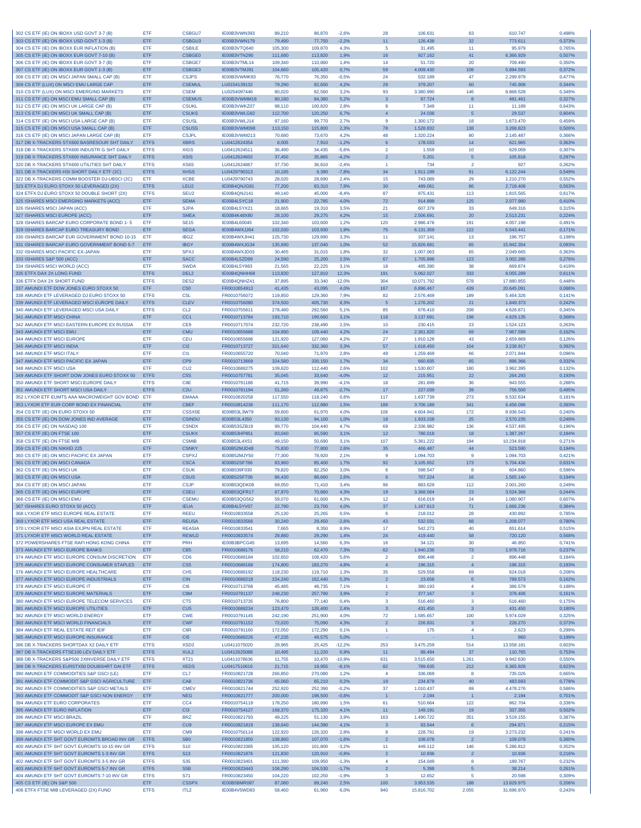| 302 CS ETF (IE) ON IBOXX USD GOVT 3-7 (B)                                                | ETF                        | <b>CSBGU7</b>                      | IE00B3VWN393                 | 89,210             | 86,870             | $-2.6%$            | 28                                      | 106.631              | 63                      | 610.747                | 0,498%           |
|------------------------------------------------------------------------------------------|----------------------------|------------------------------------|------------------------------|--------------------|--------------------|--------------------|-----------------------------------------|----------------------|-------------------------|------------------------|------------------|
| 303 CS ETF (IE) ON IBOXX USD GOVT 1-3 (B)                                                | ETF                        | <b>CSBGU3</b>                      | IE00B3VWN179                 | 79,490             | 77,750             | $-2.2%$            | 11                                      | 126.438              | 32                      | 773.611                | 0,373%           |
| 304 CS ETF (IE) ON IBOXX EUR INFLATION (B)                                               | ETF                        | <b>CSBILE</b>                      | IE00B3VTQ640                 | 105,300            | 109,870            | 4,3%               | 5                                       | 31.495               | 11                      | 95.979                 | 0,765%           |
| 305 CS ETF (IE) ON IBOXX EUR GOVT 7-10 (B)                                               | ETF                        | <b>CSBGE0</b>                      | IE00B3VTN290                 | 111,680            | 113,820            | 1.9%               | 16                                      | 927.162              | 41                      | 6.366.929              | 0,507%           |
| 306 CS ETF (IE) ON IBOXX EUR GOVT 3-7 (B)                                                | <b>FTF</b>                 | <b>CSBGE7</b>                      | IE00B3VTML14                 | 109,340            | 110,860            | 1.4%               | 14                                      | 51,720               | 20                      | 709.490                | 0.350%           |
| 307 CS ETF (IE) ON IBOXX EUR GOVT 1-3 (B)                                                | ETF                        | CSBGE3                             | IE00B3VTMJ91                 | 104,660            | 105,420            | 0,7%               | 59                                      | 4.009.430            | 108                     | 5.894.593              | 0,372%           |
| 308 CS ETF (IE) ON MSCI JAPAN SMALL CAP (B)                                              | ETF                        | <b>CSJPS</b>                       | IE00B3VWMK93                 | 76,770             | 76,350             | $-0,5%$            | 24                                      | 532.189              | 47                      | 2.299.979              | 0,477%           |
| 309 CS ETF (LUX) ON MSCI EMU LARGE CAP                                                   | ETF                        | <b>CSEMUI</b>                      | LU0154139132                 | 79,290             | 82,600             | 4.2%               | 29                                      | 379.207              | 60                      | 745.908                | 0,344%           |
| 310 CS ETF (LUX) ON MSCI EMERGING MARKETS                                                | ETF                        | <b>CSEM</b>                        | LU0254097446                 | 80,020             | 82,560             | 3.2%               | 93                                      | 3.380.990            | 146                     | 8.868.528              | 0,349%           |
| 311 CS ETF (IE) ON MSCI EMU SMALL CAP (B)                                                | ETF                        | <b>CSEMUS</b>                      | IE00B3VWMM18                 | 80,180             | 84,380             | 5.2%               | $\overline{\mathbf{3}}$                 | 97.724               | 8                       | 481.461                | 0,327%           |
| 312 CS ETF (IE) ON MSCI UK LARGE CAP (B)                                                 | <b>FTF</b>                 | <b>CSUKL</b>                       | IE00B3VWKZ07                 | 98.110             | 100,820            | 2.8%               | $\mathbf{a}$                            | 7.349                | 11                      | 11.189                 | 0,643%           |
| 313 CS ETF (IE) ON MSCI UK SMALL CAP (B)                                                 | ETF                        | <b>CSUKS</b>                       | IE00B3VWLG82                 | 112,700            | 120,250            | 6,7%               | $\overline{4}$                          | 24.038               | 5                       | 29.537                 | 0,804%           |
| 314 CS ETF (IE) ON MSCI USA LARGE CAP (B)                                                | ETF                        | <b>CSUSL</b>                       | IE00B3VWLJ14                 | 97,160             | 99,770             | 2,7%               | 9                                       | 1.300.172            | 18                      | 1.673.470              | 0,459%           |
| 315 CS ETF (IE) ON MSCI USA SMALL CAP (B)<br>316 CS ETF (IE) ON MSCI JAPAN LARGE CAP (B) | ETF                        | <b>CSUSS</b>                       | IE00B3VWM098                 | 113,150            | 115,800            | 2,3%               | 78                                      | 1.528.832            | 138                     | 3.268.823              | 0,500%           |
| 317 DB X-TRACKERS STX600 BASRESOUR SHT DAILY                                             | ETF<br><b>ETFS</b>         | <b>CSJPL</b><br><b>XBRS</b>        | IE00B3VWM213<br>LU0412624354 | 70,680<br>8.005    | 73,670<br>7,910    | 4.2%<br>$-1,2%$    | 48<br>6                                 | 1.320.224<br>178.033 | 80<br>14                | 2.145.487<br>621.965   | 0,366%<br>0,363% |
| 318 DB X-TRACKERS STX600 INDUSTR G SHT DAILY                                             | <b>ETFS</b>                | <b>XIGS</b>                        | LU0412624511                 | 36,490             | 34,435             | $-5,6%$            | $\overline{2}$                          | 1.559                | 10                      | 629.059                | 0,307%           |
| 319 DB X-TRACKERS STX600 INSURANCE SHT DAILY                                             | <b>ETFS</b>                | <b>XSIS</b>                        | LU0412624602                 | 37,450             | 35,865             | $-4,2%$            | $\overline{2}$                          | 5.201                | 5                       | 105.818                | 0,297%           |
| 320 DB X-TRACKERS STX600 UTILITIES SHT DAILY                                             | <b>FTFS</b>                | XS6S                               | LU0412624867                 | 37.730             | 36.810             | $-2.4%$            | $\overline{1}$                          | 734                  | $\overline{2}$          | 927                    | 0.262%           |
| 321 DB X-TRACKERS HSI SHORT DAILY ETF (2C)                                               | <b>ETFS</b>                | <b>XHSS</b>                        | LU0429790313                 | 10,185             | 9,390              | $-7.8%$            | 34                                      | 1.911.199            | 91                      | 6.122.244              | 0,549%           |
| 322 DB X-TRACKERS COMM BOOSTER DJ-UBSCI (2C)                                             | ETF                        | <b>XCBE</b>                        | LU0429790743                 | 28,020             | 28,690             | 2,4%               | 15                                      | 743.089              | 29                      | 1.210.270              | 0,552%           |
| 323 ETFX DJ EURO STOXX 50 LEVERAGED (2X)                                                 | <b>ETFS</b>                | I FU2                              | IE00B4QNJG91                 | 77,200             | 83.310             | 7.9%               | 30                                      | 489.061              | 86                      | 2.718.408              | 0,563%           |
| 324 ETFX DJ EURO STOXX 50 DOUBLE SHORT (2X)                                              | <b>ETFS</b>                | SEU <sub>2</sub>                   | IE00B4QNJ141                 | 49.140             | 45,000             | $-8.4%$            | 87                                      | 975.431              | 113                     | 1.815.565              | 0.617%           |
| 325 ISHARES MSCI EMERGING MARKETS (ACC)                                                  | ETF                        | <b>SEMA</b>                        | IE00B4L5YC18                 | 21,900             | 22,785             | 4,0%               | 72                                      | 914.899              | 125                     | 2.077.980              | 0,410%           |
| 326 ISHARES MSCI JAPAN (ACC)                                                             | ETF                        | <b>SJPA</b>                        | IE00B4L5YX21                 | 18,665             | 19,310             | 3,5%               | 21                                      | 607.379              | 33                      | 649.316                | 0,315%           |
| 327 ISHARES MSCI EUROPE (ACC)                                                            | ETF                        | <b>SMEA</b>                        | IE00B4K48X80                 | 28,100             | 29.275             | 4.2%               | 15 <sub>15</sub>                        | 2.506.691            | 20                      | 2.513.231              | 0,224%           |
| 328 ISHARES BARCAP EURO CORPORATE BOND 1-5                                               | <b>FTF</b>                 | <b>SE15</b>                        | IE00B4L60045                 | 102.340            | 103,600            | 1.2%               | 120                                     | 2.986.476            | 191                     | 4.057.198              | 0,491%           |
| 329 ISHARES BARCAP EURO TREASURY BOND                                                    | ETF                        | <b>SEGA</b>                        | IE00B4WXJJ64                 | 102,030            | 103,930            | 1,9%               | 75                                      | 6.131.359            | 122                     | 6.543.441              | 0,171%           |
| 330 ISHARES BARCAP EUR GOVERNMENT BOND 10-15                                             | ETF                        | <b>IBGZ</b>                        | IE00B4WXJH41                 | 125,730            | 129,890            | 3.3%               | 11                                      | 107.141              | 13                      | 196.757                | 0,198%           |
| 331 ISHARES BARCAP EURO GOVERNMENT BOND 5-7                                              | ETF                        | <b>IBGY</b>                        | IE00B4WXJG34                 | 135,690            | 137,040            | 1,0%               | 52                                      | 15.826.681           | 65                      | 15.942.354             | 0,093%           |
| 332 ISHARES MSCI PACIFIC EX-JAPAN                                                        | ETF                        | <b>SPXJ</b>                        | IE00B4WXJD03                 | 30.465             | 31,015             | 1.8%               | 32                                      | 1.007.063            | 65                      | 2.049.665              | 0,363%           |
| 333 ISHARES S&P 500 (ACC)                                                                | ETF                        | <b>SACC</b>                        | IE00B4L5ZD99                 | 24,590             | 25,200             | 2.5%               | 67                                      | 1.705.898            | 123                     | 3.002.286              | 0,276%           |
| 334 ISHARES MSCI WORLD (ACC)                                                             | <b>FTF</b>                 | <b>SWDA</b>                        | IE00B4L5Y983                 | 21.565             | 22.225             | 3.1%               | 18                                      | 485,390              | 38                      | 669,874                | 0.419%           |
| 335 ETFX DAX 2X LONG FUND                                                                | <b>ETFS</b>                | DEL <sub>2</sub>                   | IE00B4QNHH68                 | 113,830            | 127,810            | 12.3%              | 191                                     | 5.062.027            | 333                     | 8.055.289              | 0,611%           |
| 336 ETFX DAX 2X SHORT FUND                                                               | <b>ETFS</b>                | DES <sub>2</sub>                   | IE00B4QNHZ41                 | 37,895             | 33,340             | $-12,0%$           | 304                                     | 10.071.792           | 578                     | 17.880.855             | 0,448%           |
| 337 AMUNDI ETF DOW JONES EURO STOXX 50                                                   | <b>ETF</b>                 | C <sub>50</sub>                    | FR0010654913                 | 41,435             | 43.095             | 4.0%               | 167                                     | 6.896.467            | 439                     | 20.645.091             | 0,086%           |
| 338 AMUNDI ETF LEVERAGED DJ EURO STOXX 50                                                | <b>ETFS</b>                | C <sub>5</sub> L                   | FR0010756072                 | 119,850            | 129,360            | 7.9%               | 82                                      | 2.576.469            | 189                     | 5.464.326              | 0.141%           |
| 339 AMUNDI ETF LEVERAGED MSCI EUROPE DAILY                                               | <b>ETFS</b>                | <b>CLEV</b>                        | FR0010756080<br>FR0010755611 | 374,500            | 405,730            | 8.3%               | $\sqrt{5}$                              | 1.276.202            | 21                      | 1.849.373              | 0,242%           |
| 340 AMUNDI ETF LEVERAGED MSCI USA DAILY<br>341 AMUNDI ETF MSCI CHINA                     | <b>ETFS</b><br>ETF         | CL <sub>2</sub><br>CC <sub>1</sub> | FR0010713784                 | 278,480<br>193,710 | 292,560<br>199,660 | 5,1%<br>3,1%       | 85<br>118                               | 676.410<br>3.137.691 | 208<br>198              | 4.626.871<br>4.629.135 | 0,345%<br>0,368% |
| 342 AMUNDI ETF MSCI EASTERN EUROPE EX RUSSIA                                             | ETF                        | CE9                                | FR0010717074                 | 232,720            | 238,490            | 2.5%               | 10                                      | 230.415              | 23                      | 1.524.123              | 0,263%           |
| 343 AMUNDI ETF MSCI EMU                                                                  | ETF                        | <b>CMU</b>                         | FR0010655688                 | 104.990            | 109,440            | 4,2%               | 24                                      | 2.361.820            | 69                      | 7.967.599              | 0,162%           |
| 344 AMUNDI ETF MSCI EUROPE                                                               | ETF                        | <b>CEU</b>                         | FR0010655696                 | 121,920            | 127,060            | 4,2%               | 27                                      | 1.910.128            | 43                      | 2.659.869              | 0,126%           |
| 345 AMUNDI ETF MSCI INDIA                                                                | ETF                        | C12                                | FR0010713727                 | 321,640            | 332,360            | 3,3%               | 57                                      | 1.618.450            | 104                     | 3.238.917              | 0,392%           |
| 346 AMUNDI ETF MSCI ITALY                                                                | ETF                        | CI <sub>1</sub>                    | FR0010655720                 | 70,040             | 71,970             | 2,8%               | 49                                      | 1.259.469            | 66                      | 2.071.844              | 0,096%           |
| 347 AMUNDI ETF MSCI PACIFIC EX JAPAN                                                     | ETF                        | CP <sub>9</sub>                    | FR0010713669                 | 324,580            | 330,150            | 1,7%               | 34                                      | 660.835              | 65                      | 896.366                | 0,332%           |
| 348 AMUNDI ETF MSCI USA                                                                  | <b>FTF</b>                 | CU2                                | FR0010688275                 | 109,620            | 112,440            | 2,6%               | 102                                     | 1.530.807            | 180                     | 3.962.395              | 0,132%           |
| 349 AMUNDI ETF SHORT DOW JONES EURO STOXX 50                                             | <b>ETFS</b>                | C <sub>5</sub> S                   | FR0010757781                 | 35.045             | 33.640             | $-4.0%$            | 12                                      | 215.951              | 22                      | 264.293                | 0,193%           |
| 350 AMUNDI ETF SHORT MSCI EUROPE DAILY                                                   | <b>ETFS</b>                | C8E                                | FR0010791186                 | 41,715             | 39,990             | $-4,1%$            | 18                                      | 281.699              | 36                      | 943.555                | 0,288%           |
| 351 AMUNDI ETF SHORT MSCI USA DAILY                                                      | <b>ETFS</b>                | C2U                                | FR0010791194                 | 51,260             | 49,875             | $-2,7%$            | 17 <sub>2</sub>                         | 227.039              | 39                      | 756.500                | 0,495%           |
| 352 LYXOR ETF EUMTS AAA MACROWEIGHT GOV BOND                                             | ETF                        | <b>EMAAA</b>                       | FR0010820258                 | 117,550            | 118,240            | 0.6%               | 117                                     | 1.637.739            | 273                     | 6.532.634              | 0,181%           |
| 353 LYXOR ETF EUR CORP BOND EX FINANCIAL                                                 | ETF                        | <b>CBEF</b>                        | FR0010814236                 | 111,170            | 112,880            | 1,5%               | 189                                     | 3.706.189            | 341                     | 6.456.098              | 0,393%           |
| 354 CS ETF (IE) ON EURO STOXX 50                                                         | ETF                        | CSSX5E                             | IE00B53L3W79                 | 59,600             | 61.970             | 4,0%               | 106                                     | 4.604.941            | 172                     | 8.936.543              | 0,240%           |
| 355 CS ETF (IE) ON DOW JONES IND AVERAGE                                                 | ETF                        | <b>CSINDU</b>                      | IE00B53L4350                 | 93,130             | 94,100             | 1,0%               | 18                                      | 1.933.158            | 25                      | 2.570.235              | 0,249%           |
| 356 CS ETF (IE) ON NASDAQ 100                                                            | ETF                        | <b>CSNDX</b>                       | IE00B53SZB19                 | 99,770             | 104.440            | 4.7%               | 69                                      | 2.336.982            | 136                     | 4.537.495              | 0,196%           |
| 357 CS ETF (IE) ON FTSE 100                                                              | ETF                        | <b>CSUKX</b>                       | IE00B53HP851                 | 83,040             | 85,590             | 3,1%               | 12                                      | 786.018              | 18                      | 1.387.267              | 0,184%           |
| 358 CS ETF (IE) ON FTSE MIB                                                              | ETF                        | <b>CSMIB</b>                       | IE00B53L4X51                 | 49,150             | 50,690             | 3,1%               | 107                                     | 5.361.222            | 194                     | 10.234.918             | 0,271%           |
| 359 CS ETF (IE) ON NIKKEI 225                                                            | ETF                        | <b>CSNKY</b>                       | IE00B52MJD48                 | 75,830             | 77,800             | 2.6%               | 35                                      | 466.487              | 44                      | 523,590                | 0,194%           |
| 360 CS ETF (IE) ON MSCI PACIFIC EX JAPAN                                                 | ETF                        | <b>CSPXJ</b>                       | IE00B52MJY50                 | 77,300             | 78,920             | 2.1%               | 9                                       | 1.094.703            | 9                       | 1.094.703              | 0,421%           |
| 361 CS ETF (IE) ON MSCI CANADA                                                           | ETF                        | <b>CSCA</b>                        | IE00B52SF786                 | 83,960             | 85,400             | 1,7%               | 92                                      | 3.105.652            | 173                     | 5.704.436              | 0,631%           |
| 362 CS ETF (IE) ON MSCI UK                                                               | <b>FTF</b>                 | <b>CSUK</b>                        | IE00B539F030                 | 79,820             | 82,250             | 3.0%               | -6                                      | 598,547              | -8                      | 604.860                | 0.596%           |
| 363 CS ETF (IE) ON MSCI USA                                                              | ETF                        | CSUS                               | IE00B52SFT06                 | 86,430             | 88,660             | 2,6%               | $6\phantom{1}$                          | 707.224              | 16                      | 1.565.140              | 0,194%           |
| 364 CS ETF (IE) ON MSCI JAPAN                                                            | ETF                        | <b>CSJP</b>                        | IE00B53QDK08                 | 69,050             | 71,410             | 3,4%               | 96                                      | 883.629              | 112                     | 2.001.260              | 0,249%           |
| 365 CS ETF (IE) ON MSCI EUROPE                                                           | ETF                        | <b>CSEU</b>                        | IE00B53QFR17                 | 67,970             | 70,860             | 4,3%               | 19                                      | 3.368.564            | 23                      | 3.524.366              | 0,244%           |
| 366 CS ETF (IE) ON MSCI EMU                                                              | ETF                        | <b>CSEML</b>                       | IE00B53QG562                 | 59.070             | 61,600             | 4.3%               | 12                                      | 616,019              | 24                      | 1.080.907              | 0.607%           |
| 367 ISHARES EURO STOXX 50 (ACC)                                                          | ETF                        | <b>IFUA</b>                        | IE00B4L5YV07                 | 22,790             | 23,700             | 4,0%               | 37                                      | 1.167.613            | 71                      | 1.666.236              | 0,384%           |
| 368 LYXOR ETF MSCI EUROPE REAL ESTATE                                                    | ETF                        | <b>REEU</b>                        | FR0010833558                 | 25,130             | 25,265             | 0.5%               | 6                                       | 218.012              | 28                      | 430.892                | 0,785%           |
| 369 LYXOR ETF MSCI USA REAL ESTATE                                                       | ETF                        | <b>REUSA</b>                       | FR0010833566<br>FR0010833541 | 30,240             | 29,450             | $-2,6%$            | 43                                      | 532.031              | 88                      | 1.208.077              | 0,780%           |
| 370 LYXOR ETF MSCI ASIA EXJPN REAL ESTATE                                                | ETF                        | <b>REASIA</b>                      |                              | 7,665              | 8.350              | 8,9%               | 17                                      | 542.273              | 40                      | 651.614                | 0,515%           |
| 371 LYXOR ETF MSCI WORLD REAL ESTATE<br>372 POWERSHARES FTSE RAFI HONG KONG CHINA        | ETF                        | <b>REWLD</b>                       | FR0010833574                 | 28,880             | 29,290             | 1,4%               | 24                                      | 419.440              | 58                      | 720.120                | 0,568%           |
| 373 AMUNDI ETF MSCI EUROPE BANKS                                                         | ETF<br>ETF                 | PRH<br>C <sub>B5</sub>             | IE00B3BPCG45                 | 13,695<br>58,210   | 14,560<br>62,470   | 6,3%               | 16<br>62                                | 34.121<br>1.940.236  | 30<br>73                | 46.950                 | 0,741%           |
| 374 AMUNDI ETF MSCI EUROPE CONSUM DISCRETION                                             | ETF                        | CD <sub>6</sub>                    | FR0010688176<br>FR0010688184 | 102,650            | 108,420            | 7,3%<br>5.6%       | $\overline{2}$                          | 896.448              | $\overline{2}$          | 1.978.716<br>896.448   | 0,237%<br>0,184% |
| 375 AMUNDI ETF MSCI EUROPE CONSUMER STAPLES                                              | ETF                        | CS <sub>5</sub>                    | FR0010688168                 | 174,800            | 183,270            | 4,8%               | $\overline{4}$                          | 196.315              | $\overline{4}$          | 196.315                | 0,193%           |
| 376 AMUNDI ETF MSCI EUROPE HEALTHCARE                                                    | ETF                        | CH <sub>5</sub>                    | FR0010688192                 | 118,230            | 119,710            | 1.3%               | 35                                      | 529.558              | 69                      | 624.018                | 0,208%           |
| 377 AMUNDI ETF MSCI EUROPE INDUSTRIALS                                                   | ETF                        | CIN                                | FR0010688218                 | 154,240            | 162,440            | 5,3%               | $\overline{2}$                          | 23.658               | 6                       | 789.573                | 0,162%           |
| 378 AMUNDI ETF MSCI EUROPE IT                                                            | ETF                        | CI <sub>6</sub>                    | FR0010713768                 | 45,485             | 48,735             | 7,1%               | $\overline{1}$                          | 380.193              | $\overline{4}$          | 386.579                | 0,188%           |
| 379 AMUNDI ETF MSCI EUROPE MATERIALS                                                     | ETF                        | C8M                                | FR0010791137                 | 248,230            | 257,790            | 3,9%               | $\overline{2}$                          | 377.167              | $\overline{\mathbf{3}}$ | 378.406                | 0,161%           |
| 380 AMUNDI ETF MSCI EUROPE TELECOM SERVICES                                              | ETF                        | CT5                                | FR0010713735                 | 76,800             | 77,140             | 0.4%               | $\mathbf{3}$                            | 516.460              | 3                       | 516.460                | 0,175%           |
| 381 AMUNDI ETF MSCI EUROPE UTILITIES                                                     | ETF                        | CU5                                | FR0010688234                 | 123,470            | 126,400            | 2,4%               | $\overline{\mathbf{3}}$                 | 431.450              | 3                       | 431.450                | 0,180%           |
| 382 AMUNDI ETF MSCI WORLD ENERGY                                                         | ETF                        | <b>CWE</b>                         | FR0010791145                 | 242,190            | 251,900            | 4,0%               | 72                                      | 1.585.657            | 100                     | 5.974.029              | 0,325%           |
| 383 AMUNDI ETF MSCI WORLD FINANCIALS                                                     | ETF                        | <b>CWF</b>                         | FR0010791152                 | 72,020             | 75,090             | 4,3%               | $\overline{2}$                          | 226.831              | $\overline{\mathbf{3}}$ | 228.270                | 0,373%           |
| 384 AMUNDI ETF REAL ESTATE REIT IEIF                                                     | ETF                        | C8R                                | FR0010791160                 | 172.050            | 172,290            | 0,1%               | $\overline{1}$                          | 175                  | $\overline{4}$          | 2.623                  | 0.299%           |
| 385 AMUNDI ETF MSCI EUROPE INSURANCE                                                     | ETF                        | CI <sub>5</sub>                    | FR0010688226                 | 47,235             | 49,575             | 5,0%               |                                         |                      |                         | 860                    | 0,199%           |
| 386 DB X-TRACKERS SHORTDAX X2 DAILY ETF                                                  | <b>ETFS</b>                | XSD <sub>2</sub>                   | LU0411075020                 | 28,965             | 25,425             | $-12,2%$           | 253                                     | 3.475.259            | 514                     | 13.558.181             | 0,603%           |
| 387 DB X-TRACKERS FTSE100 LEV DAILY ETF                                                  | <b>ETFS</b>                | XUL <sub>2</sub>                   | LU0412625088                 | 10,495             | 11,220             | 6,9%               | 11                                      | 88.494               | 37                      | 110.765                | 0,753%           |
| 388 DB X-TRACKERS S&P500 2XINVERSE DAILY ETF                                             | <b>ETFS</b>                | <b>XT21</b>                        | LU0411078636                 | 11,755             | 10.470             | $-10.9%$           | 631                                     | 3.515.650            | 1.261                   | 9.942.630              | 0,550%           |
| 389 DB X-TRACKERS EURSTX50 DOUBSHRT DAI ETF                                              | <b>ETFS</b>                | <b>XEDS</b>                        | LU0417510616                 | 21,715             | 19.955             | $-8,1%$            | 82                                      | 789.635              | 212                     | 6.365.928              | 0,623%           |
| 390 AMUNDI ETF COMMODITIES S&P GSCI (LE)                                                 | ETF                        | CL7                                | FR0010821728                 | 266,850            | 270,080            | 1,2%               | $\overline{4}$                          | 336.069              | 8                       | 735.026                | 0,665%           |
| 391 AMUNDI ETF COMMODIT S&P GSCI AGRICULTURE                                             | ETF                        | CA8                                | FR0010821736                 | 65,060             | 65,210             | 0,2%               | 19                                      | 234.878              | 40                      | 483.693                | 0,778%           |
| 392 AMUNDI ETF COMMODITIES S&P GSCI METALS                                               | ETF                        | <b>CMEV</b>                        | FR0010821744                 | 252,920            | 252,390            | $-0,2%$            | 37                                      | 1.010.437            | 69                      | 4.478.276              | 0,586%           |
| 393 AMUNDI ETF COMMODIT S&P GSCI NON ENERGY                                              | ETF                        | <b>NEG</b>                         | FR0010821777                 | 200,000            | 198,500            | $-0.8%$            | $\overline{1}$                          | 2.194                |                         | 2.194                  | 0,701%           |
| 394 AMUNDI ETF EURO CORPORATES                                                           | ETF                        | CC <sub>4</sub>                    | FR0010754119                 | 178,250            | 180,890            | 1,5%               | 61                                      | 510.664              | 122                     | 862.704                | 0,336%           |
| 395 AMUNDI ETF EURO INFLATION                                                            | ETF                        | C <sub>13</sub>                    | FR0010754127                 | 168,370            | 175,320            | 4,1%               | 11                                      | 149.191              | 19                      | 337.355                | 0,502%           |
| 396 AMUNDI ETF MSCI BRAZIL                                                               | ETF                        | <b>BRZ</b>                         | FR0010821793                 | 49,225             | 51,130             | 3,9%               | 163                                     | 1.490.722            | 351                     | 3.519.155              | 0,387%           |
| 397 AMUNDI ETF MSCI EUROPE EX EMU<br>398 AMUNDLETE MSCLWORLD EX EMU                      | ETF                        | CU <sub>9</sub><br><b>CM9</b>      | FR0010821819<br>FR0010756114 | 138,640<br>122.920 | 144,390<br>126,320 | 4,1%<br>2.8%       | $\overline{\mathbf{3}}$<br>$\mathbf{a}$ | 93.544               | 6                       | 294.871                | 0,215%<br>0.241% |
|                                                                                          |                            |                                    |                              |                    | 107,070            | $-1,6%$            |                                         | 228.791<br>108.078   | 19<br>$\overline{2}$    | 3.273.232<br>108.078   | 0,380%           |
|                                                                                          | <b>FTF</b>                 |                                    |                              |                    |                    |                    |                                         |                      |                         |                        |                  |
| 399 AMUNDI ETF SHT GOVT EUROMTS BROAD INV GR                                             | <b>ETFS</b>                | SB <sub>0</sub>                    | FR0010821850                 | 108,860            |                    |                    | $\overline{2}$                          |                      |                         |                        |                  |
| 400 AMUNDI ETF SHT GOVT EUROMTS 10-15 INV GR                                             | <b>ETFS</b>                | <b>S10</b>                         | FR0010823385                 | 105,120            | 101,800            | $-3,2%$            | 11                                      | 449.112              | 146<br>$\overline{2}$   | 5.286.812              | 0,352%           |
| 401 AMUNDI ETF SHT GOVT EUROMTS 1-3 INV GR                                               | <b>ETFS</b>                | S <sub>13</sub>                    | FR0010821876                 | 121,830            | 120,910            | $-0.8%$<br>$-1.3%$ | $\overline{2}$<br>4                     | 10.936               | 8                       | 10.936<br>189.767      | 0,216%           |
| 402 AMUNDI ETF SHT GOVT EUROMTS 3-5 INV GR<br>403 AMUNDI ETF SHT GOVT EUROMTS 5-7 INV GR | <b>ETFS</b><br><b>ETFS</b> | <b>S35</b><br>S5B                  | FR0010823401<br>FR0010823443 | 111,390<br>106,290 | 109,950<br>104,530 | $-1,7%$            | $\overline{2}$                          | 154.049<br>5.398     | 5                       | 38.214                 | 0,232%<br>0,261% |
| 404 AMUNDI ETF SHT GOVT EUROMTS 7-10 INV GR                                              | <b>ETFS</b>                | S71                                | FR0010823450                 | 104,220            | 102,250            | $-1,9%$            | $\overline{\mathbf{3}}$                 | 12.652               | 5                       | 20.598                 | 0.309%           |
| 405 CS ETF (IE) ON S&P 500                                                               | ETF                        | <b>CSSPX</b>                       | IE00B5BMR087                 | 87,080             | 89,240             | 2,5%               | 100                                     | 3.953.535            | 188                     | 13.829.975             | 0,206%           |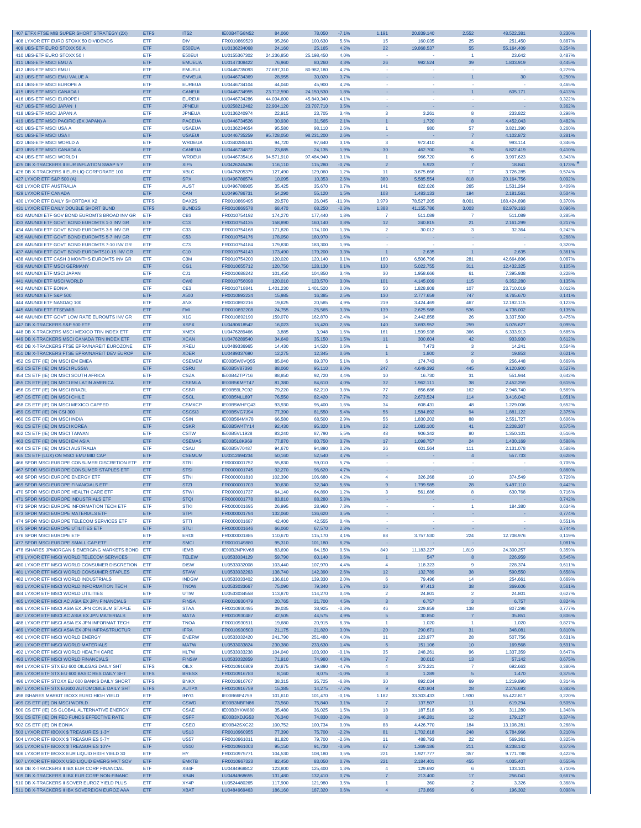| 407 ETFX FTSE MIB SUPER SHORT STRATEGY (2X)                                       | <b>ETFS</b>       | ITS <sub>2</sub>            | IE00B4TG8N52                 | 84,060            | 78,050             | $-7,1%$      | 1.191                   | 20.839.140        | 2.552          | 48.522.381            | 0,230%           |
|-----------------------------------------------------------------------------------|-------------------|-----------------------------|------------------------------|-------------------|--------------------|--------------|-------------------------|-------------------|----------------|-----------------------|------------------|
| 408 LYXOR ETF EURO STOXX 50 DIVIDENDS                                             | ETF               | <b>DIV</b>                  | FR0010869529                 | 95,260            | 100,630            | 5,6%         | 15                      | 160.035           | 25             | 251.450               | 0,887%           |
| 409 UBS-ETF EURO STOXX 50 A                                                       | ETF               | E50EUA                      | LU0136234068                 | 24,160            | 25,165             | 4,2%         | 22                      | 19.868.537        | 55             | 55.164.409            | 0,254%           |
| 410 UBS-ETF EURO STOXX 50 I                                                       | ETF               | E50EUI                      | LU0155367302                 | 24.236,850        | 25.198,450         | 4,0%         |                         |                   | $\overline{1}$ | 23.642                | 0,487%           |
| 411 UBS-ETF MSCI EMU A                                                            | ETF               | <b>EMUEUA</b>               | LU0147308422                 | 76,960            | 80.260             | 4.3%         | 26                      | 992.524           | 39             | 1.833.919             | 0,445%           |
| 412 UBS-ETF MSCI EMU I                                                            | ETF               | <b>EMUEUI</b>               | LU0446735093                 | 77.697,310        | 80.982,180         | 4.2%         |                         |                   |                |                       | 0,279%           |
| 413 UBS-ETF MSCI EMU VALUE A                                                      | ETF               | <b>EMVEUA</b>               | LU0446734369                 | 28,955            | 30,020             | 3,7%         | ×.                      |                   | $\overline{1}$ | 30                    | 0,250%           |
| 414 UBS-ETF MSCI EUROPE A                                                         | ETF               | <b>EUREUA</b>               | LU0446734104                 | 44,040            | 45,900             | 4,2%         |                         |                   |                |                       | 0,465%           |
| 415 UBS-ETF MSCI CANADA I                                                         | ETF               | <b>CANEUI</b>               | LU0446734955                 | 23.712,590        | 24.150,530         | 1,8%         | ×                       |                   | $\overline{1}$ | 605.171               | 0,413%           |
| 416 UBS-ETF MSCI EUROPE I                                                         | <b>FTF</b>        | <b>EUREUI</b>               | LU0446734286                 | 44.034.600        | 45.849.340         | 4,1%         | $\sim$                  | ٠.                |                |                       | 0.322%           |
| 417 UBS-ETF MSCI JAPAN I                                                          | ETF               | <b>JPNEUI</b>               | LU0258212462                 | 22.904,120        | 23.707,710         | 3,5%         |                         |                   |                |                       | 0,362%           |
| 418 UBS-ETF MSCI JAPAN A                                                          | ETF               | <b>JPNEUA</b>               | LU0136240974                 | 22,915            | 23,705             | 3,4%         | 3                       | 3.261             | 8              | 233.822               | 0,298%           |
| 419 UBS-ETF MSCI PACIFIC (EX JAPAN) A                                             | ETF               | <b>PACEUA</b>               | LU0446734526                 | 30.930            | 31,565             | 2,1%         | $\overline{1}$          | 1.720             | $\mathbf{8}$   | 4.452.043             | 0,482%           |
| 420 UBS-ETF MSCI USA A                                                            | ETF               | <b>USAEUA</b>               | LU0136234654                 | 95.580            | 98.110             | 2.6%         | $\mathbf{1}$            | 980               | 57             | 3.821.390             | 0.260%           |
| 421 UBS-ETF MSCI USA I                                                            | ETF               | <b>USAEUI</b>               | LU0446735259                 | 95.728,050        | 98.231,200         | 2,6%         | ÷                       |                   | $\overline{7}$ | 4.102.872             | 0,281%           |
| 422 UBS-ETF MSCI WORLD A                                                          | ETF               | <b>WRDEUA</b>               | LU0340285161                 | 94,720            | 97,640             | 3,1%         | $\overline{\mathbf{3}}$ | 972.410           | $\overline{4}$ | 993.114               | 0,346%           |
| 423 UBS-ETF MSCI CANADA A                                                         | ETF               | <b>CANEUA</b>               | LU0446734872                 | 23,685            | 24,135             | 1,9%         | 30                      | 462.700           | 76             | 6.822.419             | 0,410%           |
| 424 UBS-ETF MSCI WORLD I                                                          | <b>FTF</b>        | WRDEUI                      | LU0446735416                 | 94.571,910        | 97.484,940         | 3,1%         | $\overline{1}$          | 966.720           | 6              | 3.997.623             | 0,343%           |
| 425 DB X-TRACKERS II EUR INFLATION SWAP 5 Y                                       | ETF               | XIF <sub>5</sub>            | LU0426245436                 | 116,110           | 115,280            | $-0.7%$      | $\overline{2}$          | 5.923             | $\overline{7}$ | 18.841                | 0,173%           |
| 426 DB X-TRACKERS II EUR LIQ CORPORATE 100                                        | ETF               | <b>XBLC</b>                 | LU0478205379                 | 127.490           | 129,060            | 1.2%         | 11                      | 3.675.666         | 17             | 3.726.285             | 0,574%           |
| 427 LYXOR ETF S&P 500 (A)                                                         | ETF               | <b>SPX</b>                  | LU0496786574                 | 10,095            | 10,353             | 2,6%         | 380                     | 5.585.554         | 818            | 20.164.756            | 0,092%           |
| <b>428 LYXOR ETF AUSTRALIA</b>                                                    | ETF               | <b>AUST</b>                 | LU0496786905                 | 35,425            | 35,670             | 0,7%         | 141                     | 822.026           | 265            | 1.531.264             | 0,409%           |
| 429 LYXOR ETF CANADA                                                              | ETF               | CAN                         | LU0496786731                 | 54,290            | 55,120             | 1,5%         | 108                     | 1.483.133         | 194            | 2.181.561             | 0,504%           |
| 430 LYXOR ETF DAILY SHORTDAX X2                                                   | <b>FTFS</b>       | DAX2S                       | FR0010869495                 | 29,570            | 26,045             | $-11.9%$     | 3.979                   | 78.527.205        | 8.001          | 168.424.898           | 0,370%           |
| 431 LYXOR ETF DAILY DOUBLE SHORT BUND                                             | <b>ETFS</b>       | <b>BUND2S</b>               | FR0010869578                 | 68,470            | 68,250             | $-0,3%$      | 1.388                   | 41.155.786        | 3.003          | 82.979.163            | 0,096%           |
| 432 AMUNDI ETF GOV BOND EUROMTS BROAD INV GR                                      | ETF               | CB <sub>3</sub>             | FR0010754192                 | 174,270           | 177,440            | 1.8%         | $\overline{7}$          | 511.089           | $\overline{7}$ | 511.089               | 0,285%           |
| 433 AMUNDI ETF GOVT BOND EUROMTS 1-3 INV GR                                       | ETF               | C <sub>13</sub>             | FR0010754135                 | 158,890           | 160,140            | 0,8%         | 12 <sub>2</sub>         | 240.815           | 21             | 2.161.299             | 0,217%           |
| 434 AMUNDI ETF GOVT BOND EUROMTS 3-5 INV GR                                       | ETF               | C33                         | FR0010754168                 | 171,820           | 174,100            | 1.3%         | $\overline{2}$          | 30.012            | 3              | 32.364                | 0,242%           |
| 435 AMUNDI ETF GOVT BOND EUROMTS 5-7 INV GR                                       | ETF               | C <sub>53</sub>             | FR0010754176                 | 178,050           | 180,970            | 1,6%         |                         |                   |                |                       | 0,268%           |
| 436 AMUNDI ETF GOVT BOND EUROMTS 7-10 INV GR                                      | ETF               | C73                         | FR0010754184                 | 179,830           | 183,300            | 1,9%         |                         |                   |                |                       | 0,320%           |
| 437 AMUNDI ETF GOVT BOND EUROMTS10-15 INV GR                                      | ETF               | C10                         | FR0010754143                 | 173,490           | 179,200            | 3,3%         | $\overline{1}$          | 2.635             | $\overline{1}$ | 2.635                 | 0,361%           |
| 438 AMUNDI ETF CASH 3 MONTHS EUROMTS INV GR                                       | <b>FTF</b>        | C3M                         | FR0010754200                 | 120,020           | 120,140            | 0,1%         | 160                     | 6,506,796         | 281            | 42.664.896            | 0.087%           |
| 439 AMUNDI ETF MSCI GERMANY                                                       | ETF               | CG1                         | FR0010655712                 | 120,750           | 128,130            | 6.1%         | 130                     | 5.022.755         | 311            | 12.432.325            | 0,105%           |
| 440 AMUNDI ETF MSCI JAPAN                                                         | ETF               | CJ <sub>1</sub>             | FR0010688242                 | 101,450           | 104,850            | 3,4%         | 30                      | 1.958.666         | 61             | 7.395.938             | 0,228%           |
| 441 AMUNDI ETF MSCI WORLD                                                         | ETF               | CW <sub>8</sub>             | FR0010756098                 | 120,010           | 123,570            | 3.0%         | 101                     | 4.145.009         | 115            | 6.352.280             | 0,135%           |
| <b>442 AMUNDI ETF EONIA</b>                                                       | ETF               | CE <sub>3</sub>             | FR0010718841                 | 1.401,230         | 1.401,520          | 0.0%         | 50                      | 1.828.808         | 107            | 23.710.019            | 0,012%           |
| 443 AMUNDI ETF S&P 500                                                            | ETF               | A500                        | FR0010892224                 | 15,985            | 16,385             | 2,5%         | 130                     | 2.777.659         | 747            | 8.765.670             | 0,141%           |
| 444 AMUNDI ETF NASDAQ 100                                                         | <b>FTF</b>        | <b>ANX</b>                  | FR0010892216                 | 19,625            | 20,585             | 4.9%         | 219                     | 3.424.469         | 467            | 12.192.115            | 0.123%           |
| 445 AMUNDI ETF FTSE/MIB                                                           | ETF               | <b>FMI</b>                  | FR0010892208                 | 24,755            | 25,565             | 3.3%         | 139                     | 2.625.988         | 536            | 4.738.002             | 0,135%           |
| 446 AMUNDI ETF GOVT LOW RATE EUROMTS INV GR                                       | ETF               | X <sub>1</sub> G            | FR0010892190                 | 159,070           | 162,870            | 2,4%         | 14                      | 2.442.858         | 26             | 3.337.500             | 0,475%           |
| 447 DB X-TRACKERS S&P 500 ETF                                                     | ETF               | <b>XSPX</b>                 | LU0490618542                 | 16,023            | 16,420             | 2,5%         | 140                     | 3.693.952         | 259            | 6.076.627             | 0,095%           |
| 448 DB X-TRACKERS MSCI MEXICO TRN INDEX ETF                                       | ETF               | <b>XMEX</b>                 | LU0476289466                 | 3.885             | 3.948              | 1.6%         | 161                     | 1.599.938         | 366            | 6.333.913             | 0,685%           |
| 449 DB X-TRACKERS MSCI CANADA TRN INDEX ETF                                       | ETF               | <b>XCAN</b>                 | LU0476289540                 | 34,640            | 35,150             | 1,5%         | 11                      | 300.604           | 42             | 933.930               | 0,612%           |
| 450 DB X-TRACKERS FTSE EPRA/NAREIT EUROZONE                                       | ETF               | <b>XREU</b>                 | LU0489336965                 | 14,430            | 14,520             | 0.6%         | $\overline{1}$          | 7.473             | 3              | 14.241                | 0,564%           |
| 451 DB X-TRACKERS FTSE EPRA/NAREIT DEV EUROP                                      | ETF               | <b>XDER</b>                 | LU0489337690                 | 12,275            | 12,345             | 0,6%         | $\overline{1}$          | 1.800             | $\overline{2}$ | 19.853                | 0,621%           |
| 452 CS ETF (IE) ON MSCI EM EMEA                                                   | ETF               | <b>CSEMEM</b>               | IE00B5W0VQ55                 | 85,040            | 89,370             | 5,1%         | 6                       | 174.743           | 8              | 256.448               | 0,669%           |
| 453 CS ETF (IE) ON MSCI RUSSIA                                                    | ETF               | <b>CSRU</b>                 | IE00B5V87390                 | 88,060            | 95,110             | 8.0%         | 247                     | 4.649.392         | 445            | 9.120.900             | 0,527%           |
| 454 CS ETF (IE) ON MSCI SOUTH AFRICA                                              | ETF               | <b>CSZA</b>                 | IE00B4ZTP716                 | 88,850            | 92,720             | 4,4%         | 10                      | 16.730            | 31             | 551.944               | 0,642%           |
| 455 CS ETF (IE) ON MSCI EM LATIN AMERICA                                          | ETF               | <b>CSEMLA</b>               | IE00B5KMFT47                 | 81,380            | 84,610             | 4,0%         | 32                      | 1.962.111         | 38             | 2.452.259             | 0,615%           |
| 456 CS ETF (IE) ON MSCI BRAZIL                                                    | ETF               | <b>CSBR</b>                 | IE00B59L7C92                 | 79,220            | 82.210             | 3.8%         | 77                      | 856,686           | 162            | 2.948.740             | 0.569%           |
| 457 CS ETF (IE) ON MSCI CHILE                                                     | ETF               | <b>CSCL</b>                 | IE00B5NLL897                 | 76,550            | 82,420             | 7,7%         | 72                      | 2.673.524         | 114            | 3.416.042             | 1,051%           |
| 458 CS ETF (IE) ON MSCI MEXICO CAPPED                                             | ETF               | <b>CSMXCF</b>               | IE00B5WHFQ43                 | 93,930            | 95,400             | 1.6%         | 34                      | 608.431           | 48             | 1.229.006             | 0,652%           |
| 459 CS ETF (IE) ON CSI 300                                                        | ETF               | <b>CSCSI3</b>               | IE00B5VG7J94                 | 77,390            | 81,550             | 5,4%         | 56                      | 1.584.892         | 94             | 1.881.122             | 2,375%           |
| 460 CS ETF (IE) ON MSCI INDIA                                                     | ETF               | <b>CSIN</b>                 | IE00B564MX78                 | 66,580            | 68,500             | 2,9%         | 56                      | 1.830.202         | 88             | 2.551.727             | 0,606%           |
| 461 CS ETF (IE) ON MSCI KOREA                                                     | ETF               | <b>CSKR</b>                 | IE00B5W4TY14                 | 92,430            | 95,320             | 3,1%         | 22                      | 1.083.100         | 41             | 2.208.307             | 0,575%           |
| 462 CS ETF (IE) ON MSCI TAIWAN                                                    | ETF               | <b>CSTW</b>                 | IE00B5VL1928                 | 83.240            | 87.790             | 5.5%         | 48                      | 906.342           | 80             | 1.350.101             | 0.516%           |
| 463 CS ETF (IE) ON MSCI EM ASIA                                                   | ETF               | <b>CSEMAS</b>               | <b>IF00B5L8K969</b>          | 77,870            | 80,750             | 3,7%         | 17 <sub>2</sub>         | 1.098.757         | 24             | 1.430.169             | 0,588%           |
| 464 CS ETF (IE) ON MSCI AUSTRALIA                                                 | ETF               | <b>CSAU</b>                 | IE00B5V70487                 | 94,670            | 94,890             | 0.2%         | 26                      | 601.564           | 111            | 2.131.078             | 0,588%           |
| 465 CS ETF (LUX) ON MSCI EMU MID CAP                                              | ETF               | <b>CSEMUM</b>               | LU0312694234                 |                   |                    |              | ×                       |                   | $\overline{4}$ |                       |                  |
| 466 SPDR MSCI EUROPE CONSUMER DISCRETION ETF                                      | ETF               | <b>STRI</b>                 |                              | 50,160<br>55,830  | 52,540             | 4,7%         | $\sim$                  |                   | ۰.             | 557.733               | 0,628%           |
| 467 SPDR MSCI EUROPE CONSUMER STAPLES ETF                                         | ETF               | <b>STSI</b>                 | FR0000001752<br>FR0000001745 | 92,270            | 59,010<br>96.620   | 5,7%<br>4,7% |                         |                   |                |                       | 0,705%<br>0.860% |
| 468 SPDR MSCI EUROPE ENERGY ETF                                                   | ETF               | <b>STNI</b>                 | FR0000001810                 | 102,390           | 106,680            | 4,2%         | 4                       | 326.268           | 10             | 374.549               | 0,729%           |
| 469 SPDR MSCI EUROPE FINANCIALS ETF                                               | <b>FTF</b>        | <b>STZI</b>                 |                              | 30,630            | 32,340             | 5,6%         | $\mathbf{q}$            | 1.799.985         | 28             | 5.497.110             | 0,442%           |
| 470 SPDR MSCI EUROPE HEALTH CARE ETF                                              | ETF               | <b>STWI</b>                 | FR0000001703<br>FR0000001737 | 64.140            | 64,890             | 1.2%         | 3                       | 561.686           |                | 630.768               | 0.716%           |
|                                                                                   |                   |                             |                              |                   |                    |              |                         |                   |                |                       |                  |
| 471 SPDR MSCI EUROPE INDUSTRIALS ETF<br>472 SPDR MSCI EUROPE INFORMATION TECH ETF | ETF<br>ETF        | <b>STQI</b><br><b>STKI</b>  | FR0000001778<br>FR0000001695 | 83,810<br>26.995  | 88,280<br>28,960   | 5.3%<br>7.3% |                         |                   | $\overline{1}$ | 184.380               | 0,742%<br>0.634% |
|                                                                                   |                   |                             |                              |                   |                    |              |                         |                   |                |                       |                  |
| 473 SPDR MSCI EUROPE MATERIALS ETF<br>474 SPDR MSCI EUROPE TELECOM SERVICES ETF   | ETF<br><b>FTF</b> | <b>STPI</b><br><b>STTI</b>  | FR0000001794                 | 132,060<br>42,400 | 136,620<br>42.555  | 3,5%<br>0.4% | - 1                     | ۰.                | ٠.             |                       | 0,774%<br>0.551% |
| 475 SPDR MSCI EUROPE UTILITIES ETF                                                | ETF               | <b>STUI</b>                 | FR0000001687<br>FR0000001646 | 66,060            | 67,570             | 2,3%         | n.                      |                   |                |                       | 0,744%           |
|                                                                                   |                   |                             |                              |                   |                    |              |                         |                   |                |                       |                  |
| 476 SPDR MSCI EUROPE ETF<br>477 SPDR MSCI EUROPE SMALL CAP ETF                    | ETF<br>ETF        | <b>EROI</b><br><b>SMCI</b>  | FR0000001885<br>FR0010149880 | 110,670<br>95,310 | 115,170<br>101,180 | 4.1%<br>6,2% | 88                      | 3.757.530         | 224            | 12.708.976            | 0,119%<br>1,081% |
| 478 ISHARES JPMORGAN \$ EMERGING MARKETS BOND ETF                                 |                   |                             |                              |                   |                    |              |                         |                   |                |                       |                  |
| 479 LYXOR ETF MSCI WORLD TELECOM SERVICES                                         | ETF               | <b>IEMB</b><br><b>TELEW</b> | IE00B2NPKV68<br>LU0533034129 | 83,690<br>59,790  | 84,150<br>60,140   | 0.5%<br>0,6% | 849<br>$\mathbf{1}$     | 11.183.227<br>547 | 1.819<br>8     | 24.300.257<br>226.959 | 0,359%<br>0,545% |
| 480 LYXOR ETF MSCI WORLD CONSUMER DISCRETION                                      | ETF               | <b>DISW</b>                 | LU0533032008                 | 103,440           | 107,970            | 4,4%         | $\overline{4}$          | 118,323           | 9              | 228.374               | 0.611%           |
| 481 LYXOR ETF MSCI WORLD CONSUMER STAPLES                                         | ETF               | <b>STAW</b>                 | LU0533032263                 | 138,740           | 142,390            | 2,6%         | 12 <sub>2</sub>         | 132.789           | 38             | 590.550               | 0,658%           |
| 482 LYXOR ETF MSCI WORLD INDUSTRIALS                                              | ETF               | <b>INDGW</b>                | LU0533033402                 | 136,610           | 139,330            | 2,0%         | 6                       | 79.496            | 14             | 254.661               | 0,669%           |
| 483 LYXOR ETF MSCI WORLD INFORMATION TECH                                         | ETF               | <b>TNOW</b>                 | LU0533033667                 | 75,090            | 79,340             | 5,7%         | 16                      | 97.413            | 38             | 369.606               | 0,561%           |
| 484 LYXOR ETF MSCI WORLD UTILITIES                                                | ETF               | UTIW                        | LU0533034558                 | 113,870           | 114,270            | 0.4%         | $\overline{2}$          | 24,801            | $\overline{2}$ | 24,801                | 0,627%           |
| 485 LYXOR ETF MSCI AC ASIA EX JPN FINANCIALS                                      | ETF               | <b>FINSA</b>                | FR0010930479                 | 20,765            | 21,700             | 4.5%         | 3                       | 6.757             | $\overline{3}$ | 6.757                 | 0,824%           |
| 486 LYXOR ETF MSCI ASIA EX JPN CONSUM STAPLE                                      | ETF               | <b>STAA</b>                 | FR0010930495                 | 39,035            | 38,925             | $-0,3%$      | 46                      | 229.859           | 138            | 807.298               | 0,777%           |
| 487 LYXOR ETF MSCI AC ASIA EX JPN MATERIALS                                       | ETF               | <b>MATA</b>                 | FR0010930487                 | 42,505            | 44,575             | 4,9%         | $\sqrt{5}$              | 30.850            | $\overline{7}$ | 35.851                | 0,806%           |
| 488 LYXOR ETF MSCI ASIA EX JPN INFORMAT TECH                                      | <b>FTF</b>        | <b>TNOA</b>                 | FR0010930511                 | 19,680            | 20,915             | 6,3%         | $\overline{1}$          | 1.020             | $\overline{1}$ | 1.020                 | 0,827%           |
| 489 LYXOR ETF MSCI ASIA EX JPN INFRASTRUCTUR                                      | ETF               | <b>IFRA</b>                 | FR0010930503                 | 21,175            | 21,820             | 3,0%         | 20                      | 290.671           | 31             | 348.081               | 0,810%           |
| 490 LYXOR ETF MSCI WORLD ENERGY                                                   | ETF               | <b>ENERW</b>                | LU0533032420                 | 241,790           | 251,480            | 4,0%         | 11                      | 123.977           | 28             | 507.756               | 0,631%           |
| 491 LYXOR ETF MSCI WORLD MATERIALS                                                | ETF               | <b>MATW</b>                 | LU0533033824                 | 230,380           | 233,630            | 1,4%         | 6                       | 151.106           | 10             | 169.568               | 0,591%           |
| 492 LYXOR ETF MSCI WORLD HEALTH CARE                                              | ETF               | <b>HLTW</b>                 | LU0533033238                 | 104,040           | 103,930            | $-0.1%$      | 35                      | 248.261           | 96             | 1.337.359             | 0,647%           |
| 493 LYXOR ETF MSCI WORLD FINANCIALS                                               | ETF               | <b>FINSW</b>                | LU0533032859                 | 71,910            | 74,980             | 4,3%         | $\overline{7}$          | 30.010            | 13             | 57.142                | 0,675%           |
| 494 LYXOR ETF STX EU 600 OIL&GAS DAILY SHT                                        | <b>ETFS</b>       | QII X                       | FR0010916809                 | 20,875            | 19,890             | $-4.7%$      | $\overline{4}$          | 373.221           | $\overline{7}$ | 692.663               | 0.380%           |
| 495 LYXOR ETF STX EU 600 BASIC RES DAILY SHT                                      | <b>ETFS</b>       | <b>BRESX</b>                | FR0010916783                 | 8,160             | 8,075              | $-1,0%$      | 3                       | 1.289             | 5              | 1.470                 | 0,375%           |
| 496 LYXOR ETF STOXX EU 600 BANKS DAILY SHORT                                      | <b>ETFS</b>       | <b>BNKX</b>                 | FR0010916767                 | 38,315            | 35,725             | $-6,8%$      | 30                      | 892.034           | 69             | 1.219.890             | 0,314%           |
| 497 LYXOR ETF STX EU600 AUTOMOBILE DAILY SHT                                      | <b>ETFS</b>       | <b>AUTPX</b>                | FR0010916759                 | 15,385            | 14,275             | $-7,2%$      | $\overline{9}$          | 420.804           | 28             | 2.276.693             | 0.382%           |
| 498 ISHARES MARKIT IBOXX EURO HIGH YIELD                                          | ETF               | <b>IHYG</b>                 | IE00B66F4759                 | 101,610           | 101,470            | $-0.1%$      | 1.182                   | 33.303.433        | 1.930          | 55.422.817            | 0,220%           |
| 499 CS ETF (IE) ON MSCI WORLD                                                     | ETF               | <b>CSWD</b>                 | IE00B3NBFN86                 | 73,560            | 75,840             | 3,1%         | $\overline{7}$          | 137.507           | 11             | 619.294               | 0,505%           |
| 500 CS ETF (IE) CS GLOBAL ALTERNATIVE ENERGY                                      | ETF               | <b>CSAE</b>                 | IE00B3YKW880                 | 35,480            | 36,025             | 1,5%         | 18                      | 187.518           | 36             | 311.280               | 1.348%           |
| 501 CS ETF (IE) ON FED FUNDS EFFECTIVE RATE                                       | ETF               | <b>CSFF</b>                 | IE00B3XDJG53                 | 76,340            | 74,830             | $-2,0%$      | $\bf{8}$                | 146.281           | 12             | 179.127               | 0,374%           |
| 502 CS ETF (IE) ON EONIA                                                          | ETF               | <b>CSEO</b>                 | IE00B42SXC22                 | 100,752           | 100,734            | 0,0%         | 88                      | 4.426.770         | 184            | 13.108.281            | 0,268%           |
| 503 LYXOR ETF IBOXX \$ TREASURIES 1-3Y                                            | ETF               | <b>US13</b>                 | FR0010960955                 | 77,390            | 75,700             | $-2,2%$      | 81                      | 1.702.618         | 248            | 6.784.966             | 0,210%           |
| 504 LYXOR ETF IBOXX \$ TREASURIES 5-7Y                                            | ETF               | <b>US57</b>                 | FR0010961011                 | 81,820            | 79,700             | $-2,6%$      | 11                      | 488.793           | 22             | 569.361               | 0,325%           |
| 505 LYXOR ETF IBOXX \$ TREASURIES 10Y+                                            | ETF               | <b>US10</b>                 | FR0010961003                 | 95,150            | 91,730             | $-3,6%$      | 67                      | 1.369.186         | 211            | 8.238.142             | 0,373%           |
| 506 LYXOR ETF IBOXX EUR LIQUID HIGH YIELD 30                                      | ETF               | <b>HY</b>                   | FR0010975771                 | 104,530           | 108.180            | 3.5%         | 221                     | 1.927.777         | 357            | 9.771.788             | 0,422%           |
| 507 LYXOR ETF IBOXX USD LIQUID EMERG MKT SOV                                      | ETF               | <b>EMKTB</b>                | FR0010967323                 | 82,450            | 83,050             | 0,7%         | 221                     | 2.184.401         | 455            | 4.035.407             | 0,555%           |
| 508 DB X-TRACKERS II IBX EUR CORP FINANCIAL                                       | ETF               | XB4F                        | LU0484968812                 | 123,800           | 125,400            | 1.3%         | $\overline{4}$          | 129.692           | 6              | 133.101               | 0,710%           |
| 509 DB X-TRACKERS II IBX EUR CORP NON-FINANC                                      | ETF               | XB4N                        | LU0484968655                 | 131,480           | 132,410            | 0,7%         | $\overline{7}$          | 213,400           | 17             | 256.041               | 0,667%           |
| 510 DB X-TRACKERS II SOVER EUROZ YIELD PLUS                                       | ETF               | XY4P                        | LU0524480265                 | 117,900           | 121,980            | 3,5%         | $\mathbf{1}$            | 360               | $\overline{2}$ | 3.326                 | 0,368%           |
|                                                                                   | ETF               | <b>XBAT</b>                 | LU0484969463                 | 186,160           | 187,320            | 0,6%         | $\overline{4}$          | 173.869           | 6              | 196.302               | 0,098%           |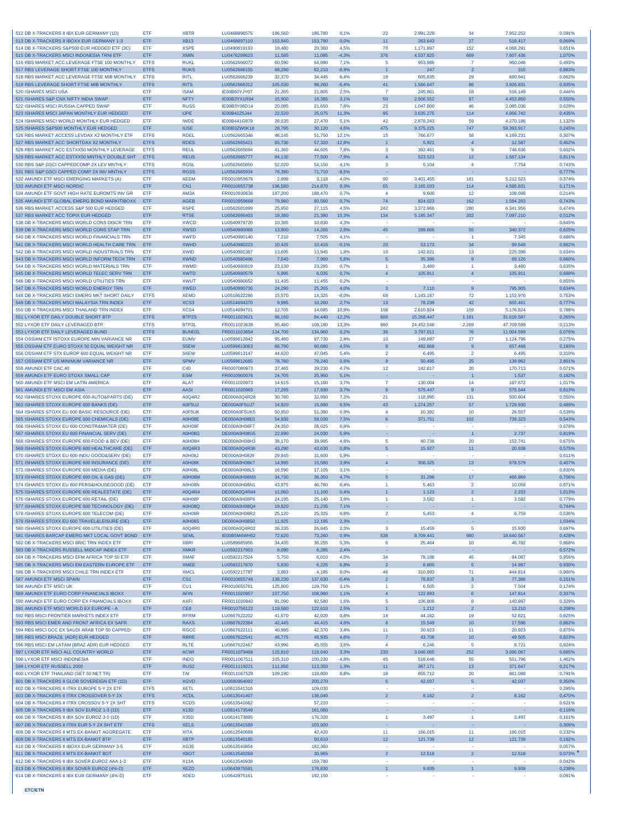| 512 DB X-TRACKERS II IBX EUR GERMANY (1D)                                                   | <b>FTF</b>  | <b>XBTR</b>                | LU0468896575                 | 186,560            | 186,780            | 0.1%            | 22                       | 2.991.229                | 34                      | 7.952.252            | 0,091%           |
|---------------------------------------------------------------------------------------------|-------------|----------------------------|------------------------------|--------------------|--------------------|-----------------|--------------------------|--------------------------|-------------------------|----------------------|------------------|
| 513 DB X-TRACKERS II IBOXX EUR GERMANY 1-3                                                  | ETF         | <b>XB13</b>                | LU0468897110                 | 153,840            | 153,790            | 0,0%            | 11                       | 263.643                  | 27                      | 518.417              | 0,069%           |
| 514 DB X-TRACKERS S&P500 EUR HEDGED ETF (3C)                                                | ETF         | <b>XSPE</b>                | LU0490619193                 | 19,480             | 20,360             | 4,5%            | 70                       | 1.171.897                | 152                     | 4.068.291            | 0.651%           |
| 515 DB X-TRACKERS MSCI INDONESIA TRNI ETF                                                   | ETF         | <b>XMIN</b>                | LU0476289623                 | 11.585             | 11.085             | $-4.3%$         | 376                      | 4.537.825                | 669                     | 7.607.436            | 1,070%           |
| 516 RBS MARKET ACC LEVERAGE FTSE 100 MONTHLY                                                | <b>ETFS</b> | <b>RUKL</b>                | LU0562666072                 | 60,590             | 64,890             | 7,1%            | -5                       | 953.986                  | $\overline{7}$          | 960.046              | 0,493%           |
| 517 RBS LEVERAGE SHORT FTSE 100 MONTHLY                                                     | <b>ETFS</b> | <b>RUKS</b>                | LU0562666155                 | 68.290             | 62,210             | $-8.9%$         | $\overline{1}$           | 247                      | $\overline{2}$          | 315                  | 0,883%           |
| 518 RBS MARKET ACC LEVERAGE FTSE MIB MONTHLY                                                | <b>ETFS</b> | <b>RITL</b>                | LU0562666239                 | 32,370             | 34,445             | 6.4%            | 19                       | 605.835                  | 29                      | 680.941              | 0,662%           |
| 519 RBS LEVERAGE SHORT FTSE MIB MONTHLY                                                     | <b>ETFS</b> | <b>RITS</b>                | LU0562666312                 | 105,030            | 98,260             | $-6,4%$         | 41                       | 1.566.647                | 86                      | 3.926.831            | 0,935%           |
| 520 ISHARES MSCI USA                                                                        | ETF         | <b>ISAM</b>                | IE00B60YJY07                 | 21.265             | 21,805             | 2.5%            | $\overline{7}$           | 245,861                  | 18                      | 516.149              | 0.446%           |
| 521 ISHARES S&P CNX NIFTY INDIA SWAP                                                        | ETF         | <b>NFTY</b>                | IE00B3YX1R94                 | 15,900             | 16,385             | 3,1%            | 50                       | 2.506.552                | 97                      | 4.453.850            | 0,550%           |
| 522 ISHARES MSCI RUSSIA CAPPED SWAP                                                         | ETF         | <b>RUSS</b>                | IE00B3Y06D14                 | 20,085             | 21,650             | 7,8%            | 23                       | 1.047.800                | 46                      | 2.085.036            | 0,629%           |
| 523 ISHARES MSCI JAPAN MONTHLY EUR HEDGED                                                   | ETF         | <b>IJPE</b>                | IE00B42Z5J44                 | 22,520             | 25,075             | 11,3%           | 95                       | 3.635.275                | 114                     | 4.956.742            | 0,435%           |
| 524 ISHARES MSCI WORLD MONTHLY EUR HEDGED                                                   | ETF         | <b>IWDE</b>                | IE00B441G979                 | 26.135             | 27,470             | 5.1%            | 42                       | 2.878.243                | 59                      | 4.270.186            | 1.132%           |
| 525 ISHARES S&P500 MONTHLY EUR HEDGED                                                       | ETF         | <b>IUSE</b>                | IE00B3ZW0K18                 | 28,795             | 30,120             | 4,6%            | 475                      | 9.375.225                | 747                     | 59.393.917           | 0.245%           |
| 526 RBS MARKET ACCESS LEVDAX X2 MONTHLY ETF                                                 | <b>ETFS</b> | <b>RDEL</b>                | LU0562665348                 | 46.145             | 51,750             | 12.1%           | 15                       | 766.677                  | 58                      | 4.169.231            | 0.307%           |
| 527 RBS MARKET ACC SHORTDAX X2 MONTHLY                                                      | <b>ETFS</b> | <b>RDES</b>                | LU0562665421                 | 65,730             | 57,320             | $-12,8%$        | $\mathbf{1}$             | 5.921                    | $\overline{4}$          | 12.587               | 0,462%           |
| 528 RBS MARKET ACC ESTXX50 MONTHLY LEVERAGE                                                 | <b>ETFS</b> | <b>REUL</b>                | LU0562665694                 | 41.360             | 44,605             | 7.8%            | -3                       | 392.461                  | -9                      | 748,636              | 0,602%           |
| 529 RBS MARKET ACC ESTXX50 MNTHLY DOUBLE SHT                                                | <b>ETFS</b> | <b>REUS</b>                | LU0562665777                 | 84,130             | 77,500             | $-7,9%$         | $\overline{4}$           | 523.523                  | 12                      | 1.567.134            | 0,811%           |
| 530 RBS S&P GSCI CAPPEDCOMP 2X LEV MNTHLY                                                   | <b>ETFS</b> | <b>RGSL</b>                | LU0562665850                 | 52,020             | 54,150             | 4,1%            | 3                        | 5.104                    | $\overline{4}$          | 7.754                | 0,743%           |
| 531 RBS S&P GSCI CAPPED COMP 2X INV MNTHLY                                                  | <b>ETFS</b> | <b>RGSS</b>                | LU0562665934                 | 78,390             | 71,710             | $-8,5%$         |                          |                          |                         |                      | 0,777%           |
| 532 AMUNDI ETF MSCI EMERGING MARKETS (A)                                                    | ETF         | <b>AEEM</b>                | FR0010959676                 | 2.998              | 3,118              | 4.0%            | 90                       | 3.401.455                | 181                     | 5.212.523            | 0.374%           |
| 533 AMUNDI ETF MSCI NORDIC                                                                  | ETF         | CN <sub>1</sub>            | FR0010655738                 | 196,580            | 214,870            | 9,3%            | 65                       | 3.165.033                | 114                     | 4.595.831            | 0,171%           |
| 534 AMUNDI ETF GOVT HIGH RATE EUROMTS INV GR                                                | ETF         | AM3A                       | FR0010930636                 | 187,200            | 188,470            | 0,7%            | $\overline{4}$           | 9,600                    | 12                      | 108.098              | 0,214%           |
| 535 AMUNDI ETF GLOBAL EMERG BOND MARKITIBOXX                                                | ETF         | <b>AGEB</b>                | FR0010959668                 | 79,980             | 80,560             | 0,7%            | 74                       | 824.023                  | 162                     | 1.594.283            | 0,743%           |
| 536 RBS MARKET ACCESS S&P 500 EUR HEDGED                                                    | ETF         | <b>RSPF</b>                | LU0562681899                 | 25,950             | 27,115             | 4,5%            | 242                      | 3.372.966                | 280                     | 6.341.956            | 0,474%           |
| 537 RBS MARKET ACC TOPIX EUR HEDGED                                                         | ETF         | <b>RTSE</b>                | LU0562666403                 | 19.380             | 21.380             | 10,3%           | 134                      | 5.185.347                | 202                     | 7.097.210            | 0,512%           |
| 538 DB X-TRACKERS MSCI WORLD CONS DISCR TRN                                                 | ETF         | <b>XWCD</b>                | LU0540979720                 | 10,385             | 10,830             | 4,3%            |                          |                          |                         |                      | 0,645%           |
| 539 DB X-TRACKERS MSCI WORLD CONS STAP TRN                                                  | ETF         | <b>XWSD</b>                | 1110540980066                | 13,900             | 14,265             | 2.6%            | 45                       | 289,666                  | 55                      | 340.372              | 0,625%           |
| 540 DB X-TRACKERS MSCI WORLD FINANCIALS TRN                                                 | <b>FTF</b>  | <b>XWFD</b>                | LU0540980140                 | 7,210              | 7,505              | 4.1%            |                          |                          | $\overline{1}$          | 7.345                | 0,686%           |
| 541 DB X-TRACKERS MSCI WORLD HEALTH CARE TRN                                                | ETF         | <b>XWHD</b>                | LU0540980223                 | 10,425             | 10,415             | $-0,1%$         | 20                       | 53.173                   | 34                      | 99.649               | 0,662%           |
| 542 DB X-TRACKERS MSCI WORLD INDUSTRIALS TRN                                                | ETF         | <b>XWID</b>                | LU0540981387                 | 13,695             | 13.945             | 1.8%            | 10                       | 142.821                  | 13                      | 225,398              | 0.634%           |
| 543 DB X-TRACKERS MSCI WORLD INFORM TECH TRN                                                | ETF         | <b>XWND</b>                | LU0540980496                 | 7,540              | 7,960              | 5.6%            | 5                        | 35.396                   | 9                       | 69.126               | 0,660%           |
| 544 DB X-TRACKERS MSCI WORLD MATERIALS TRN                                                  | ETF         | <b>XWMD</b>                | LU0540980819                 | 23,130             | 23,285             | 0,7%            | $\overline{1}$           | 3.480                    | $\overline{1}$          | 3.480                | 0,635%           |
| 545 DB X-TRACKERS MSCI WORLD TELEC SERV TRN                                                 | ETF         | <b>XWTD</b>                | LU0540980579                 | 5.995              | 6,035              | 0,7%            | $\overline{4}$           | 105.911                  | $\overline{4}$          | 105.911              | 0.688%           |
| 546 DB X-TRACKERS MSCI WORLD UTILITIES TRN                                                  | ETF         | <b>XWUT</b>                | LU0540980652                 | 11.435             | 11,455             | 0.2%            |                          |                          |                         |                      | 0.655%           |
| 547 DB X-TRACKERS MSCI WORLD ENERGY TRN                                                     | ETF         | <b>XWED</b>                | LU0540980736                 | 24,290             | 25,265             | 4,0%            | $\mathbf{3}$             | 7.110                    | 9                       | 795.905              | 0,634%           |
| 548 DB X-TRACKERS MSCI EMERG MKT SHORT DAILY                                                | <b>ETFS</b> | <b>XEMD</b>                | LU0518622286                 | 15,570             | 14.325             | $-8.0%$         | 68                       | 1.143.167                | 72                      | 1.152.976            | 0.753%           |
| 549 DB X-TRACKERS MSCI MALAYSIA TRN INDEX                                                   | ETF         | XCS3                       | LU0514694370                 | 9.995              | 10,260             | 2.7%            | 13                       | 78.239                   | 42                      | 655.461              | 0,777%           |
| 550 DB X-TRACKERS MSCI THAILAND TRN INDEX                                                   | ETF         | XCS4                       | LU0514694701                 | 12,705             | 14,085             | 10,9%           | 108                      | 2.610.924                | 159                     | 5.176.824            | 0,788%           |
| 551 LYXOR ETF DAILY DOUBLE SHORT BTP                                                        | <b>ETFS</b> | BTP2S                      | FR0011023621                 | 96.160             | 84,440             | $-12,2%$        | 606                      | 15.268.447               | 1.181                   | 31.616.587           | 0,265%           |
| 552 LYXOR ETF DAILY LEVERAGED BTP                                                           | <b>ETFS</b> | BTP2L                      | FR0011023639                 | 95,480             | 108,180            | 13,3%           | 990                      | 24.452.548               | 2.269                   | 47.709.599           | 0,213%           |
| 553 LYXOR ETF DAILY LEVERAGED BUND                                                          | <b>ETFS</b> | BUND <sub>2</sub>          | FR0011023654                 | 134,700            | 134,960            | 0,2%            | 36                       | 3.797.011                | 76                      | 11.004.599           | 0,076%           |
| 554 OSSIAM ETF ISTOXX EUROPE MIN VARIANCE NR                                                | ETF         | <b>EUMV</b>                | LU0599612842                 | 95,480             | 97.730             | 2.4%            | 10                       | 149,897                  | 27                      | 1.124.796            | 0.275%           |
| 555 OSSIAM ETF EURO STOXX 50 EQUAL WEIGHT NR                                                | ETF         | S5EW                       | LU0599613063                 | 86,790             | 90,680             | 4,5%            | 8                        | 482.868                  | $\boldsymbol{9}$        | 657.468              | 0,193%           |
| 556 OSSIAM ETF STX EUROP 600 EQUAL WEIGHT NR                                                | ETF         | S6EW                       | LU0599613147                 | 44,620             | 47,045             | 5,4%            | $\overline{2}$           | 6.495                    | $\overline{2}$          | 6.495                | 0,310%           |
| 557 OSSIAM ETF US MINIMUM VARIANCE NR                                                       | ETF         | <b>SPMV</b>                | LU0599612685                 | 78,780             | 79,240             | 0,6%            | 9                        | 50.495                   | 25                      | 139.962              | 2,801%           |
| 558 AMUNDI ETF CAC 40                                                                       | ETF         | C40                        | FR0007080973                 | 37,465             | 39,230             | 4,7%            | 12                       | 142.817                  | 20                      | 170.713              | 0,071%           |
| 559 AMUNDI ETF EURO STOXX SMALL CAP                                                         | ETF         | <b>ESM</b>                 | FR0010900076                 | 24,705             | 25,960             | 5,1%            | $\sim$                   |                          |                         | 1.537                | 0.182%           |
| 560 AMUNDI ETF MSCI EM LATIN AMERICA                                                        | ETF         | <b>ALAT</b>                | FR0011020973                 | 14,615             | 15,160             | 3.7%            | $\overline{7}$           | 130,004                  | 14                      | 167.672              | 1.017%           |
| 561 AMUNDI ETF MSCI EM ASIA                                                                 | ETF         | AASI                       | FR0011020965                 | 17,295             | 17,930             | 3,7%            | 8                        | 575.447                  | $\mathbf{g}$            | 575.544              | 0,813%           |
| 562 ISHARES STOXX EUROPE 600 AUTO&PARTS (DE)                                                | ETF         | A0Q4R2                     | DE000A0Q4R28                 | 30,780             | 32,990             | 7.2%            | 21                       | 118.995                  | 131                     | 500.804              | 0,550%           |
| 563 ISHARES STOXX EUROPE 600 BANKS (DE)                                                     | ETF         | A0F5UJ                     | DE000A0F5UJ7                 | 14,920             | 15,890             | 6,5%            | 43                       | 1.274.257                | 57                      | 1.729.930            | 0,499%           |
| 564 ISHARES STOXX EU 600 BASIC RESOURCE (DE)                                                | ETF         | A0F5UK                     | DE000A0F5UK5                 | 50,950             | 51,390             | 0,9%            | $\overline{4}$           | 10.392                   | 10                      | 26,557               | 0,539%           |
| 565 ISHARES STOXX EUROPE 600 CHEMICALS (DE)                                                 | ETF         | A0H08E                     | DE000A0H08E0                 | 54,930             | 59,030             | 7,5%            | 6                        | 371.751                  | 102                     | 739.323              | 0.543%           |
| 566 ISHARES STOXX EU 600 CONSTR&MATER (DE)                                                  | ETF         | A0H08F                     | DE000A0H08F7                 | 24,350             | 26,025             | 6,9%            | $\sim$                   |                          |                         |                      | 0,678%           |
| 567 ISHARES STOXX EU 600 FINANCIAL SERV (DE)                                                | ETF         | <b>A0H08G</b>              | <b>DE000A0H08G5</b>          | 22,690             | 24,030             | 5.9%            | i.                       |                          | $\overline{1}$          | 2.737                | 0,819%           |
| 568 ISHARES STOXX EUROPE 600 FOOD & BEV (DE)                                                | ETF         | A0H08H                     | DE000A0H08H3                 | 38,170             | 39.995             | 4.8%            | 5                        | 40.738                   | 20                      | 152.741              | 0,675%           |
| 569 ISHARES STOXX EUROPE 600 HEALTHCARE (DE)                                                | ETF         | A0Q4R3                     | DE000A0Q4R36                 | 43,290             | 43,630             | 0,8%            | $\overline{5}$           | 15,927                   | 11                      | 20,938               | 0,575%           |
| 570 ISHARES STOXX EU 600 INDU GOOD&SERV (DE)                                                | ETF         | <b>A0H08J</b>              | DE000A0H08.I9                | 29,845             | 31,600             | 5.9%            |                          |                          |                         |                      | 0.611%           |
| 571 ISHARES STOXX EUROPE 600 INSURANCE (DE)                                                 | ETF         | A0H08K                     | DE000A0H08K7                 | 14,995             | 15,580             | 3,9%            | $\overline{4}$           | 308.325                  | 13                      | 678.579              | 0,407%           |
| 572 ISHARES STOXX EUROPE 600 MEDIA (DE)                                                     | ETF         | A0H08L                     | DE000A0H08L5                 | 16,590             | 17,105             | 3,1%            |                          |                          |                         |                      | 0,830%           |
| 573 ISHARES STOXX EUROPE 600 OIL & GAS (DE)                                                 | ETF         | A0H08M                     | DE000A0H08M3                 | 34,730             | 36,350             | 4,7%            | $\overline{5}$           | 31.298                   | 17                      | 466.869              | 0,706%           |
| 574 ISHARES STOXX EU 600 PERS&HOUSEGOOD (DE)                                                | ETF         | A0H08N                     | DE000A0H08N1                 | 43.975             | 46,780             | 6.4%            | 1                        | 5.463                    | $\overline{2}$          | 10.058               | 0.671%           |
| 575 ISHARES STOXX EUROPE 600 REALESTATE (DE)                                                | ETF         | A0Q4R4                     | DE000A0Q4R44                 | 11,060             | 11,100             | 0,4%            | $\overline{1}$           | 1.123                    | $\overline{2}$          | 2.233                | 1,013%           |
| 576 ISHARES STOXX EUROPE 600 RETAIL (DE)                                                    | ETF         | A0H08P                     | DE000A0H08P6                 | 24,195             | 25,140             | 3,9%            | $\mathbf{1}$             | 3.582                    | $\overline{1}$          | 3.582                | 0,779%           |
| 577 ISHARES STOXX EUROPE 600 TECHNOLOGY (DE)                                                | ETF         | <b>A0H08Q</b>              | DE000A0H08Q4                 | 19,820             | 21,235             | 7,1%            |                          |                          |                         |                      | 0,744%           |
| 578 ISHARES STOXX EUROPE 600 TELECOM (DE)                                                   | ETF         | A0H08R                     | DE000A0H08R2                 | 25.120             | 25,325             | 0.8%            | $\overline{2}$           | 5.453                    | $\overline{4}$          | 6.759                | 0.536%           |
| 579 ISHARES STOXX EU 600 TRAVEL&LEISURE (DE)                                                | ETF         | <b>A0H08S</b>              | DE000A0H08S0                 | 11,925             | 12,195             | 2,3%            | ×.                       |                          | ×                       |                      | 1,034%           |
|                                                                                             |             |                            | DE000A0Q4R02                 |                    |                    |                 |                          |                          |                         |                      |                  |
| 580 ISHARES STOXX EUROPE 600 UTILITIES (DE)<br>581 ISHARES BARCAP EMERG MKT LOCAL GOVT BOND | ETF         | A0Q4R0<br><b>SFMI</b>      |                              | 26,235             | 26,845             | 2,3%            | $\overline{\mathbf{3}}$  | 15.459                   | 5                       | 15.930               | 0,697%           |
| 582 DB X-TRACKERS MSCI BRIC TRN INDEX ETF                                                   | ETF<br>ETF  | <b>XBRI</b>                | IE00B5M4WH52<br>LU0589685956 | 72.620             | 73,260             | 0,9%            | 538<br>6                 | 8.709.441                | 980                     | 18.640.567           | 0,428%           |
| 583 DB X-TRACKERS RUSSELL MIDCAP INDEX ETF                                                  | ETF         | <b>XMKR</b>                |                              | 34,435<br>8.090    | 36,255             | 5,3%<br>2.4%    |                          | 25.464                   | 10                      | 46.782               | 0,868%           |
| 584 DB X-TRACKERS MSCI EFM AFRICA TOP 50 ETF                                                | ETF         | <b>XMAF</b>                | LU0592217953<br>LU0592217524 | 5,750              | 8,285<br>6,010     | 4,5%            | 34                       | 78.188                   | 45                      | 94.087               | 0,572%<br>0,956% |
| 585 DB X-TRACKERS MSCI EM EASTERN EUROPE ETF                                                | ETF         | <b>XMEE</b>                |                              |                    | 6,225              | 6,8%            |                          | 8.800                    | 5                       |                      |                  |
| 586 DB X-TRACKERS MSCI CHILE TRN INDEX ETF                                                  | ETF         | <b>XMCL</b>                | LU0592217870<br>LU0592217797 | 5,830<br>3,883     | 4,195              | 8,0%            | $\overline{2}$<br>46     | 310.993                  | 71                      | 14.997<br>444.814    | 0,930%<br>0,900% |
| 587 AMUNDI ETF MSCI SPAIN                                                                   | ETF         | CS <sub>1</sub>            | FR0010655746                 | 138,230            | 137,630            | $-0.4%$         | $\overline{2}$           | 76.837                   | $\overline{\mathbf{3}}$ | 77.386               | 0,151%           |
| 588 AMUNDI ETF MSCI UK                                                                      | ETF         | CU <sub>1</sub>            | FR0010655761                 | 125,800            | 129,750            | 3,1%            | $\overline{1}$           | 6.505                    | $\overline{2}$          | 7.504                | 0,174%           |
| 589 AMUNDI ETF EURO CORP FINANCIALS IBOXX                                                   | ETF         | <b>AFIN</b>                | FR0011020957                 | 107,750            | 108,980            | 1,1%            | $\overline{4}$           | 122.893                  | 6                       | 147.814              | 0,337%           |
| 590 AMUNDI ETF EURO CORP EX FINANCIALS IBOXX                                                | ETF         | <b>AXFI</b>                | FR0011020940                 | 91,090             | 92,580             | 1,6%            | 5                        | 106.808                  | 8                       | 140.897              | 0,329%           |
| 591 AMUNDI ETF MSCI WORLD EX EUROPE - A                                                     | ETF         | CE8                        | FR0010756122                 | 119,580            | 122,610            | 2,5%            | $\mathbf{1}$             | 1.212                    | $\overline{2}$          | 13.210               | 0,208%           |
| 592 RBS MSCI FRONTIER MARKETS INDEX ETF                                                     | ETF         | <b>RFRM</b>                | LU0667622202                 | 41,670             | 42,020             | 0.8%            | 14                       | 44.162                   | 19                      | 52,821               |                  |
| 593 RBS MSCI EMER AND FRONT AFRICA EX SAFR                                                  | ETF         | <b>RAXS</b>                | LU0667622384                 | 42,445             | 44,415             | 4.6%            | $\bf{8}$                 | 15,549                   | 10                      | 17.596               | 0,925%<br>0,862% |
| 594 RBS MSCLGCC EX SAUDI ARAB TOP 50 CAPPED                                                 |             |                            |                              |                    |                    |                 |                          |                          |                         |                      |                  |
| 595 RBS MSCI BRAZIL (ADR) EUR HEDGED                                                        | ETF<br>ETF  | <b>RGCC</b><br><b>RBRE</b> | LU0667622111<br>LU0667622541 | 40,985<br>46,775   | 42,370<br>48,935   | 3,4%<br>4,6%    | 11<br>$\overline{7}$     | 20.923<br>43.708         | 11<br>10                | 20.923<br>49.505     | 0,875%<br>0.823% |
| 596 RBS MSCI EM LATAM (BRAZ ADR) EUR HEDGED                                                 | ETF         | <b>RLTE</b>                | LU0667622467                 | 43,990             | 45,555             | 3.6%            | $\overline{4}$           | 6.246                    | 5                       | 8.721                | 0.924%           |
| 597 LYXOR ETF MSCI ALL COUNTRY WORLD                                                        |             |                            |                              |                    |                    |                 |                          |                          | 252                     |                      |                  |
| 598 LYXOR ETF MSCI INDONESIA                                                                | ETF<br>ETF  | <b>ACWI</b><br><b>INDO</b> | FR0011079466<br>FR0011067511 | 115,810<br>105,310 | 119,640<br>100,230 | 3,3%<br>$-4,8%$ | 230<br>45                | 3.046.065<br>518.646     | 55                      | 3.096.067<br>551.796 | 0,685%<br>1.462% |
|                                                                                             |             |                            |                              |                    |                    |                 |                          |                          |                         |                      |                  |
| 599 LYXOR ETF RUSSELL 2000<br>600 LYXOR ETF THAILAND (SET 50 NET TR)                        | ETF<br>ETF  | RUS <sub>2</sub><br>TAI    | FR0011119221<br>FR0011067529 | 111,850            | 113,350<br>118,800 | 1,3%            | 11<br>18                 | 367.171                  | 13<br>20                | 371.647              | 0,217%           |
|                                                                                             |             |                            |                              | 109,190            |                    | 8,8%            |                          | 855.712                  |                         | 861.088              | 0,791%           |
| 601 DB X-TRACKERS II GLOB SOVEREIGN ETF (1D)                                                | ETF         | <b>XGVD</b>                | LU0690964092                 |                    | 200,270            |                 | $\overline{5}$<br>$\sim$ | 42.037                   | $\sqrt{5}$              | 42.037               | 0,350%           |
| 602 DB X-TRACKERS II ITRX EUROPE 5-Y 2X ETF                                                 | <b>ETFS</b> | <b>XETL</b>                | LU0613541316                 |                    | 109,030            |                 |                          |                          |                         |                      | 0,295%           |
| 603 DB X-TRACKERS II ITRX CROSSOVER 5-Y 2X                                                  | <b>ETFS</b> | <b>XCDL</b>                | LU0613541407                 |                    | 138,040            |                 | $\overline{2}$           | 8.162                    | $\overline{2}$          | 8.162                | 0,470%           |
| 604 DB X-TRACKERS II ITRX CROSSOV 5-Y 2X SHT                                                | <b>ETFS</b> | <b>XCDS</b>                | LU0613541662                 |                    | 57,210             |                 |                          |                          |                         |                      | 0.621%           |
| 605 DB X-TRACKERS II IBX SOV EUROZ 1-3 (1D)                                                 | ETF         | X13D                       | LU0614173549                 |                    | 161,060            |                 | ×                        |                          | ×                       |                      | 0,116%           |
| 606 DB X-TRACKERS II IBX SOV EUROZ 3-5 (1D)                                                 | ETF         | <b>X35D</b>                | LU0614173895                 |                    | 176,320            |                 | $\overline{1}$           | 3.497                    | $\overline{1}$          | 3.497                | 0,161%           |
| 607 DB X-TRACKERS II ITRX EUR 5-Y 2X SHT ETF                                                | <b>ETFS</b> | <b>XELS</b>                | LU0613541589                 |                    | 103.920            |                 | ×.                       |                          | $\sim$                  |                      | 0,306%           |
| 608 DB X-TRACKERS II MTS EX-BANKIT AGGREGATE                                                | ETF         | <b>XITA</b>                | LU0613540698                 |                    | 42,420             |                 | 11                       | 166.015                  | 11                      | 166.015              | 0,232%           |
| 609 DB X-TRACKERS II MTS EX-BANKIT BTP                                                      | ETF         | <b>XBTP</b>                | LU0613540185                 |                    | 50,610             |                 | 12 <sub>2</sub>          | 121.739                  | 12                      | 121.739              | 0,192%           |
| 610 DB X-TRACKERS II IBOXX EUR GERMANY 3-5                                                  | ETF         | <b>XG35</b>                | LU0613540854                 |                    | 182,360            |                 |                          |                          |                         |                      | 0.057%           |
| 611 DB X-TRACKERS II MTS EX-BANKIT BOT                                                      | ETF         | <b>XBOT</b>                | LU0613540268                 |                    | 30,965             |                 | $\overline{2}$           | 12.518                   | $\overline{2}$          | 12.518               | 0,073%           |
| 612 DB X-TRACKERS II IBX SOVER EUROZ AAA 1-3                                                | ETF         | X13A                       | LU0613540938                 |                    | 159,780            |                 | $\sim$                   |                          | ٠                       |                      | 0,042%           |
| 613 DB X-TRACKERS II IBX SOVER EUROZ (4%-D)                                                 | ETF         | <b>XEZD</b>                | LU0643975591                 |                    | 178,830            |                 | $\mathbf{1}$             | 9.939                    | $\overline{1}$          | 9.939                | 0,238%           |
| 614 DB X-TRACKERS II IBX EUR GERMANY (4%-D)                                                 | ETF         | <b>XDED</b>                | LU0643975161                 |                    | 192,150            |                 | ×                        | $\overline{\phantom{a}}$ | $\sim$                  | ×                    | 0,091%           |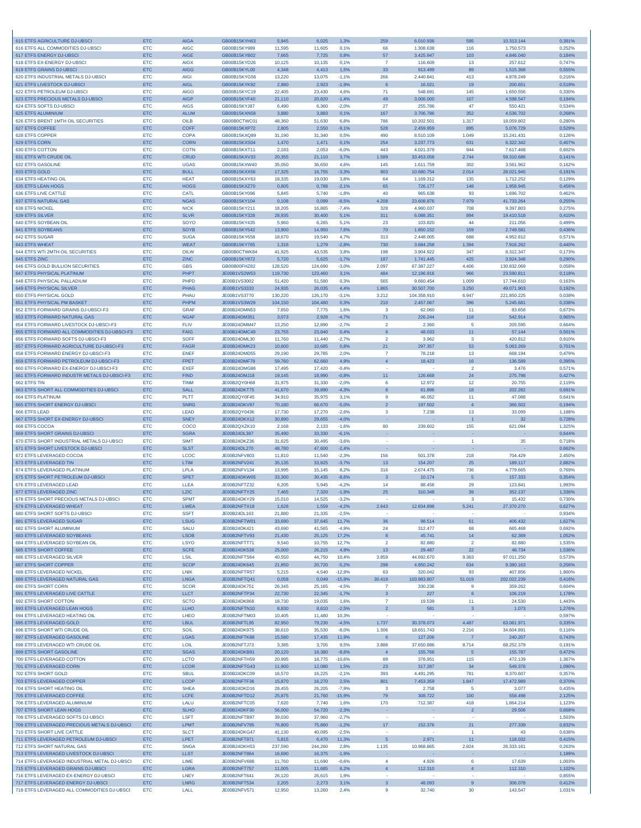| 615 ETFS AGRICULTURE DJ-UBSCI                                                    | <b>ETC</b>               | <b>AIGA</b>                | GB00B15KYH63                        | 5.945              | 6.025              | 1,3%                | 259                                       | 6.010.936                | 595                     | 10.313.144                | 0,391%           |
|----------------------------------------------------------------------------------|--------------------------|----------------------------|-------------------------------------|--------------------|--------------------|---------------------|-------------------------------------------|--------------------------|-------------------------|---------------------------|------------------|
| 616 ETFS ALL COMMODITIES DJ-UBSCI                                                | <b>ETC</b>               | <b>AIGC</b>                | GB00B15KY989                        | 11,595             | 11,605             | 0,1%                | 66                                        | 1.308.638                | 116                     | 1.750.573                 | 0,252%           |
| 617 ETFS ENERGY DJ-UBSCI<br>618 ETFS EX-ENERGY DJ-UBSCI                          | <b>ETC</b><br><b>ETC</b> | <b>AIGE</b><br><b>AIGX</b> | GB00B15KYB02<br>GB00B15KYD26        | 7,665<br>10,125    | 7,725<br>10,135    | 0,8%<br>0,1%        | 57<br>$\overline{7}$                      | 3.425.947<br>116.609     | 103<br>13               | 4.846.040<br>257.612      | 0,184%<br>0,747% |
| 619 ETFS GRAINS DJ-UBSCI                                                         | <b>ETC</b>               | <b>AIGG</b>                | GB00B15KYL00                        | 4,348              | 4,413              | 1.5%                | 33                                        | 913.499                  | 89                      | 1.515.368                 | 0,555%           |
| 620 ETFS INDUSTRIAL METALS DJ-UBSCI                                              | <b>ETC</b>               | <b>AIGI</b>                | GB00B15KYG56                        | 13,220             | 13,075             | $-1,1%$             | 266                                       | 2.440.841                | 413                     | 4.878.249                 | 0,216%           |
| 621 ETFS LIVESTOCK DJ-UBSCI                                                      | <b>ETC</b>               | <b>AIGL</b>                | GB00B15KYK92                        | 2.980              | 2.923              | $-1,9%$             | $6\phantom{1}6$                           | 16.021                   | 19                      | 200.651                   | 0,519%           |
| 622 ETFS PETROLEUM DJ-UBSCI<br>623 ETFS PRECIOUS METALS DJ-UBSCI                 | <b>ETC</b><br><b>ETC</b> | <b>AIGO</b><br><b>AIGP</b> | GB00B15KYC19<br>GB00B15KYF40        | 22,405<br>21,110   | 23,430<br>20,820   | 4,6%<br>$-1,4%$     | 71<br>49                                  | 548.691<br>3.006.000     | 145<br>107              | 1.650.556<br>4.598.547    | 0,330%<br>0,194% |
| 624 ETFS SOFTS DJ-UBSCI                                                          | <b>ETC</b>               | <b>AIGS</b>                | GB00B15KYJ87                        | 6.490              | 6.360              | $-2.0%$             | 27                                        | 255.786                  | 47                      | 550.421                   | 0,534%           |
| 625 ETFS ALUMINIUM                                                               | <b>ETC</b>               | <b>ALUM</b>                | GB00B15KXN58                        | 3.880              | 3,883              | 0,1%                | 167                                       | 3.706.786                | 352                     | 4.536.702                 | 0,268%           |
| 626 ETFS BRENT 1MTH OIL SECURITIES                                               | <b>ETC</b>               | OILB                       | GB00B0CTWC01                        | 48,360             | 51,630             | 6,8%                | 786                                       | 10.202.501               | 1,317                   | 18.059.802                | 0,280%           |
| 627 ETFS COFFEE                                                                  | <b>ETC</b>               | <b>COFF</b>                | GB00B15KXP72                        | 2.805              | 2,550              | $-9,1%$             | 528                                       | 2.459.959                | 895                     | 5.076.729                 | 0,529%           |
| 628 ETFS COPPER<br>629 FTFS CORN                                                 | <b>ETC</b><br><b>ETC</b> | <b>COPA</b><br><b>CORN</b> | GB00B15KXQ89<br>GB00B15KXS04        | 31.190<br>1,470    | 31,340<br>1,471    | 0.5%<br>0,1%        | 490<br>254                                | 8.510.109<br>3.237.773   | 1.049<br>631            | 15.241.431<br>6.322.342   | 0,126%<br>0,407% |
| <b>630 ETFS COTTON</b>                                                           | <b>ETC</b>               | <b>COTN</b>                | GB00B15KXT11                        | 2,183              | 2,053              | $-6,0%$             | 443                                       | 4.021.379                | 944                     | 7.617.468                 | 0,602%           |
| 631 ETFS WTI CRUDE OIL                                                           | <b>ETC</b>               | <b>CRUD</b>                | GB00B15KXV33                        | 20,355             | 21,110             | 3,7%                | 1.589                                     | 33.453.058               | 2.744                   | 59.310.686                | 0,141%           |
| <b>632 ETFS GASOLINE</b>                                                         | <b>ETC</b>               | <b>UGAS</b>                | GB00B15KXW40                        | 35,050             | 36,650             | 4,6%                | 145                                       | 1.611.759                | 302                     | 3.561.962                 | 0,162%           |
| 633 ETFS GOLD                                                                    | <b>ETC</b>               | <b>BULL</b>                | GB00B15KXX56                        | 17,325             | 16,755             | $-3.3%$             | 903                                       | 10.680.754               | 2.014                   | 28.021.945                | 0,191%           |
| 634 ETFS HEATING OIL<br>635 ETFS LEAN HOGS                                       | <b>ETC</b><br><b>ETC</b> | <b>HEAT</b><br><b>HOGS</b> | GB00B15KXY63<br>GB00B15KXZ70        | 18,335<br>0.805    | 19,030<br>0.788    | 3,8%<br>$-2,1%$     | 64<br>65                                  | 1.169.312<br>726.177     | 135<br>148              | 1.712.252<br>1.958.945    | 0,129%<br>0,456% |
| <b>636 ETFS LIVE CATTLE</b>                                                      | <b>ETC</b>               | CATL                       | GB00B15KY096                        | 5.845              | 5.740              | $-1.8%$             | 40                                        | 965.638                  | 93                      | 1.696.702                 | 0,462%           |
| 637 ETFS NATURAL GAS                                                             | <b>ETC</b>               | <b>NGAS</b>                | GB00B15KY104                        | 0,108              | 0,099              | $-8,5%$             | 4.208                                     | 23.608.876               | 7.979                   | 41.733.264                | 0,255%           |
| <b>638 ETFS NICKEL</b>                                                           | <b>ETC</b>               | <b>NICK</b>                | GB00B15KY211                        | 18,205             | 16,865             | $-7,4%$             | 328                                       | 4.960.037                | 708                     | 9.397.803                 | 0,275%           |
| <b>639 ETFS SILVER</b>                                                           | <b>ETC</b>               | <b>SLVR</b>                | GB00B15KY328                        | 28,935             | 30,400             | 5,1%                | 311                                       | 6.088.351                | 894                     | 19.410.518                | 0,410%           |
| 640 ETFS SOYBEAN OIL<br><b>641 ETFS SOYBEANS</b>                                 | <b>ETC</b><br><b>ETC</b> | SOYO<br><b>SOYB</b>        | GB00B15KY435<br>GB00B15KY542        | 5.960<br>13,900    | 6,265<br>14,950    | 5,1%<br>7,6%        | 23<br>70                                  | 103.820<br>1.850.152     | 44<br>159               | 211.056<br>2.749.581      | 0,499%<br>0,436% |
| <b>642 ETFS SUGAR</b>                                                            | <b>ETC</b>               | <b>SUGA</b>                | GB00B15KY658                        | 18,670             | 19.540             | 4.7%                | 313                                       | 2.448.005                | 688                     | 4.952.812                 | 0,571%           |
| <b>643 ETFS WHEAT</b>                                                            | <b>ETC</b>               | <b>WEAT</b>                | GB00B15KY765                        | 1,316              | 1,279              | $-2,8%$             | 730                                       | 3.684.258                | 1.394                   | 7.916.262                 | 0,440%           |
| 644 ETFS WTI 2MTH OIL SECURITIES                                                 | <b>ETC</b>               | OILW                       | GB00B0CTWK84                        | 41,925             | 43,535             | 3.8%                | 198                                       | 3.904.922                | 347                     | 8.312.347                 | 0,173%           |
| 645 ETFS ZINC                                                                    | <b>ETC</b>               | ZINC                       | GB00B15KY872                        | 5,720              | 5,625              | $-1,7%$             | 187                                       | 1.741.445                | 425                     | 3.924.348                 | 0,290%           |
| 646 FTES GOLD BULLION SECURITIES<br>647 ETFS PHYSICAL PLATINUM                   | <b>ETC</b><br><b>ETC</b> | <b>GBS</b><br>PHPT         | GB00B00FHZ82<br>JE00B1VS2W53        | 128,520<br>119,730 | 124,690<br>123,460 | $-3.0%$<br>3,1%     | 2.097<br>484                              | 67.387.227<br>12.196.916 | 4.406<br>966            | 130,832,069<br>23.590.811 | 0.058%<br>0,118% |
| <b>648 ETFS PHYSICAL PALLADIUM</b>                                               | <b>ETC</b>               | PHPD                       | JE00B1VS3002                        | 51,420             | 51,580             | 0,3%                | 565                                       | 9.660.454                | 1.009                   | 17.744.610                | 0,163%           |
| <b>649 ETFS PHYSICAL SILVER</b>                                                  | <b>ETC</b>               | <b>PHAG</b>                | JE00B1VS3333                        | 24,935             | 26,035             | 4,4%                | 1.865                                     | 30.507.700               | 3.250                   | 49.071.903                | 0,192%           |
| 650 FTFS PHYSICAL GOLD                                                           | <b>ETC</b>               | PHAU                       | JE00B1VS3770                        | 130,220            | 126,170            | $-3,1%$             | 3.212                                     | 104.358.910              | 6.947                   | 221.850.225               | 0,038%           |
| 651 ETFS PHYSICAL PM BASKET                                                      | <b>ETC</b>               | PHPM                       | JE00B1VS3W29                        | 104,150            | 104,480            | 0.3%                | 210                                       | 2.457.067                | 396                     | 5.245.681                 | 0,338%           |
| 652 ETFS FORWARD GRAINS DJ-UBSCI-F3<br>653 ETFS FORWARD NATURAL GAS              | <b>ETC</b><br><b>ETC</b> | <b>GRAF</b><br><b>NGAF</b> | JE00B24DMN53<br>JE00B24DM351        | 7.650<br>3,073     | 7.775<br>2,928     | 1.6%<br>$-4,7%$     | $\overline{\mathbf{3}}$<br>71             | 62.060<br>226.244        | 11<br>118               | 83,658<br>542.914         | 0.673%<br>0,965% |
| 654 ETFS FORWARD LIVESTOCK DJ-UBSCI-F3                                           | <b>FTC</b>               | FI <sub>IV</sub>           | JE00B24DMM47                        | 13,250             | 12,890             | $-2.7%$             | $\overline{2}$                            | 2.360                    | 5                       | 205,595                   | 0,664%           |
| 655 ETFS FORWARD ALL COMMODITIES DJ-UBSCI-F3                                     | <b>ETC</b>               | <b>FAIG</b>                | JE00B24DMC49                        | 23,755             | 23,840             | 0,4%                | 6                                         | 48.033                   | 11                      | 57.144                    | 0.501%           |
| 656 ETFS FORWARD SOFTS DJ-UBSCI-F3                                               | <b>ETC</b>               | <b>SOFF</b>                | JE00B24DML30                        | 11,760             | 11,440             | $-2,7%$             | $\overline{2}$                            | 3.962                    | 3                       | 420.812                   | 0,910%           |
| 657 ETFS FORWARD AGRICULTURE DJ-UBSCI-F3                                         | <b>ETC</b>               | <b>FAGR</b>                | JE00B24DMK23                        | 10,600             | 10,685             | 0.8%                | 21                                        | 297.357                  | 53                      | 5.063.269                 | 0,701%           |
| 658 ETFS FORWARD ENERGY DJ-UBSCI-F3                                              | <b>ETC</b>               | <b>ENEF</b>                | JE00B24DMD55                        | 29,190             | 29,785             | 2,0%                | $\overline{7}$<br>$\overline{4}$          | 78.218                   | 13                      | 668.194                   | 0,479%           |
| 659 ETFS FORWARD PETROLEUM DJ-UBSCI-F3<br>660 ETFS FORWARD EX-ENERGY DJ-UBSCI-F3 | <b>ETC</b><br><b>ETC</b> | <b>FPET</b><br><b>FXFF</b> | JE00B24DMF79<br>JE00B24DMG86        | 59,760<br>17,495   | 62,660<br>17,420   | 4,9%<br>$-0.4%$     |                                           | 18.423                   | 16<br>$\overline{2}$    | 136.589<br>3.476          | 0,395%<br>0,571% |
| 661 ETFS FORWARD INDUSTR METALS DJ-UBSCI-F3                                      | <b>ETC</b>               | <b>FIND</b>                | JE00B24DMJ18                        | 19.145             | 18.990             | $-0.8%$             | 11                                        | 126.668                  | 24                      | 275.798                   | 0,427%           |
| 662 ETFS TIN                                                                     | <b>ETC</b>               | <b>TINM</b>                | JE00B2QY0H68                        | 31,975             | 31,330             | $-2,0%$             | 6                                         | 12.972                   | 12                      | 20.755                    | 2,119%           |
| 663 ETFS SHORT ALL COMMODITIES DJ-UBSCI                                          | <b>ETC</b>               | <b>SALL</b>                | <b>JE00B24DKT75</b>                 | 41,670             | 39,890             | $-4,3%$             | 8                                         | 61.896                   | 18                      | 202.282                   | 0,691%           |
| <b>664 ETFS PLATINUM</b>                                                         | <b>ETC</b>               | PLTT<br><b>SNRG</b>        | JE00B2QY0F45                        | 34,910             | 35.975             | 3.1%                | 9                                         | 46.052                   | 11<br>$\overline{4}$    | 47.088<br>366,502         | 0.641%           |
| 665 ETFS SHORT ENERGY DJ-UBSCI<br>666 ETFS LEAD                                  | <b>ETC</b><br><b>ETC</b> | <b>LEAD</b>                | JE00B24DKV97<br>JE00B2QY0436        | 70,180<br>17,730   | 66,670<br>17,270   | $-5,0%$<br>$-2.6%$  | $\overline{2}$<br>$\overline{\mathbf{3}}$ | 197.502<br>7.238         | 13                      | 33.099                    | 0,194%<br>1,188% |
| 667 ETFS SHORT EX-ENERGY DJ-UBSCI                                                | <b>ETC</b>               | <b>SNEY</b>                | JE00B24DKX12                        | 30,890             | 29.655             | $-4,0%$             |                                           |                          |                         | 32                        | 0,728%           |
| 668 ETFS COCOA                                                                   | <b>ETC</b>               | COCO                       | JE00B2QXZK10                        | 2,168              | 2,133              | $-1,6%$             | 80                                        | 239.602                  | 155                     | 621.094                   | 1,325%           |
| 669 ETFS SHORT GRAINS DJ-UBSCI                                                   | <b>ETC</b>               | <b>SGRA</b>                | JE00B24DL387                        | 35,490             | 33,330             | $-6.1%$             | ×                                         |                          |                         |                           | 0,644%           |
| 670 ETFS SHORT INDUSTRIAL METALS DJ-UBSCI                                        | <b>ETC</b>               | <b>SIMT</b>                | JE00B24DKZ36                        | 31,625             | 30,495             | $-3,6%$             | ×                                         | ٠                        | $\mathbf{1}$            | 35                        | 0,718%           |
| 671 ETFS SHORT LIVESTOCK DJ-UBSCI<br>672 ETFS LEVERAGED COCOA                    | <b>ETC</b><br><b>ETC</b> | <b>SLST</b><br>LCOC        | JE00B24DL270<br>JE00B2NFV803        | 48,780<br>11,810   | 47,600<br>11.540   | $-2,4%$<br>$-2.3%$  | 156                                       | 501.378                  | 218                     | 704.429                   | 0,662%<br>2,450% |
| 673 ETFS LEVERAGED TIN                                                           | <b>ETC</b>               | <b>LTIM</b>                | JE00B2NFV241                        | 35,135             | 33.825             | $-3,7%$             | 13                                        | 154.207                  | 25                      | 189.117                   | 2,882%           |
| <b>674 ETFS LEVERAGED PLATINUM</b>                                               | <b>ETC</b>               | LPLA                       | JE00B2NFV134                        | 13,995             | 15,145             | 8,2%                | 316                                       | 2.674.475                | 736                     | 4.779.665                 | 0,769%           |
| 675 ETFS SHORT PETROLEUM DJ-UBSCI                                                | <b>ETC</b>               | <b>SPET</b>                | JE00B24DKW05                        | 33,300             | 30.435             | $-8,6%$             | 3                                         | 10.174                   | 5                       | 157.333                   | 0,354%           |
| 676 ETFS LEVERAGED LEAD                                                          | <b>ETC</b>               | LLEA                       | JE00B2NFTZ32                        | 6,205              | 5.945              | $-4,2%$             | 14                                        | 88.456                   | 29                      | 123.841                   | 1,993%           |
| 677 ETFS LEVERAGED ZINC<br>678 ETFS SHORT PRECIOUS METALS DJ-UBSCI               | <b>ETC</b><br><b>ETC</b> | <b>LZIC</b><br><b>SPMT</b> | JE00B2NFTY25<br>JE00B24DKY29        | 7.465<br>15,010    | 7.320<br>14,525    | $-1.9%$<br>$-3.2%$  | 25                                        | 310.348                  | 39<br>3                 | 352.137<br>15.432         | 1.336%<br>0.730% |
| 679 ETFS LEVERAGED WHEAT                                                         | <b>ETC</b>               | <b>LWEA</b>                | JE00B2NFTX18                        | 1,628              | 1,559              | $-4,2%$             | 2.643                                     | 12.834.898               | 5.241                   | 27.370.270                | 0,627%           |
| 680 ETFS SHORT SOFTS DJ-UBSCI                                                    | <b>ETC</b>               | <b>SSFT</b>                | JE00B24DL163                        | 21,880             | 21,335             | $-2,5%$             |                                           |                          | ٠                       |                           | 0,934%           |
| 681 ETFS LEVERAGED SUGAR                                                         | <b>ETC</b>               | LSUG                       | JE00B2NFTW01                        | 33,690             | 37,645             | 11,7%               | 36                                        | 98.514                   | 61                      | 406.432                   | 1,627%           |
| 682 FTFS SHORT ALUMINIUM                                                         | <b>ETC</b>               | <b>SALU</b>                | JE00B24DK421                        | 43,690             | 41,565             | $-4.9%$             | 24                                        | 312.477                  | 68                      | 665,468                   | 0,692%           |
| 683 ETFS LEVERAGED SOYBEANS                                                      | <b>ETC</b>               | <b>LSOB</b>                | JF00B2NFTV93                        | 21,430             | 25,125             | 17.2%               | $\boldsymbol{8}$                          | 45.741                   | 14                      | 62.369                    | 1.052%           |
| 684 ETFS LEVERAGED SOYBEAN OIL<br>685 ETFS SHORT COFFEE                          | <b>ETC</b><br><b>ETC</b> | <b>LSYO</b><br><b>SCFE</b> | JE00B2NFTT71<br>JE00B24DK538        | 9,540<br>25,000    | 10,755<br>26,215   | 12,7%<br>4.9%       | $\overline{2}$<br>13                      | 82,880<br>29.487         | $\overline{2}$<br>22    | 82,880<br>48.734          | 1,535%<br>1,536% |
| 686 ETFS LEVERAGED SILVER                                                        | <b>ETC</b>               | LSIL                       | JF00B2NFTS64                        | 40,550             | 44.750             | 10.4%               | 3.859                                     | 44.692.670               | 9.363                   | 97.011.250                | 0,573%           |
| <b>687 ETFS SHORT COPPER</b>                                                     | <b>ETC</b>               | <b>SCOP</b>                | JE00B24DK645                        | 21,850             | 20,720             | $-5,2%$             | 298                                       | 4.850.242                | 634                     | 9.380.163                 | 0,256%           |
| 688 ETFS LEVERAGED NICKEL                                                        | <b>ETC</b>               | LNIK                       | JE00B2NFTR57                        | 5.215              | 4,540              | $-12,9%$            | 63                                        | 320.042                  | 93                      | 407.856                   | 1,900%           |
| 689 ETFS LEVERAGED NATURAL GAS<br><b>690 ETFS SHORT CORN</b>                     | <b>ETC</b><br><b>ETC</b> | <b>LNGA</b><br><b>SCOR</b> | JE00B2NFTQ41<br>JE00B24DK751        | 0,058<br>26,345    | 0,049<br>25.165    | $-15,9%$<br>$-4.5%$ | 30.419<br>$\overline{7}$                  | 103.983.807<br>330.236   | 51.019<br>-9            | 202.022.239<br>359.262    | 0,416%<br>0.604% |
| 691 ETFS LEVERAGED LIVE CATTLE                                                   | <b>ETC</b>               | <b>LLCT</b>                | JE00B2NFTP34                        | 22,730             | 22,345             | $-1,7%$             | $\overline{\mathbf{3}}$                   | 227                      | 6                       | 106.219                   | 1,178%           |
| 692 ETFS SHORT COTTON                                                            | <b>ETC</b>               | <b>SCTO</b>                | JE00B24DK868                        | 18,730             | 19,035             | 1,6%                | $\overline{7}$                            | 19.539                   | 11                      | 24.530                    | 1,443%           |
| 693 ETFS LEVERAGED LEAN HOGS                                                     | <b>ETC</b>               | <b>LLHO</b>                | JF00B2NFTN10                        | 8,830              | 8.610              | $-2,5%$             | $\overline{2}$                            | 581                      | $\overline{\mathbf{3}}$ | 1.073                     | 1,276%           |
| 694 ETFS LEVERAGED HEATING OIL                                                   | <b>ETC</b>               | LHEO                       | JE00B2NFTM03                        | 10,405             | 11,480             | 10,3%               | ×                                         |                          |                         |                           | 0,597%           |
| 695 ETFS LEVERAGED GOLD<br>696 FTFS SHORT WTI CRUDE OIL                          | <b>ETC</b>               | LBUL                       | JE00B2NFTL95                        | 82,950             | 79,230             | $-4,5%$             | 1.737                                     | 30.378.073               | 4.487                   | 63.061.971                | 0,335%           |
| 697 ETFS LEVERAGED GASOLINE                                                      | <b>ETC</b><br><b>ETC</b> | SOIL<br><b>LGAS</b>        | JE00B24DK975<br>JE00B2NFTK88        | 38,610<br>15,580   | 35,530<br>17,435   | $-8.0%$<br>11,9%    | 1.306<br>6                                | 18.651.743<br>127.206    | 2.216<br>$\overline{7}$ | 34.604.891<br>240.207     | 0.116%<br>0,743% |
| 698 ETFS LEVERAGED WTI CRUDE OIL                                                 | <b>ETC</b>               | LOIL                       | JE00B2NFTJ73                        | 3,385              | 3,705              | 9,5%                | 3.888                                     | 37.650.886               | 8.714                   | 68.252.379                | 0,191%           |
| 699 ETFS SHORT GASOLINE                                                          | <b>ETC</b>               | <b>SGAS</b>                | JE00B24DKB91                        | 20,120             | 18,380             | $-8,6%$             | $\overline{4}$                            | 155.766                  | 5                       | 155.787                   | 0,472%           |
| 700 ETFS LEVERAGED COTTON                                                        | <b>ETC</b>               | <b>LCTO</b>                | JE00B2NFTH59                        | 20,995             | 18,775             | $-10,6%$            | 89                                        | 378.951                  | 115                     | 472.139                   | 1,367%           |
| 701 ETFS LEVERAGED CORN                                                          | <b>ETC</b>               | <b>LCOR</b>                | JE00B2NFTG43                        | 11,900             | 12,080             | 1,5%                | 23                                        | 317.287                  | 34                      | 549.376                   | 1,090%           |
| 702 ETFS SHORT GOLD<br>703 ETFS LEVERAGED COPPER                                 | <b>ETC</b><br><b>ETC</b> | <b>SBUL</b><br><b>LCOP</b> | JE00B24DKC09<br>JE00B2NFTF36        | 16,570<br>15,870   | 16,225<br>16,270   | $-2,1%$<br>2,5%     | 393<br>801                                | 4.491.295<br>7.453.359   | 781<br>1.847            | 8.370.607<br>17.472.989   | 0,357%<br>0,370% |
| 704 ETFS SHORT HEATING OIL                                                       | <b>ETC</b>               | <b>SHEA</b>                | JE00B24DKD16                        | 28,455             | 26,205             | $-7.9%$             | $\mathbf{3}$                              | 2.758                    | 5                       | 3.077                     | 0,435%           |
| 705 ETFS LEVERAGED COFFEE                                                        | <b>ETC</b>               | LCFE                       | JE00B2NFTD12                        | 25,875             | 21,760             | $-15,9%$            | 79                                        | 308.722                  | 100                     | 558.498                   | 2,125%           |
| 706 ETFS LEVERAGED ALUMINIUM                                                     | <b>ETC</b>               | LALU                       | JE00B2NFTC05                        | 7,620              | 7,740              | 1,6%                | 170                                       | 712.387                  | 418                     | 1.864.214                 | 1,123%           |
| 707 ETFS SHORT LEAN HOGS                                                         | <b>ETC</b>               | <b>SLHO</b>                | JE00B24DKF30                        | 56,000             | 54,720             | $-2.3%$             | ×                                         |                          | $\overline{2}$          | 29.506                    | 0,668%           |
| 708 ETFS LEVERAGED SOFTS DJ-UBSCI                                                | <b>ETC</b>               | <b>LSFT</b>                | JE00B2NFTB97                        | 39,030             | 37,960             | $-2,7%$             |                                           |                          | $\sim$                  |                           | 1,503%           |
| 709 ETFS LEVERAGED PRECIOUS METALS DJ-UBSCI<br><b>710 ETFS SHORT LIVE CATTLE</b> | <b>ETC</b><br><b>ETC</b> | LPMT<br><b>SLCT</b>        | JE00B2NFV795<br>JE00B24DKG47        | 76,800<br>41.130   | 75,860<br>40.095   | $-1,2%$<br>$-2.5%$  | 17 <sub>2</sub><br>×.                     | 152.376                  | 21<br>$\overline{1}$    | 277.339<br>43             | 0,832%<br>0,638% |
| 711 ETFS LEVERAGED PETROLEUM DJ-UBSCI                                            | <b>ETC</b>               | LPET                       | JE00B2NFT971                        | 5.815              | 6,470              | 11.3%               | $\overline{5}$                            | 2.971                    | 11                      | 118.032                   | 0,415%           |
| <b>712 ETFS SHORT NATURAL GAS</b>                                                | <b>ETC</b>               | <b>SNGA</b>                | JE00B24DKH53                        | 237,590            | 244,260            | 2,8%                | 1.135                                     | 10.968.865               | 2.824                   | 26.333.161                | 0,263%           |
| 713 ETFS LEVERAGED LIVESTOCK DJ-UBSCI                                            | <b>ETC</b>               | <b>LLST</b>                | JE00B2NFT864                        | 16,690             | 16,375             | $-1,9%$             | ×                                         |                          |                         |                           | 1,189%           |
| 714 ETFS LEVERAGED INDUSTRIAL METAL DJ-UBSCI                                     | <b>ETC</b>               | LIME                       | JE00B2NFV688                        | 11.760             | 11,690             | $-0.6%$             | 4                                         | 4.926                    | 6                       | 17.639                    | 1,003%           |
| 715 ETFS LEVERAGED GRAINS DJ-UBSCI<br>716 ETFS LEVERAGED EX-ENERGY DJ-UBSCI      | <b>ETC</b><br><b>ETC</b> | LGRA<br>LNEY               | <b>JE00B2NFT757</b><br>JE00B2NFT641 | 11,005<br>26,120   | 11,685<br>26,615   | 6,2%<br>1.9%        | $\overline{4}$<br>٠                       | 112.310                  | $\overline{4}$          | 112.310                   | 1,102%<br>0,855% |
|                                                                                  | <b>ETC</b>               | <b>LNRG</b>                | JE00B2NFT534                        | 2,205              | 2,273              | 3,1%                | $\mathbf{3}$                              | 48.093                   | $\overline{9}$          | 306.078                   | 0,412%           |
| 717 ETFS LEVERAGED ENERGY DJ-UBSCI                                               |                          |                            |                                     |                    |                    |                     |                                           |                          |                         |                           |                  |